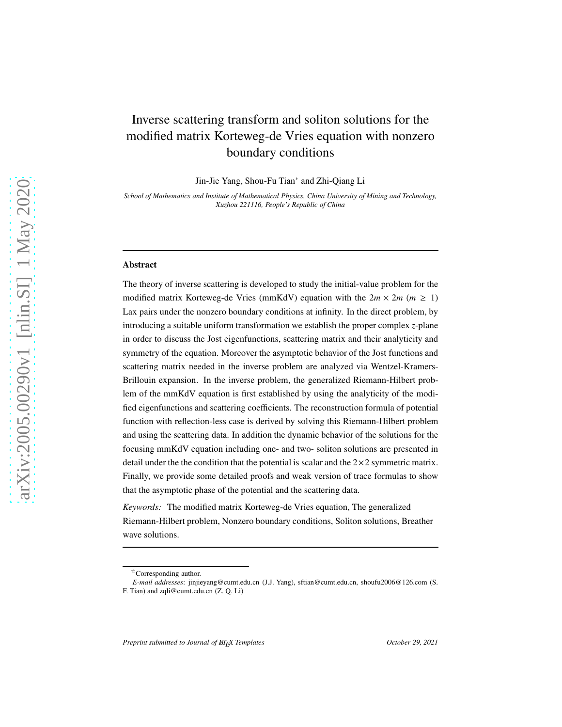# Inverse scattering transform and soliton solutions for the modified matrix Korteweg-de Vries equation with nonzero boundary conditions

Jin-Jie Yang, Shou-Fu Tian<sup>∗</sup> and Zhi-Qiang Li

*School of Mathematics and Institute of Mathematical Physics, China University of Mining and Technology, Xuzhou 221116, People's Republic of China*

#### Abstract

The theory of inverse scattering is developed to study the initial-value problem for the modified matrix Korteweg-de Vries (mmKdV) equation with the  $2m \times 2m$  ( $m \geq 1$ ) Lax pairs under the nonzero boundary conditions at infinity. In the direct problem, by introducing a suitable uniform transformation we establish the proper complex *z*-plane in order to discuss the Jost eigenfunctions, scattering matrix and their analyticity and symmetry of the equation. Moreover the asymptotic behavior of the Jost functions and scattering matrix needed in the inverse problem are analyzed via Wentzel-Kramers-Brillouin expansion. In the inverse problem, the generalized Riemann-Hilbert problem of the mmKdV equation is first established by using the analyticity of the modified eigenfunctions and scattering coefficients. The reconstruction formula of potential function with reflection-less case is derived by solving this Riemann-Hilbert problem and using the scattering data. In addition the dynamic behavior of the solutions for the focusing mmKdV equation including one- and two- soliton solutions are presented in detail under the the condition that the potential is scalar and the  $2\times 2$  symmetric matrix. Finally, we provide some detailed proofs and weak version of trace formulas to show that the asymptotic phase of the potential and the scattering data.

*Keywords:* The modified matrix Korteweg-de Vries equation, The generalized Riemann-Hilbert problem, Nonzero boundary conditions, Soliton solutions, Breather wave solutions.

<sup>✩</sup>Corresponding author.

*E-mail addresses*: jinjieyang@cumt.edu.cn (J.J. Yang), sftian@cumt.edu.cn, shoufu2006@126.com (S. F. Tian) and zqli@cumt.edu.cn (Z. Q. Li)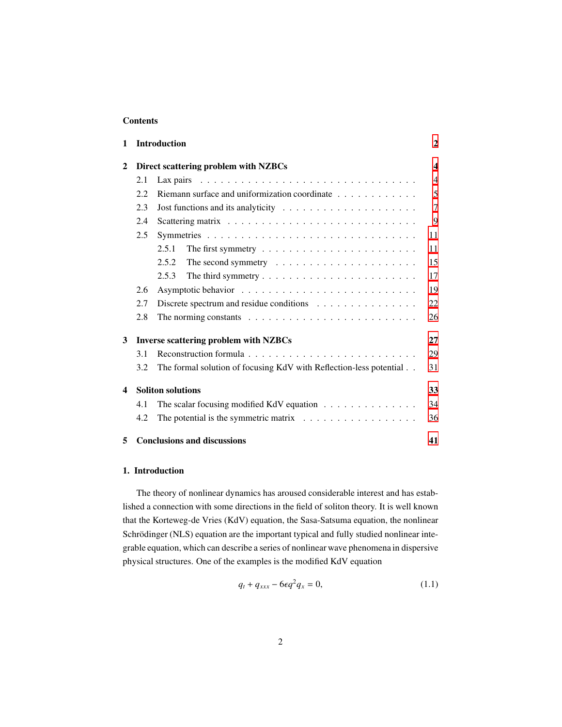# Contents

| 1                |     | <b>Introduction</b>                                                                 | $\overline{2}$          |
|------------------|-----|-------------------------------------------------------------------------------------|-------------------------|
| $\mathbf{2}$     |     | Direct scattering problem with NZBCs                                                | $\overline{\mathbf{4}}$ |
|                  | 2.1 |                                                                                     | $\overline{4}$          |
|                  | 2.2 | Riemann surface and uniformization coordinate                                       | 5                       |
|                  | 2.3 | Jost functions and its analyticity $\ldots \ldots \ldots \ldots \ldots \ldots$      | $\overline{7}$          |
|                  | 2.4 |                                                                                     | 9                       |
|                  | 2.5 |                                                                                     | 11                      |
|                  |     | 2.5.1<br>The first symmetry $\dots \dots \dots \dots \dots \dots \dots \dots \dots$ | 11                      |
|                  |     | 2.5.2<br>The second symmetry $\dots \dots \dots \dots \dots \dots \dots \dots$      | 15                      |
|                  |     | 2.5.3                                                                               | 17                      |
|                  | 2.6 |                                                                                     | 19                      |
|                  | 2.7 | Discrete spectrum and residue conditions $\dots \dots \dots \dots \dots$            | 22                      |
|                  | 2.8 |                                                                                     | 26                      |
| 3                |     | <b>Inverse scattering problem with NZBCs</b>                                        | 27                      |
|                  | 3.1 |                                                                                     | 29                      |
|                  | 3.2 | The formal solution of focusing KdV with Reflection-less potential                  | 31                      |
| $\boldsymbol{4}$ |     | <b>Soliton solutions</b>                                                            | 33                      |
|                  | 4.1 | The scalar focusing modified KdV equation $\dots \dots \dots \dots \dots$           | 34                      |
|                  | 4.2 | The potential is the symmetric matrix $\dots \dots \dots \dots \dots \dots$         | 36                      |
| 5                |     | <b>Conclusions and discussions</b>                                                  | 41                      |

# <span id="page-1-0"></span>1. Introduction

The theory of nonlinear dynamics has aroused considerable interest and has established a connection with some directions in the field of soliton theory. It is well known that the Korteweg-de Vries (KdV) equation, the Sasa-Satsuma equation, the nonlinear Schrödinger (NLS) equation are the important typical and fully studied nonlinear integrable equation, which can describe a series of nonlinear wave phenomena in dispersive physical structures. One of the examples is the modified KdV equation

<span id="page-1-1"></span>
$$
q_t + q_{xxx} - 6\epsilon q^2 q_x = 0, \qquad (1.1)
$$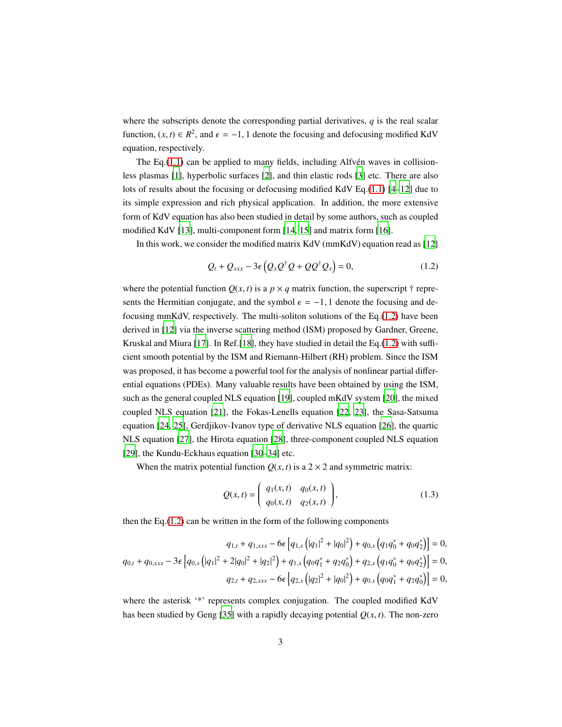where the subscripts denote the corresponding partial derivatives,  $q$  is the real scalar function,  $(x, t) \in R^2$ , and  $\epsilon = -1$ , 1 denote the focusing and defocusing modified KdV equation, respectively.

The Eq. $(1.1)$  can be applied to many fields, including Alfv $\acute{e}$ n waves in collisionless plasmas [\[1](#page-46-0)], hyperbolic surfaces [\[2\]](#page-46-1), and thin elastic rods [\[3](#page-47-0)] etc. There are also lots of results about the focusing or defocusing modified KdV Eq.[\(1.1\)](#page-1-1) [\[4](#page-47-1)[–12](#page-47-2)] due to its simple expression and rich physical application. In addition, the more extensive form of KdV equation has also been studied in detail by some authors, such as coupled modified KdV [\[13\]](#page-47-3), multi-component form [\[14,](#page-47-4) [15](#page-47-5)] and matrix form [\[16\]](#page-48-0).

In this work, we consider the modified matrix KdV (mmKdV) equation read as [\[12](#page-47-2)]

<span id="page-2-0"></span>
$$
Q_t + Q_{xxx} - 3\epsilon \left( Q_x Q^{\dagger} Q + Q Q^{\dagger} Q_x \right) = 0, \qquad (1.2)
$$

where the potential function  $Q(x, t)$  is a  $p \times q$  matrix function, the superscript  $\dagger$  represents the Hermitian conjugate, and the symbol  $\epsilon = -1$ , 1 denote the focusing and defocusing mmKdV, respectively. The multi-soliton solutions of the Eq.[\(1.2\)](#page-2-0) have been derived in [\[12\]](#page-47-2) via the inverse scattering method (ISM) proposed by Gardner, Greene, Kruskal and Miura [\[17](#page-48-1)]. In Ref.[\[18\]](#page-48-2), they have studied in detail the Eq.[\(1.2\)](#page-2-0) with sufficient smooth potential by the ISM and Riemann-Hilbert (RH) problem. Since the ISM was proposed, it has become a powerful tool for the analysis of nonlinear partial differential equations (PDEs). Many valuable results have been obtained by using the ISM, such as the general coupled NLS equation [\[19\]](#page-48-3), coupled mKdV system [\[20](#page-48-4)], the mixed coupled NLS equation [\[21](#page-48-5)], the Fokas-Lenells equation [\[22](#page-48-6), [23](#page-48-7)], the Sasa-Satsuma equation [\[24](#page-48-8), [25](#page-48-9)], Gerdjikov-Ivanov type of derivative NLS equation [\[26](#page-48-10)], the quartic NLS equation [\[27\]](#page-48-11), the Hirota equation [\[28](#page-49-0)], three-component coupled NLS equation [\[29\]](#page-49-1), the Kundu-Eckhaus equation [\[30](#page-49-2)[–34\]](#page-49-3) etc.

When the matrix potential function  $Q(x, t)$  is a  $2 \times 2$  and symmetric matrix:

<span id="page-2-1"></span>
$$
Q(x,t) = \begin{pmatrix} q_1(x,t) & q_0(x,t) \\ q_0(x,t) & q_2(x,t) \end{pmatrix},
$$
 (1.3)

then the Eq.[\(1.2\)](#page-2-0) can be written in the form of the following components

$$
q_{1,t} + q_{1,xxx} - 6\epsilon \left[ q_{1,x} (|q_1|^2 + |q_0|^2) + q_{0,x} (q_1 q_0^* + q_0 q_2^*) \right] = 0,
$$
  

$$
q_{0,t} + q_{0,xxx} - 3\epsilon \left[ q_{0,x} (|q_1|^2 + 2|q_0|^2 + |q_2|^2) + q_{1,x} (q_0 q_1^* + q_2 q_0^*) + q_{2,x} (q_1 q_0^* + q_0 q_2^*) \right] = 0,
$$
  

$$
q_{2,t} + q_{2,xxx} - 6\epsilon \left[ q_{2,x} (|q_2|^2 + |q_0|^2) + q_{0,x} (q_0 q_1^* + q_2 q_0^*) \right] = 0,
$$

where the asterisk '\*' represents complex conjugation. The coupled modified KdV has been studied by Geng [\[35](#page-49-4)] with a rapidly decaying potential  $Q(x, t)$ . The non-zero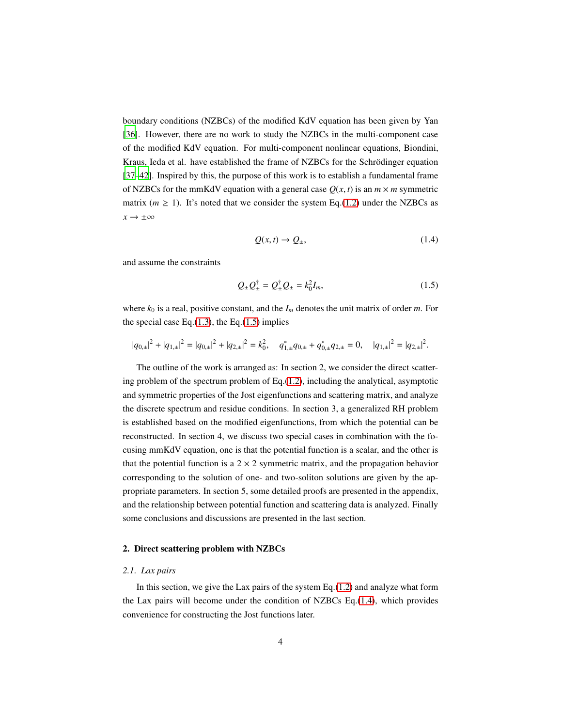boundary conditions (NZBCs) of the modified KdV equation has been given by Yan [\[36\]](#page-49-5). However, there are no work to study the NZBCs in the multi-component case of the modified KdV equation. For multi-component nonlinear equations, Biondini, Kraus, Ieda et al. have established the frame of NZBCs for the Schrödinger equation [\[37](#page-49-6)[–42](#page-50-0)]. Inspired by this, the purpose of this work is to establish a fundamental frame of NZBCs for the mmKdV equation with a general case  $O(x, t)$  is an  $m \times m$  symmetric matrix ( $m \ge 1$ ). It's noted that we consider the system Eq.[\(1.2\)](#page-2-0) under the NZBCs as  $x \rightarrow \pm \infty$ 

<span id="page-3-3"></span><span id="page-3-2"></span>
$$
Q(x,t) \to Q_{\pm},\tag{1.4}
$$

and assume the constraints

$$
Q_{\pm}Q_{\pm}^{\dagger} = Q_{\pm}^{\dagger}Q_{\pm} = k_0^2 I_m, \qquad (1.5)
$$

where  $k_0$  is a real, positive constant, and the  $I_m$  denotes the unit matrix of order *m*. For the special case Eq. $(1.3)$ , the Eq. $(1.5)$  implies

$$
|q_{0,\pm}|^2 + |q_{1,\pm}|^2 = |q_{0,\pm}|^2 + |q_{2,\pm}|^2 = k_0^2, \quad q_{1,\pm}^* q_{0,\pm} + q_{0,\pm}^* q_{2,\pm} = 0, \quad |q_{1,\pm}|^2 = |q_{2,\pm}|^2.
$$

The outline of the work is arranged as: In section 2, we consider the direct scattering problem of the spectrum problem of Eq.[\(1.2\)](#page-2-0), including the analytical, asymptotic and symmetric properties of the Jost eigenfunctions and scattering matrix, and analyze the discrete spectrum and residue conditions. In section 3, a generalized RH problem is established based on the modified eigenfunctions, from which the potential can be reconstructed. In section 4, we discuss two special cases in combination with the focusing mmKdV equation, one is that the potential function is a scalar, and the other is that the potential function is a  $2 \times 2$  symmetric matrix, and the propagation behavior corresponding to the solution of one- and two-soliton solutions are given by the appropriate parameters. In section 5, some detailed proofs are presented in the appendix, and the relationship between potential function and scattering data is analyzed. Finally some conclusions and discussions are presented in the last section.

#### <span id="page-3-1"></span><span id="page-3-0"></span>2. Direct scattering problem with NZBCs

#### *2.1. Lax pairs*

In this section, we give the Lax pairs of the system  $Eq.(1.2)$  $Eq.(1.2)$  and analyze what form the Lax pairs will become under the condition of NZBCs Eq.[\(1.4\)](#page-3-3), which provides convenience for constructing the Jost functions later.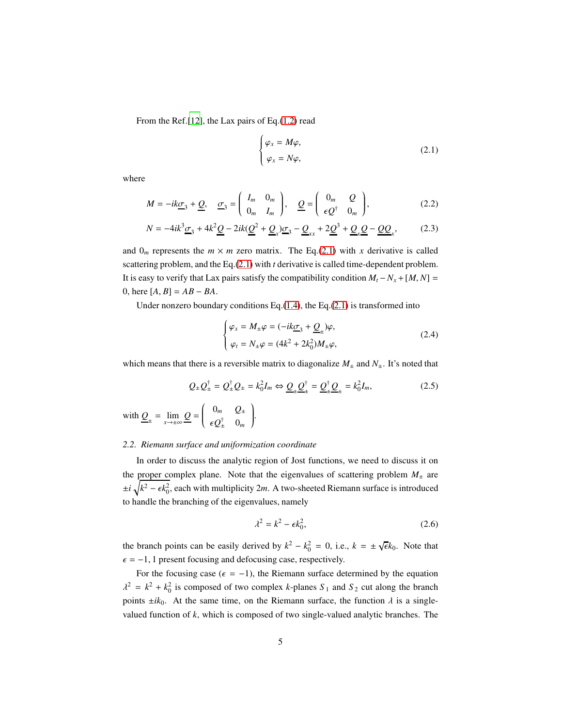From the Ref.[\[12\]](#page-47-2), the Lax pairs of Eq.[\(1.2\)](#page-2-0) read

<span id="page-4-5"></span><span id="page-4-1"></span>
$$
\begin{cases} \varphi_x = M\varphi, \\ \varphi_x = N\varphi, \end{cases}
$$
 (2.1)

where

$$
M = -ik\underline{\sigma}_3 + \underline{Q}, \quad \underline{\sigma}_3 = \begin{pmatrix} I_m & 0_m \\ 0_m & I_m \end{pmatrix}, \quad \underline{Q} = \begin{pmatrix} 0_m & Q \\ \epsilon \underline{Q}^{\dagger} & 0_m \end{pmatrix}, \tag{2.2}
$$

$$
N = -4ik^3 \underline{\sigma}_3 + 4k^2 \underline{Q} - 2ik(\underline{Q}^2 + \underline{Q}_x)\underline{\sigma}_3 - \underline{Q}_{xx} + 2\underline{Q}^3 + \underline{Q}_x \underline{Q} - \underline{Q}\underline{Q}_x,\tag{2.3}
$$

and  $0_m$  represents the  $m \times m$  zero matrix. The Eq.[\(2.1\)](#page-4-1) with *x* derivative is called scattering problem, and the Eq.[\(2.1\)](#page-4-1) with *t* derivative is called time-dependent problem. It is easy to verify that Lax pairs satisfy the compatibility condition  $M_t - N_x + [M, N] =$ 0, here  $[A, B] = AB - BA$ .

Under nonzero boundary conditions Eq. $(1.4)$ , the Eq. $(2.1)$  is transformed into

<span id="page-4-4"></span><span id="page-4-3"></span>
$$
\begin{cases}\n\varphi_x = M_{\pm}\varphi = (-ik\underline{\sigma}_3 + \underline{Q}_{\pm})\varphi, \\
\varphi_t = N_{\pm}\varphi = (4k^2 + 2k_0^2)M_{\pm}\varphi,\n\end{cases}
$$
\n(2.4)

which means that there is a reversible matrix to diagonalize  $M_{\pm}$  and  $N_{\pm}$ . It's noted that

$$
Q_{\pm}Q_{\pm}^{\dagger} = Q_{\pm}^{\dagger}Q_{\pm} = k_0^2I_m \Leftrightarrow \underline{Q}_{\pm}\underline{Q}_{\pm}^{\dagger} = \underline{Q}_{\pm}^{\dagger}\underline{Q}_{\pm} = k_0^2I_m,
$$
\n
$$
\text{with } \underline{Q}_{\pm} = \lim_{x \to \pm \infty} \underline{Q} = \begin{pmatrix} 0_m & Q_{\pm} \\ \epsilon \underline{Q}_{\pm}^{\dagger} & 0_m \end{pmatrix}.
$$
\n
$$
(2.5)
$$

# <span id="page-4-0"></span>*2.2. Riemann surface and uniformization coordinate*

In order to discuss the analytic region of Jost functions, we need to discuss it on the proper complex plane. Note that the eigenvalues of scattering problem  $M_{\pm}$  are  $\pm i \sqrt{k^2 - \epsilon k_0^2}$ , each with multiplicity 2*m*. A two-sheeted Riemann surface is introduced to handle the branching of the eigenvalues, namely

<span id="page-4-2"></span>
$$
\lambda^2 = k^2 - \epsilon k_0^2,\tag{2.6}
$$

the branch points can be easily derived by  $k^2 - k_0^2 = 0$ , i.e.,  $k = \pm \sqrt{\epsilon}k_0$ . Note that  $\epsilon = -1$ , 1 present focusing and defocusing case, respectively.

For the focusing case ( $\epsilon = -1$ ), the Riemann surface determined by the equation  $\lambda^2 = k^2 + k_0^2$  is composed of two complex *k*-planes  $S_1$  and  $S_2$  cut along the branch points  $\pm ik_0$ . At the same time, on the Riemann surface, the function  $\lambda$  is a singlevalued function of *k*, which is composed of two single-valued analytic branches. The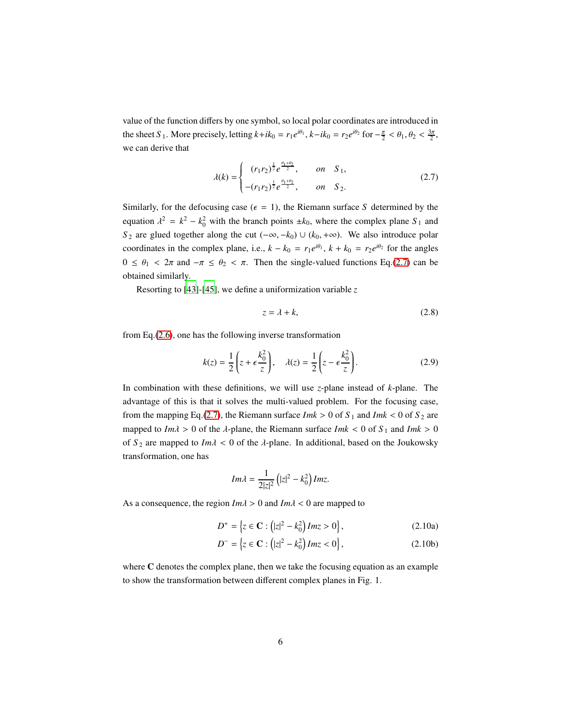value of the function differs by one symbol, so local polar coordinates are introduced in the sheet *S*<sub>1</sub>. More precisely, letting  $k + ik_0 = r_1 e^{i\theta_1}$ ,  $k - ik_0 = r_2 e^{i\theta_2}$  for  $-\frac{\pi}{2} < \theta_1$ ,  $\theta_2 < \frac{3\pi}{2}$ , we can derive that

<span id="page-5-0"></span>
$$
\lambda(k) = \begin{cases}\n(r_1 r_2)^{\frac{1}{2}} e^{\frac{\theta_1 + \theta_2}{2}}, & \text{on} \quad S_1, \\
-(r_1 r_2)^{\frac{1}{2}} e^{\frac{\theta_1 + \theta_2}{2}}, & \text{on} \quad S_2.\n\end{cases}
$$
\n(2.7)

Similarly, for the defocusing case ( $\epsilon = 1$ ), the Riemann surface *S* determined by the equation  $\lambda^2 = k^2 - k_0^2$  with the branch points  $\pm k_0$ , where the complex plane  $S_1$  and *S*<sub>2</sub> are glued together along the cut  $(-\infty, -k_0) \cup (k_0, +\infty)$ . We also introduce polar coordinates in the complex plane, i.e.,  $k - k_0 = r_1 e^{i\theta_1}$ ,  $k + k_0 = r_2 e^{i\theta_2}$  for the angles  $0 \le \theta_1 < 2\pi$  and  $-\pi \le \theta_2 < \pi$ . Then the single-valued functions Eq.[\(2.7\)](#page-5-0) can be obtained similarly.

Resorting to [\[43\]](#page-50-1)-[\[45\]](#page-50-2), we define a uniformization variable *z*

<span id="page-5-2"></span><span id="page-5-1"></span>
$$
z = \lambda + k,\tag{2.8}
$$

from Eq.[\(2.6\)](#page-4-2), one has the following inverse transformation

$$
k(z) = \frac{1}{2} \left( z + \epsilon \frac{k_0^2}{z} \right), \quad \lambda(z) = \frac{1}{2} \left( z - \epsilon \frac{k_0^2}{z} \right). \tag{2.9}
$$

In combination with these definitions, we will use *z*-plane instead of *k*-plane. The advantage of this is that it solves the multi-valued problem. For the focusing case, from the mapping Eq.[\(2.7\)](#page-5-0), the Riemann surface  $Imk > 0$  of  $S_1$  and  $Imk < 0$  of  $S_2$  are mapped to  $Im\lambda > 0$  of the  $\lambda$ -plane, the Riemann surface  $Imk < 0$  of  $S_1$  and  $Imk > 0$ of  $S_2$  are mapped to  $Im \lambda < 0$  of the  $\lambda$ -plane. In additional, based on the Joukowsky transformation, one has

$$
Im\lambda = \frac{1}{2|z|^2} \left( |z|^2 - k_0^2 \right) Im z.
$$

As a consequence, the region *Im*λ > 0 and *Im*λ < 0 are mapped to

$$
D^{+} = \{ z \in \mathbf{C} : (|z|^{2} - k_{0}^{2}) Im z > 0 \},
$$
 (2.10a)

$$
D^{-} = \{ z \in \mathbf{C} : (|z|^2 - k_0^2) Im z < 0 \},
$$
 (2.10b)

where C denotes the complex plane, then we take the focusing equation as an example to show the transformation between different complex planes in Fig. 1.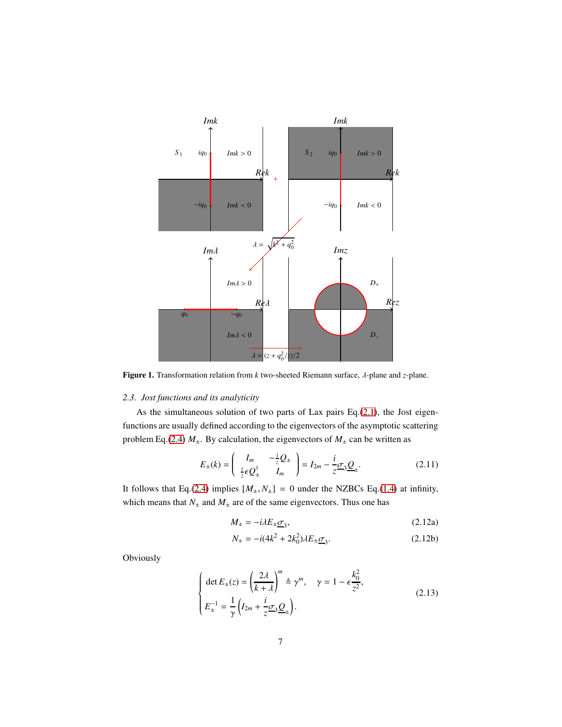

<span id="page-6-0"></span>Figure 1. Transformation relation from *k* two-sheeted Riemann surface, λ-plane and *z*-plane.

### *2.3. Jost functions and its analyticity*

As the simultaneous solution of two parts of Lax pairs Eq.[\(2.1\)](#page-4-1), the Jost eigenfunctions are usually defined according to the eigenvectors of the asymptotic scattering problem Eq.[\(2.4\)](#page-4-3)  $M_{\pm}$ . By calculation, the eigenvectors of  $M_{\pm}$  can be written as

$$
E_{\pm}(k) = \begin{pmatrix} I_m & -\frac{i}{2}Q_{\pm} \\ \frac{i}{2}\epsilon Q_{\pm}^{\dagger} & I_m \end{pmatrix} = I_{2m} - \frac{i}{2}\sigma_3 \underline{Q}_{\pm}.
$$
 (2.11)

It follows that Eq.[\(2.4\)](#page-4-3) implies  $[M_{\pm}, N_{\pm}] = 0$  under the NZBCs Eq.[\(1.4\)](#page-3-3) at infinity, which means that  $N_{\pm}$  and  $M_{\pm}$  are of the same eigenvectors. Thus one has

$$
M_{\pm} = -i\lambda E_{\pm} \underline{\sigma}_3,\tag{2.12a}
$$

$$
N_{\pm} = -i(4k^2 + 2k_0^2)\lambda E_{\pm} \underline{\sigma}_3.
$$
 (2.12b)

Obviously

$$
\begin{cases} \det E_{\pm}(z) = \left(\frac{2\lambda}{k+\lambda}\right)^m \triangleq \gamma^m, \quad \gamma = 1 - \epsilon \frac{k_0^2}{z^2}, \\ E_{\pm}^{-1} = \frac{1}{\gamma} \left(I_{2m} + \frac{i}{z} \sigma_3 \underline{Q}_{\pm}\right). \end{cases}
$$
(2.13)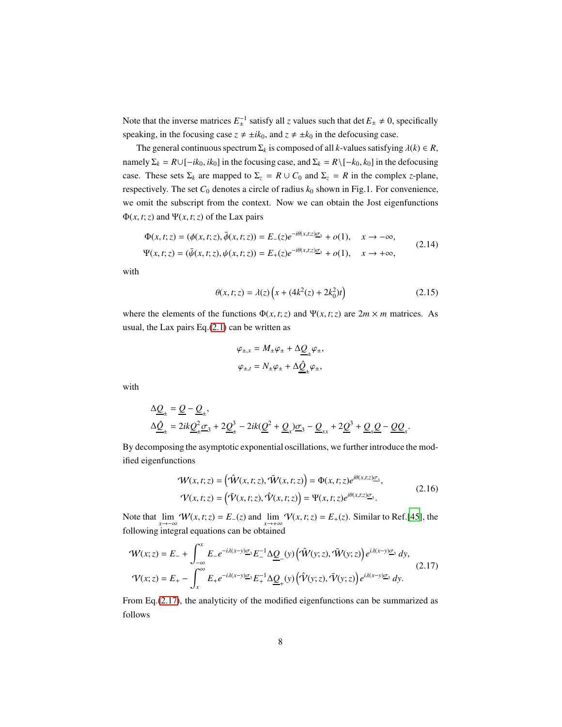Note that the inverse matrices  $E_{\pm}^{-1}$  satisfy all *z* values such that det  $E_{\pm} \neq 0$ , specifically speaking, in the focusing case  $z \neq \pm ik_0$ , and  $z \neq \pm k_0$  in the defocusing case.

The general continuous spectrum  $\Sigma_k$  is composed of all *k*-values satisfying  $\lambda(k) \in R$ , namely  $\Sigma_k = R \cup [-ik_0, ik_0]$  in the focusing case, and  $\Sigma_k = R \setminus [-k_0, k_0]$  in the defocusing case. These sets  $\Sigma_k$  are mapped to  $\Sigma_z = R \cup C_0$  and  $\Sigma_z = R$  in the complex *z*-plane, respectively. The set  $C_0$  denotes a circle of radius  $k_0$  shown in Fig.1. For convenience, we omit the subscript from the context. Now we can obtain the Jost eigenfunctions Φ(*x*, *t*;*z*) and Ψ(*x*, *t*;*z*) of the Lax pairs

$$
\Phi(x, t; z) = (\phi(x, t; z), \bar{\phi}(x, t; z)) = E_-(z)e^{-i\theta(x, t; z)\sigma_3} + o(1), \quad x \to -\infty,
$$
  

$$
\Psi(x, t; z) = (\bar{\psi}(x, t; z), \psi(x, t; z)) = E_+(z)e^{-i\theta(x, t; z)\sigma_3} + o(1), \quad x \to +\infty,
$$
 (2.14)

with

$$
\theta(x, t; z) = \lambda(z) \left( x + (4k^2(z) + 2k_0^2)t \right)
$$
\n(2.15)

<span id="page-7-3"></span><span id="page-7-2"></span><span id="page-7-1"></span><span id="page-7-0"></span>.

where the elements of the functions  $\Phi(x, t; z)$  and  $\Psi(x, t; z)$  are  $2m \times m$  matrices. As usual, the Lax pairs Eq.[\(2.1\)](#page-4-1) can be written as

$$
\varphi_{\pm,x} = M_{\pm} \varphi_{\pm} + \Delta \underline{Q}_{\pm} \varphi_{\pm},
$$
  

$$
\varphi_{\pm,t} = N_{\pm} \varphi_{\pm} + \Delta \underline{\hat{Q}}_{\pm} \varphi_{\pm},
$$

with

$$
\Delta \underline{Q}_{\pm} = \underline{Q} - \underline{Q}_{\pm},
$$
  
\n
$$
\Delta \underline{\hat{Q}}_{\pm} = 2ik \underline{Q}_{\pm}^2 \underline{\sigma}_3 + 2\underline{Q}_{\pm}^3 - 2ik(\underline{Q}^2 + \underline{Q}_x)\underline{\sigma}_3 - \underline{Q}_{xx} + 2\underline{Q}^3 + \underline{Q}_x \underline{Q} - \underline{Q}\underline{Q}_x
$$

By decomposing the asymptotic exponential oscillations, we further introduce the modified eigenfunctions

$$
\mathcal{W}(x,t;z) = (\mathcal{\hat{W}}(x,t;z), \mathcal{\bar{W}}(x,t;z)) = \Phi(x,t;z)e^{i\theta(x,t;z)}\sigma_3,
$$
  

$$
\mathcal{V}(x,t;z) = (\mathcal{\bar{V}}(x,t;z), \mathcal{\hat{V}}(x,t;z)) = \Psi(x,t;z)e^{i\theta(x,t;z)}\sigma_3.
$$
 (2.16)

Note that  $\lim_{x \to -\infty} W(x, t; z) = E_-(z)$  and  $\lim_{x \to +\infty} V(x, t; z) = E_+(z)$ . Similar to Ref.[\[45](#page-50-2)], the following integral equations can be obtained

$$
\mathcal{W}(x;z) = E_{-} + \int_{-\infty}^{x} E_{-}e^{-i\lambda(x-y)\underline{\sigma}_{3}} E_{-}^{-1} \Delta \underline{\underline{Q}}_{-}(y) \left( \hat{\mathcal{W}}(y;z), \bar{\mathcal{W}}(y;z) \right) e^{i\lambda(x-y)\underline{\sigma}_{3}} dy,
$$
\n
$$
\mathcal{V}(x;z) = E_{+} - \int_{x}^{\infty} E_{+}e^{-i\lambda(x-y)\underline{\sigma}_{3}} E_{+}^{-1} \Delta \underline{\underline{Q}}_{+}(y) \left( \hat{\mathcal{V}}(y;z), \bar{\mathcal{V}}(y;z) \right) e^{i\lambda(x-y)\underline{\sigma}_{3}} dy.
$$
\n(2.17)

From Eq.[\(2.17\)](#page-7-0), the analyticity of the modified eigenfunctions can be summarized as follows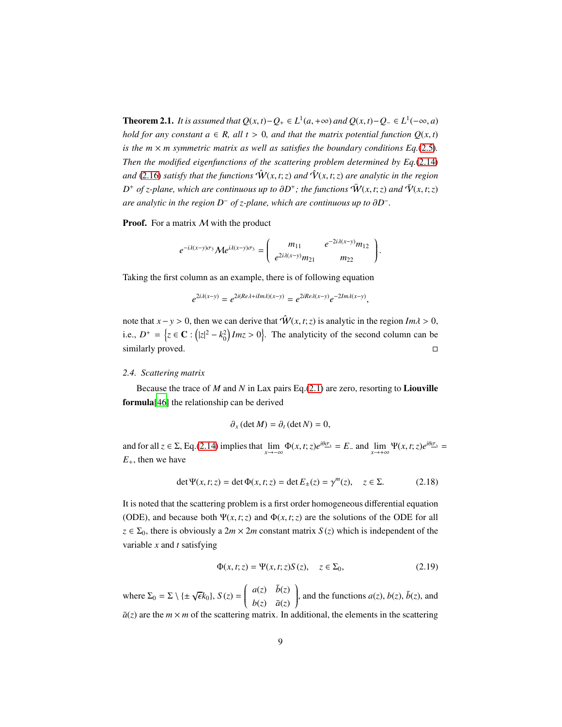**Theorem 2.1.** *It is assumed that*  $Q(x, t) - Q_+ \in L^1(a, +\infty)$  *and*  $Q(x, t) - Q_- \in L^1(-\infty, a)$ *hold for any constant*  $a \in R$ *, all*  $t > 0$ *, and that the matrix potential function*  $Q(x, t)$ *is the m*  $\times$  *m symmetric matrix as well as satisfies the boundary conditions Eq.*[\(2.5\)](#page-4-4)*. Then the modified eigenfunctions of the scattering problem determined by Eq.*[\(2.14\)](#page-7-1) *and* [\(2.16\)](#page-7-2) *satisfy that the functions*  $\hat{W}(x, t; z)$  *and*  $\hat{V}(x, t; z)$  *are analytic in the region*  $D^+$  *of z-plane, which are continuous up to*  $\partial D^+$ *; the functions*  $\tilde{\mathbf{W}}(x,t;z)$  *and*  $\tilde{\mathbf{V}}(x,t;z)$ *are analytic in the region D*<sup>−</sup> *of z-plane, which are continuous up to* ∂*D* − *.*

**Proof.** For a matrix M with the product

$$
e^{-i\lambda(x-y)\sigma_3} \mathcal{M} e^{i\lambda(x-y)\sigma_3} = \begin{pmatrix} m_{11} & e^{-2i\lambda(x-y)}m_{12} \\ e^{2i\lambda(x-y)}m_{21} & m_{22} \end{pmatrix}.
$$

Taking the first column as an example, there is of following equation

 $e^{2i\lambda(x-y)} = e^{2i(Re\lambda + iIm\lambda)(x-y)} = e^{2iRe\lambda(x-y)}e^{-2Im\lambda(x-y)},$ 

note that  $x - y > 0$ , then we can derive that  $\hat{W}(x, t; z)$  is analytic in the region  $Im \lambda > 0$ , i.e.,  $D^+ = \left\{ z \in \mathbb{C} : (|z|^2 - k_0^2) \text{Im} z > 0 \right\}$ . The analyticity of the second column can be similarly proved.  $\Box$ 

#### <span id="page-8-0"></span>*2.4. Scattering matrix*

Because the trace of *M* and *N* in Lax pairs Eq.[\(2.1\)](#page-4-1) are zero, resorting to Liouville formula[\[46](#page-50-3)] the relationship can be derived

<span id="page-8-2"></span>
$$
\partial_x(\det M) = \partial_t(\det N) = 0,
$$

and for all  $z \in \Sigma$ , Eq.[\(2.14\)](#page-7-1) implies that  $\lim_{x \to -\infty} \Phi(x, t; z)e^{i\theta \sigma_3} = E$  and  $\lim_{x \to +\infty} \Psi(x, t; z)e^{i\theta \sigma_3} =$  $E_{+}$ , then we have

$$
\det \Psi(x, t; z) = \det \Phi(x, t; z) = \det E_{\pm}(z) = \gamma^{m}(z), \quad z \in \Sigma.
$$
 (2.18)

It is noted that the scattering problem is a first order homogeneous differential equation (ODE), and because both  $\Psi(x, t; z)$  and  $\Phi(x, t; z)$  are the solutions of the ODE for all  $z \in \Sigma_0$ , there is obviously a  $2m \times 2m$  constant matrix  $S(z)$  which is independent of the variable *x* and *t* satisfying

<span id="page-8-1"></span>
$$
\Phi(x, t; z) = \Psi(x, t; z) S(z), \quad z \in \Sigma_0,
$$
\n(2.19)

where  $\Sigma_0 = \Sigma \setminus \{\pm \sqrt{\epsilon}k_0\}, S(z) = \begin{pmatrix} a(z) & \bar{b}(z) \\ b(z) & \bar{a}(z) \end{pmatrix}$  $\overline{\mathcal{C}}$  $b(z)$   $\bar{a}(z)$ ), and the functions  $a(z)$ ,  $b(z)$ ,  $\bar{b}(z)$ , and  $\int$ 

 $\bar{a}(z)$  are the  $m \times m$  of the scattering matrix. In additional, the elements in the scattering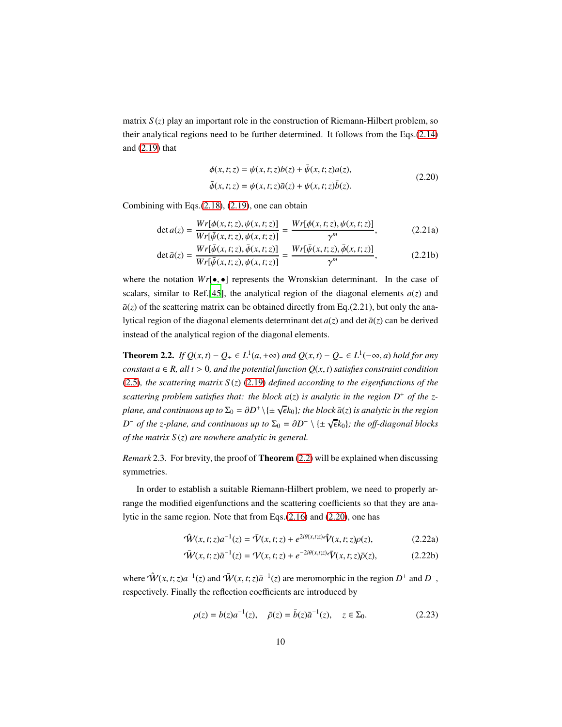matrix  $S(z)$  play an important role in the construction of Riemann-Hilbert problem, so their analytical regions need to be further determined. It follows from the Eqs.[\(2.14\)](#page-7-1) and [\(2.19\)](#page-8-1) that

<span id="page-9-1"></span>
$$
\phi(x, t; z) = \psi(x, t; z)b(z) + \bar{\psi}(x, t; z)a(z), \n\bar{\phi}(x, t; z) = \psi(x, t; z)\bar{a}(z) + \psi(x, t; z)\bar{b}(z).
$$
\n(2.20)

Combining with Eqs.[\(2.18\)](#page-8-2), [\(2.19\)](#page-8-1), one can obtain

$$
\det a(z) = \frac{Wr[\phi(x, t; z), \psi(x, t; z)]}{Wr[\bar{\psi}(x, t; z), \psi(x, t; z)]} = \frac{Wr[\phi(x, t; z), \psi(x, t; z)]}{\gamma^m},
$$
(2.21a)

$$
\det \bar{a}(z) = \frac{Wr[\bar{\psi}(x,t;z), \bar{\phi}(x,t;z)]}{Wr[\bar{\psi}(x,t;z), \psi(x,t;z)]} = \frac{Wr[\bar{\psi}(x,t;z), \bar{\phi}(x,t;z)]}{\gamma^m},
$$
(2.21b)

where the notation  $Wr[\bullet, \bullet]$  represents the Wronskian determinant. In the case of scalars, similar to Ref.<sup>[\[45\]](#page-50-2)</sup>, the analytical region of the diagonal elements  $a(z)$  and  $\bar{a}(z)$  of the scattering matrix can be obtained directly from Eq.(2.21), but only the analytical region of the diagonal elements determinant det  $a(z)$  and det  $\bar{a}(z)$  can be derived instead of the analytical region of the diagonal elements.

<span id="page-9-0"></span>**Theorem 2.2.** *If*  $Q(x, t) - Q_+ \in L^1(a, +\infty)$  *and*  $Q(x, t) - Q_- \in L^1(-\infty, a)$  *hold for any constant a*  $\in$  *R, all t* > 0*, and the potential function*  $Q(x, t)$  *satisfies constraint condition* [\(2.5\)](#page-4-4)*, the scattering matrix S* (*z*) [\(2.19\)](#page-8-1) *defined according to the eigenfunctions of the scattering problem satisfies that: the block*  $a(z)$  *is analytic in the region*  $D^+$  *of the zplane, and continuous up to*  $\Sigma_0 = \partial D^+ \setminus \{\pm \sqrt{\epsilon} k_0\}$ ; the block  $\bar{a}(z)$  is analytic in the region  $D^-$  *of the z-plane, and continuous up to*  $\Sigma_0 = \partial D^- \setminus {\pm \sqrt{\epsilon k_0}}$ *; the off-diagonal blocks of the matrix S* (*z*) *are nowhere analytic in general.*

<span id="page-9-3"></span>*Remark* 2.3*.* For brevity, the proof of Theorem [\(2.2\)](#page-9-0) will be explained when discussing symmetries.

In order to establish a suitable Riemann-Hilbert problem, we need to properly arrange the modified eigenfunctions and the scattering coefficients so that they are analytic in the same region. Note that from Eqs.[\(2.16\)](#page-7-2) and [\(2.20\)](#page-9-1), one has

$$
\hat{\mathcal{W}}(x,t;z)a^{-1}(z) = \bar{\mathcal{V}}(x,t;z) + e^{2i\theta(x,t;z)}\hat{\mathcal{V}}(x,t;z)\rho(z),\tag{2.22a}
$$

$$
\overline{\mathbf{\hat{W}}}(x,t;z)\overline{a}^{-1}(z) = \mathbf{\hat{V}}(x,t;z) + e^{-2i\theta(x,t;z)}\overline{\mathbf{\hat{V}}}(x,t;z)\overline{\rho}(z),\tag{2.22b}
$$

where  $\hat{W}(x, t; z)a^{-1}(z)$  and  $\bar{W}(x, t; z)\bar{a}^{-1}(z)$  are meromorphic in the region  $D^+$  and  $D^-$ , respectively. Finally the reflection coefficients are introduced by

<span id="page-9-2"></span>
$$
\rho(z) = b(z)a^{-1}(z), \quad \bar{\rho}(z) = \bar{b}(z)\bar{a}^{-1}(z), \quad z \in \Sigma_0.
$$
 (2.23)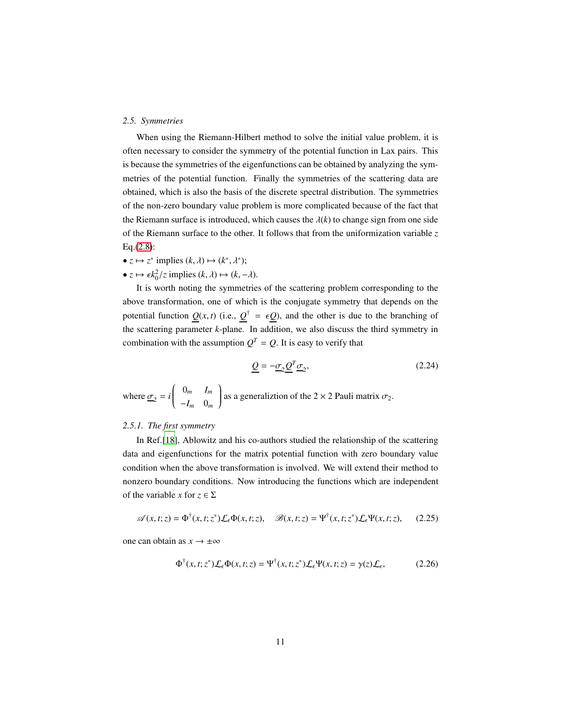#### <span id="page-10-0"></span>*2.5. Symmetries*

When using the Riemann-Hilbert method to solve the initial value problem, it is often necessary to consider the symmetry of the potential function in Lax pairs. This is because the symmetries of the eigenfunctions can be obtained by analyzing the symmetries of the potential function. Finally the symmetries of the scattering data are obtained, which is also the basis of the discrete spectral distribution. The symmetries of the non-zero boundary value problem is more complicated because of the fact that the Riemann surface is introduced, which causes the  $\lambda(k)$  to change sign from one side of the Riemann surface to the other. It follows that from the uniformization variable *z* Eq.[\(2.8\)](#page-5-1):

- $z \mapsto z^*$  implies  $(k, \lambda) \mapsto (k^*, \lambda^*)$ ;
- $z \mapsto \epsilon k_0^2/z$  implies  $(k, \lambda) \mapsto (k, -\lambda)$ .

It is worth noting the symmetries of the scattering problem corresponding to the above transformation, one of which is the conjugate symmetry that depends on the potential function  $Q(x, t)$  (i.e.,  $Q^{\dagger} = \epsilon Q$ ), and the other is due to the branching of the scattering parameter *k*-plane. In addition, we also discuss the third symmetry in combination with the assumption  $Q^T = Q$ . It is easy to verify that

$$
\underline{Q} = -\underline{\sigma}_2 \underline{Q}^T \underline{\sigma}_2,\tag{2.24}
$$

where  $\underline{\sigma}_2 = i \begin{pmatrix} 0_m & I_m \\ I & 0 \end{pmatrix}$  $\overline{\mathcal{C}}$  $-I_m$  0*m* ſ  $\int$ as a generaliztion of the  $2 \times 2$  Pauli matrix  $\sigma_2$ .

#### <span id="page-10-1"></span>*2.5.1. The first symmetry*

In Ref.[\[18](#page-48-2)], Ablowitz and his co-authors studied the relationship of the scattering data and eigenfunctions for the matrix potential function with zero boundary value condition when the above transformation is involved. We will extend their method to nonzero boundary conditions. Now introducing the functions which are independent of the variable *x* for  $z \in \Sigma$ 

$$
\mathscr{A}(x,t;z) = \Phi^{\dagger}(x,t;z^*) \mathcal{L}_{\epsilon} \Phi(x,t;z), \quad \mathscr{B}(x,t;z) = \Psi^{\dagger}(x,t;z^*) \mathcal{L}_{\epsilon} \Psi(x,t;z), \quad (2.25)
$$

one can obtain as  $x \to \pm \infty$ 

<span id="page-10-2"></span>
$$
\Phi^{\dagger}(x,t;z^*)\mathcal{L}_{\epsilon}\Phi(x,t;z) = \Psi^{\dagger}(x,t;z^*)\mathcal{L}_{\epsilon}\Psi(x,t;z) = \gamma(z)\mathcal{L}_{\epsilon},
$$
\n(2.26)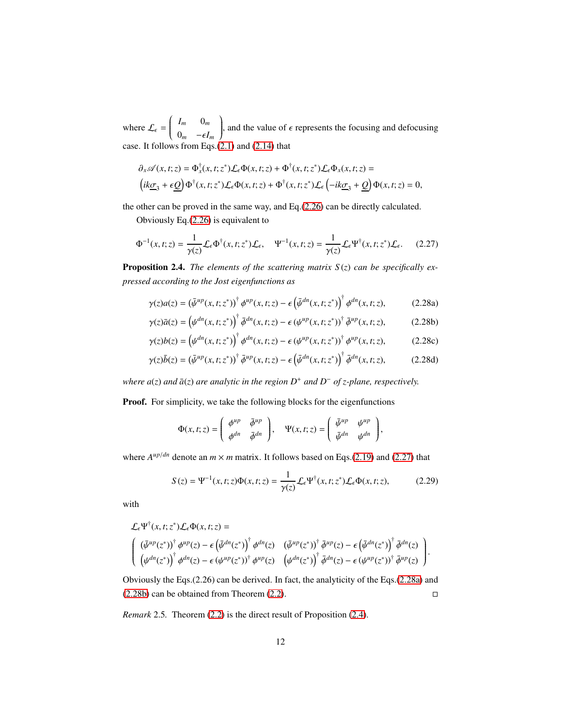where  $\mathcal{L}_{\epsilon} = \begin{pmatrix} I_m & 0_m \\ 0 & -\epsilon I_n \end{pmatrix}$  $\overline{\mathcal{C}}$  $0_m$  − $\epsilon I_m$ Í  $\int$ , and the value of  $\epsilon$  represents the focusing and defocusing case. It follows from Eqs.[\(2.1\)](#page-4-1) and [\(2.14\)](#page-7-1) that

$$
\partial_x \mathscr{A}(x,t;z) = \Phi_x^{\dagger}(x,t;z^*) \mathcal{L}_{\epsilon} \Phi(x,t;z) + \Phi^{\dagger}(x,t;z^*) \mathcal{L}_{\epsilon} \Phi_x(x,t;z) =
$$
  

$$
(ik\underline{\sigma}_3 + \epsilon \underline{Q}) \Phi^{\dagger}(x,t;z^*) \mathcal{L}_{\epsilon} \Phi(x,t;z) + \Phi^{\dagger}(x,t;z^*) \mathcal{L}_{\epsilon} \left(-ik\underline{\sigma}_3 + \underline{Q}\right) \Phi(x,t;z) = 0,
$$

the other can be proved in the same way, and Eq.[\(2.26\)](#page-10-2) can be directly calculated.

Obviously Eq.[\(2.26\)](#page-10-2) is equivalent to

$$
\Phi^{-1}(x,t;z) = \frac{1}{\gamma(z)} \mathcal{L}_{\epsilon} \Phi^{\dagger}(x,t;z^*) \mathcal{L}_{\epsilon}, \quad \Psi^{-1}(x,t;z) = \frac{1}{\gamma(z)} \mathcal{L}_{\epsilon} \Psi^{\dagger}(x,t;z^*) \mathcal{L}_{\epsilon}. \tag{2.27}
$$

<span id="page-11-1"></span>Proposition 2.4. *The elements of the scattering matrix S* (*z*) *can be specifically expressed according to the Jost eigenfunctions as*

<span id="page-11-0"></span>
$$
\gamma(z)a(z) = \left(\bar{\psi}^{\mu p}(x, t; z^*)\right)^{\dagger} \phi^{\mu p}(x, t; z) - \epsilon \left(\bar{\psi}^{\mu n}(x, t; z^*)\right)^{\dagger} \phi^{\mu n}(x, t; z),\tag{2.28a}
$$

$$
\gamma(z)\bar{a}(z) = \left(\psi^{dn}(x,t;z^*)\right)^{\dagger} \bar{\phi}^{dn}(x,t;z) - \epsilon \left(\psi^{up}(x,t;z^*)\right)^{\dagger} \bar{\phi}^{up}(x,t;z),\tag{2.28b}
$$

$$
\gamma(z)b(z) = \left(\psi^{dn}(x, t; z^*)\right)^{\dagger} \phi^{dn}(x, t; z) - \epsilon \left(\psi^{up}(x, t; z^*)\right)^{\dagger} \phi^{up}(x, t; z),\tag{2.28c}
$$

$$
\gamma(z)\bar{b}(z) = \left(\bar{\psi}^{up}(x,t;z^*)\right)^{\dagger} \bar{\phi}^{up}(x,t;z) - \epsilon \left(\bar{\psi}^{dn}(x,t;z^*)\right)^{\dagger} \bar{\phi}^{dn}(x,t;z),\tag{2.28d}
$$

*where*  $a(z)$  *and*  $\bar{a}(z)$  *are analytic in the region*  $D^+$  *and*  $D^-$  *of z-plane, respectively.* 

Proof. For simplicity, we take the following blocks for the eigenfunctions

<span id="page-11-2"></span>
$$
\Phi(x,t;z)=\left(\begin{array}{cc}\phi^{up}&\bar{\phi}^{up}\\ \phi^{dn}&\bar{\phi}^{dn}\end{array}\right),\quad \Psi(x,t;z)=\left(\begin{array}{cc}\bar{\psi}^{up}&\psi^{up}\\ \bar{\psi}^{dn}&\psi^{dn}\end{array}\right),
$$

where  $A^{up/dn}$  denote an  $m \times m$  matrix. It follows based on Eqs.[\(2.19\)](#page-8-1) and [\(2.27\)](#page-11-0) that

$$
S(z) = \Psi^{-1}(x, t; z)\Phi(x, t; z) = \frac{1}{\gamma(z)} \mathcal{L}_{\epsilon} \Psi^{\dagger}(x, t; z^*) \mathcal{L}_{\epsilon} \Phi(x, t; z),
$$
 (2.29)

with

$$
\mathcal{L}_{\epsilon} \Psi^{\dagger}(x, t; z^{*}) \mathcal{L}_{\epsilon} \Phi(x, t; z) =
$$
\n
$$
\begin{pmatrix}\n(\bar{\psi}^{\mu p}(z^{*}))^{\dagger} \phi^{\mu p}(z) - \epsilon (\bar{\psi}^{dn}(z^{*}))^{\dagger} \phi^{dn}(z) & (\bar{\psi}^{\mu p}(z^{*}))^{\dagger} \bar{\phi}^{\mu p}(z) - \epsilon (\bar{\psi}^{dn}(z^{*}))^{\dagger} \bar{\phi}^{dn}(z) \\
(\psi^{dn}(z^{*}))^{\dagger} \phi^{dn}(z) - \epsilon (\psi^{up}(z^{*}))^{\dagger} \phi^{\mu p}(z) & (\psi^{dn}(z^{*}))^{\dagger} \bar{\phi}^{dn}(z) - \epsilon (\psi^{up}(z^{*}))^{\dagger} \bar{\phi}^{\mu p}(z)\n\end{pmatrix}.
$$

Obviously the Eqs.(2.26) can be derived. In fact, the analyticity of the Eqs.[\(2.28a\)](#page-11-1) and [\(2.28b\)](#page-11-1) can be obtained from Theorem [\(2.2\)](#page-9-0).

*Remark* 2.5*.* Theorem [\(2.2\)](#page-9-0) is the direct result of Proposition [\(2.4\)](#page-11-1).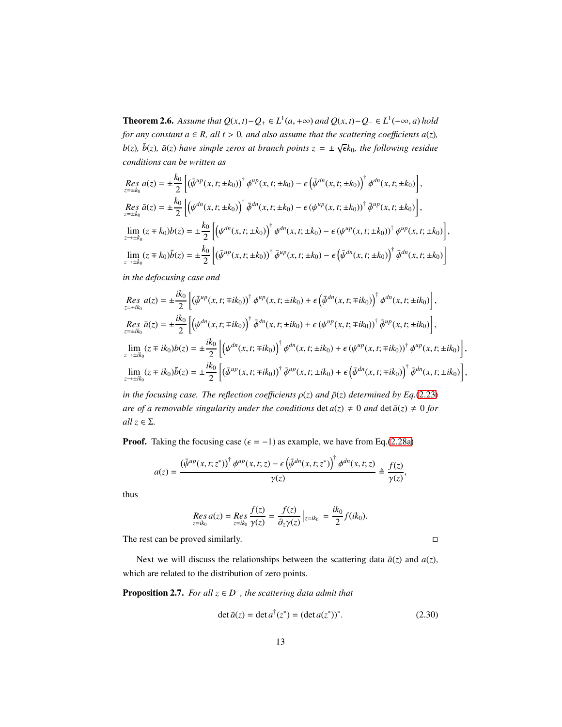**Theorem 2.6.** Assume that  $Q(x, t) - Q_+ \in L^1(a, +\infty)$  and  $Q(x, t) - Q_- \in L^1(-\infty, a)$  hold *for any constant*  $a \in R$ *, all*  $t > 0$ *, and also assume that the scattering coefficients*  $a(z)$ *,*  $b(z)$ *,*  $\bar{b}(z)$ *,*  $\bar{a}(z)$  *have simple zeros at branch points*  $z = \pm \sqrt{\epsilon}k_0$ *, the following residue conditions can be written as*

$$
Res_{z=\pm k_0} a(z) = \pm \frac{k_0}{2} \left[ \left( \bar{\psi}^{\mu p}(x, t; \pm k_0) \right)^{\dagger} \phi^{\mu p}(x, t; \pm k_0) - \epsilon \left( \bar{\psi}^{dn}(x, t; \pm k_0) \right)^{\dagger} \phi^{dn}(x, t; \pm k_0) \right],
$$
  
\n
$$
Res_{z=\pm k_0} \bar{a}(z) = \pm \frac{k_0}{2} \left[ \left( \psi^{dn}(x, t; \pm k_0) \right)^{\dagger} \bar{\phi}^{dn}(x, t; \pm k_0) - \epsilon \left( \psi^{\mu p}(x, t; \pm k_0) \right)^{\dagger} \bar{\phi}^{\mu p}(x, t; \pm k_0) \right],
$$
  
\n
$$
\lim_{z \to \pm k_0} (z \mp k_0) b(z) = \pm \frac{k_0}{2} \left[ \left( \psi^{dn}(x, t; \pm k_0) \right)^{\dagger} \phi^{dn}(x, t; \pm k_0) - \epsilon \left( \psi^{\mu p}(x, t; \pm k_0) \right)^{\dagger} \phi^{\mu p}(x, t; \pm k_0) \right],
$$
  
\n
$$
\lim_{z \to \pm k_0} (z \mp k_0) \bar{b}(z) = \pm \frac{k_0}{2} \left[ \left( \bar{\psi}^{\mu p}(x, t; \pm k_0) \right)^{\dagger} \bar{\phi}^{\mu p}(x, t; \pm k_0) - \epsilon \left( \bar{\psi}^{dn}(x, t; \pm k_0) \right)^{\dagger} \bar{\phi}^{dn}(x, t; \pm k_0) \right]
$$

*in the defocusing case and*

$$
Res_{z=\pm ik_0} a(z) = \pm \frac{ik_0}{2} \left[ \left( \bar{\psi}^{up}(x, t; \mp ik_0) \right)^{\dagger} \phi^{up}(x, t; \pm ik_0) + \epsilon \left( \bar{\psi}^{dn}(x, t; \mp ik_0) \right)^{\dagger} \phi^{dn}(x, t; \pm ik_0) \right],
$$
\n
$$
Res_{z=\pm ik_0} \bar{a}(z) = \pm \frac{ik_0}{2} \left[ \left( \psi^{dn}(x, t; \mp ik_0) \right)^{\dagger} \bar{\phi}^{dn}(x, t; \pm ik_0) + \epsilon \left( \psi^{up}(x, t; \mp ik_0) \right)^{\dagger} \bar{\phi}^{up}(x, t; \pm ik_0) \right],
$$
\n
$$
lim_{z \to \pm ik_0} (z \mp ik_0) b(z) = \pm \frac{ik_0}{2} \left[ \left( \psi^{dn}(x, t; \mp ik_0) \right)^{\dagger} \phi^{dn}(x, t; \pm ik_0) + \epsilon \left( \psi^{up}(x, t; \mp ik_0) \right)^{\dagger} \phi^{up}(x, t; \pm ik_0) \right],
$$
\n
$$
lim_{z \to \pm ik_0} (z \mp ik_0) \bar{b}(z) = \pm \frac{ik_0}{2} \left[ \left( \bar{\psi}^{up}(x, t; \mp ik_0) \right)^{\dagger} \bar{\phi}^{up}(x, t; \pm ik_0) + \epsilon \left( \bar{\psi}^{dn}(x, t; \mp ik_0) \right)^{\dagger} \bar{\phi}^{dn}(x, t; \pm ik_0) \right],
$$
\n
$$
lim_{z \to \pm ik_0} (z \mp ik_0) \bar{b}(z) = \pm \frac{ik_0}{2} \left[ \left( \bar{\psi}^{up}(x, t; \mp ik_0) \right)^{\dagger} \bar{\phi}^{up}(x, t; \pm ik_0) + \epsilon \left( \bar{\psi}^{dn}(x, t; \mp ik_0) \right)^{\dagger} \bar{\phi}^{dn}(x, t; \pm ik_0) \right],
$$

*in the focusing case. The reflection coefficients*  $\rho(z)$  *and*  $\bar{\rho}(z)$  *determined by Eq.*[\(2.23\)](#page-9-2) *are of a removable singularity under the conditions* det  $a(z) \neq 0$  *and* det  $\bar{a}(z) \neq 0$  *for all z* ∈ Σ*.*

**Proof.** Taking the focusing case ( $\epsilon = -1$ ) as example, we have from Eq.[\(2.28a\)](#page-11-1)

$$
a(z) = \frac{\left(\bar{\psi}^{up}(x,t;z^*)\right)^{\dagger} \phi^{up}(x,t;z) - \epsilon \left(\bar{\psi}^{dn}(x,t;z^*)\right)^{\dagger} \phi^{dn}(x,t;z)}{\gamma(z)} \triangleq \frac{f(z)}{\gamma(z)},
$$

thus

$$
\mathop{Res}\limits_{z=ik_0} a(z) = \mathop{Res}\limits_{z=ik_0} \frac{f(z)}{\gamma(z)} = \frac{f(z)}{\partial_z \gamma(z)} \Big|_{z=ik_0} = \frac{ik_0}{2} f(ik_0).
$$

The rest can be proved similarly.

Next we will discuss the relationships between the scattering data  $\bar{a}(z)$  and  $a(z)$ , which are related to the distribution of zero points.

Proposition 2.7. *For all z* ∈ *D* − *, the scattering data admit that*

<span id="page-12-0"></span>
$$
\det \bar{a}(z) = \det a^{\dagger}(z^*) = (\det a(z^*))^*.
$$
 (2.30)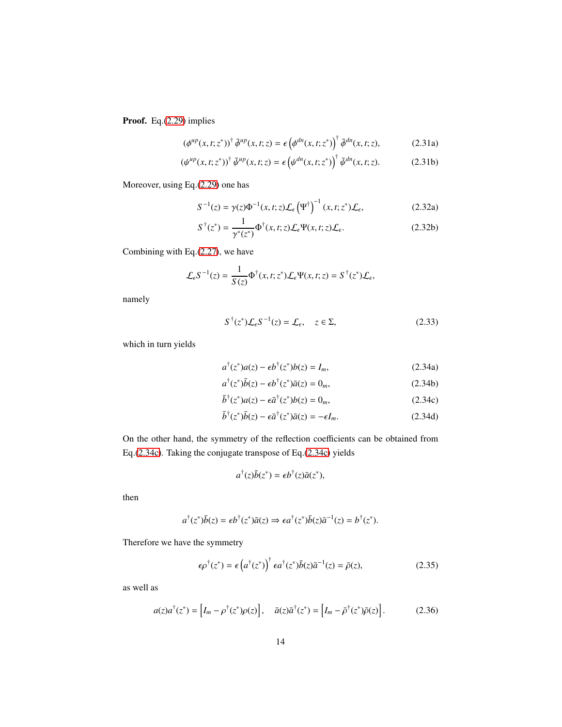Proof. Eq.[\(2.29\)](#page-11-2) implies

$$
\left(\phi^{up}(x,t;z^*)\right)^{\dagger} \bar{\phi}^{up}(x,t;z) = \epsilon \left(\phi^{dn}(x,t;z^*)\right)^{\dagger} \bar{\phi}^{dn}(x,t;z),\tag{2.31a}
$$

<span id="page-13-0"></span> $\ddot{\phantom{a}}$ 

$$
\left(\psi^{\mu p}(x,t;z^*)\right)^\dagger \bar{\psi}^{\mu p}(x,t;z) = \epsilon \left(\psi^{dn}(x,t;z^*)\right)^\dagger \bar{\psi}^{dn}(x,t;z). \tag{2.31b}
$$

Moreover, using Eq.[\(2.29\)](#page-11-2) one has

$$
S^{-1}(z) = \gamma(z)\Phi^{-1}(x, t; z)\mathcal{L}_{\epsilon}(\Psi^{\dagger})^{-1}(x, t; z^*)\mathcal{L}_{\epsilon},
$$
\n(2.32a)

$$
S^{\dagger}(z^*) = \frac{1}{\gamma^*(z^*)} \Phi^{\dagger}(x, t; z) \mathcal{L}_{\epsilon} \Psi(x, t; z) \mathcal{L}_{\epsilon}.
$$
 (2.32b)

Combining with Eq.[\(2.27\)](#page-11-0), we have

$$
\mathcal{L}_{\epsilon} S^{-1}(z) = \frac{1}{S(z)} \Phi^{\dagger}(x, t; z^*) \mathcal{L}_{\epsilon} \Psi(x, t; z) = S^{\dagger}(z^*) \mathcal{L}_{\epsilon},
$$

namely

$$
S^{\dagger}(z^*)\mathcal{L}_{\epsilon}S^{-1}(z) = \mathcal{L}_{\epsilon}, \quad z \in \Sigma,
$$
 (2.33)

which in turn yields

$$
a^{\dagger}(z^*)a(z) - \epsilon b^{\dagger}(z^*)b(z) = I_m, \qquad (2.34a)
$$

$$
a^{\dagger}(z^*)\bar{b}(z) - \epsilon b^{\dagger}(z^*)\bar{a}(z) = 0_m, \qquad (2.34b)
$$

$$
\bar{b}^{\dagger}(z^*)a(z) - \epsilon \bar{a}^{\dagger}(z^*)b(z) = 0_m, \qquad (2.34c)
$$

$$
\bar{b}^{\dagger}(z^*)\bar{b}(z) - \epsilon \bar{a}^{\dagger}(z^*)\bar{a}(z) = -\epsilon I_m.
$$
 (2.34d)

On the other hand, the symmetry of the reflection coefficients can be obtained from Eq.[\(2.34c\)](#page-13-0). Taking the conjugate transpose of Eq.[\(2.34c\)](#page-13-0) yields

$$
a^{\dagger}(z)\bar{b}(z^*) = \epsilon b^{\dagger}(z)\bar{a}(z^*),
$$

then

$$
a^{\dagger}(z^*)\bar{b}(z) = \epsilon b^{\dagger}(z^*)\bar{a}(z) \Rightarrow \epsilon a^{\dagger}(z^*)\bar{b}(z)\bar{a}^{-1}(z) = b^{\dagger}(z^*).
$$

Therefore we have the symmetry

<span id="page-13-1"></span>
$$
\epsilon \rho^{\dagger}(z^*) = \epsilon \left( a^{\dagger}(z^*) \right)^{\dagger} \epsilon a^{\dagger}(z^*) \bar{b}(z) \bar{a}^{-1}(z) = \bar{\rho}(z), \tag{2.35}
$$

as well as

$$
a(z)a^{\dagger}(z^*) = \left[I_m - \rho^{\dagger}(z^*)\rho(z)\right], \quad \bar{a}(z)\bar{a}^{\dagger}(z^*) = \left[I_m - \bar{\rho}^{\dagger}(z^*)\bar{\rho}(z)\right].
$$
 (2.36)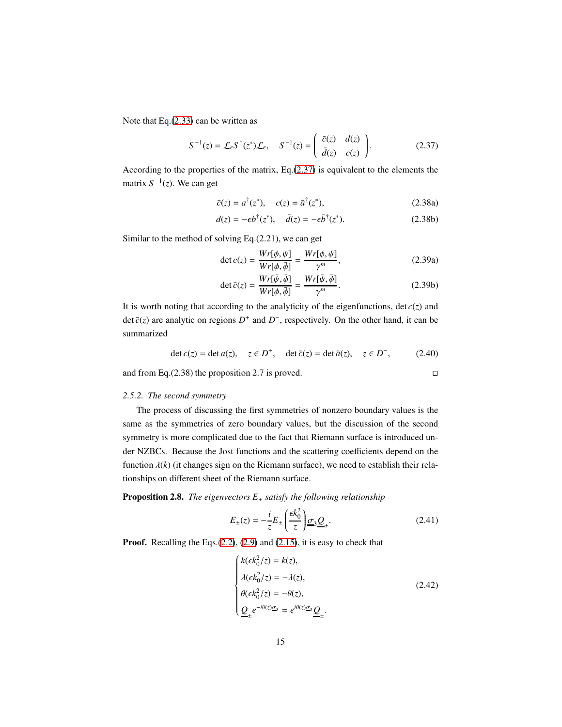Note that Eq.[\(2.33\)](#page-13-0) can be written as

$$
S^{-1}(z) = \mathcal{L}_{\epsilon} S^{\dagger}(z^*) \mathcal{L}_{\epsilon}, \quad S^{-1}(z) = \begin{pmatrix} \bar{c}(z) & d(z) \\ \bar{d}(z) & c(z) \end{pmatrix}.
$$
 (2.37)

According to the properties of the matrix, Eq.[\(2.37\)](#page-14-1) is equivalent to the elements the matrix  $S^{-1}(z)$ . We can get

<span id="page-14-1"></span>
$$
\bar{c}(z) = a^{\dagger}(z^*), \quad c(z) = \bar{a}^{\dagger}(z^*), \tag{2.38a}
$$

$$
d(z) = -\epsilon b^{\dagger}(z^*), \quad \bar{d}(z) = -\epsilon \bar{b}^{\dagger}(z^*). \tag{2.38b}
$$

Similar to the method of solving Eq.(2.21), we can get

$$
\det c(z) = \frac{Wr[\phi, \psi]}{Wr[\phi, \bar{\phi}]} = \frac{Wr[\phi, \psi]}{\gamma^m},
$$
\n(2.39a)

$$
\det \bar{c}(z) = \frac{Wr[\bar{\psi}, \bar{\phi}]}{Wr[\phi, \bar{\phi}]} = \frac{Wr[\bar{\psi}, \bar{\phi}]}{\gamma^m}.
$$
 (2.39b)

It is worth noting that according to the analyticity of the eigenfunctions,  $\det c(z)$  and det  $\bar{c}(z)$  are analytic on regions  $D^+$  and  $D^-$ , respectively. On the other hand, it can be summarized

$$
\det c(z) = \det a(z), \quad z \in D^+, \quad \det \bar{c}(z) = \det \bar{a}(z), \quad z \in D^-, \tag{2.40}
$$

<span id="page-14-0"></span>and from Eq.(2.38) the proposition 2.7 is proved.  $\square$ 

# *2.5.2. The second symmetry*

The process of discussing the first symmetries of nonzero boundary values is the same as the symmetries of zero boundary values, but the discussion of the second symmetry is more complicated due to the fact that Riemann surface is introduced under NZBCs. Because the Jost functions and the scattering coefficients depend on the function  $\lambda(k)$  (it changes sign on the Riemann surface), we need to establish their relationships on different sheet of the Riemann surface.

**Proposition 2.8.** *The eigenvectors*  $E_{\pm}$  *satisfy the following relationship* 

$$
E_{\pm}(z) = -\frac{i}{z} E_{\pm} \left( \frac{\epsilon k_0^2}{z} \right) \underline{\sigma}_3 \underline{\underline{Q}}_{\pm}.
$$
 (2.41)

Proof. Recalling the Eqs.[\(2.2\)](#page-4-5), [\(2.9\)](#page-5-2) and [\(2.15\)](#page-7-3), it is easy to check that

<span id="page-14-2"></span>
$$
\begin{cases}\nk(\epsilon k_0^2/z) = k(z), \\
\lambda(\epsilon k_0^2/z) = -\lambda(z), \\
\theta(\epsilon k_0^2/z) = -\theta(z), \\
\underline{Q}_{\pm}e^{-i\theta(z)\underline{\sigma}_3} = e^{i\theta(z)\underline{\sigma}_3}\underline{Q}_{\pm}.\n\end{cases}
$$
\n(2.42)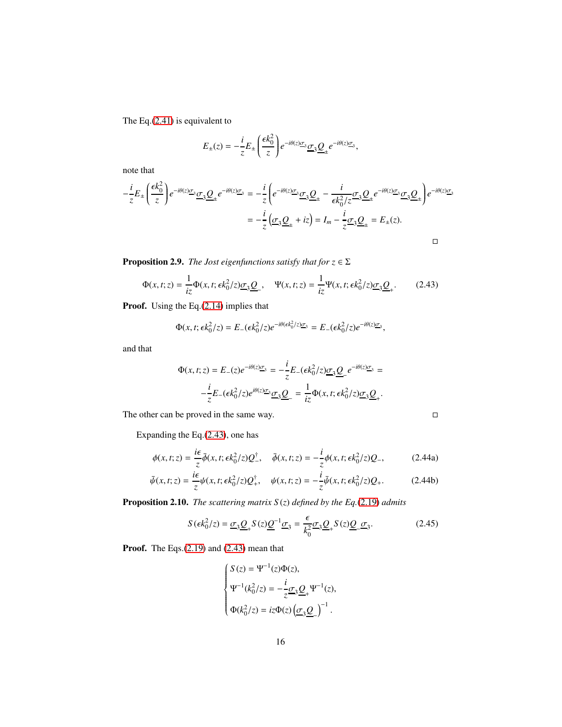The Eq.[\(2.41\)](#page-14-2) is equivalent to

$$
E_{\pm}(z) = -\frac{i}{z}E_{\pm}\left(\frac{\epsilon k_0^2}{z}\right)e^{-i\theta(z)\underline{\sigma}_3}\underline{\sigma}_3\underline{\underline{O}}_{\pm}e^{-i\theta(z)\underline{\sigma}_3},
$$

note that

$$
-\frac{i}{z}E_{\pm}\left(\frac{\epsilon k_0^2}{z}\right)e^{-i\theta(z)\underline{\sigma}_3}\underline{\underline{\sigma}}_3\underline{\underline{\theta}}_{\pm}e^{-i\theta(z)\underline{\sigma}_3} = -\frac{i}{z}\left(e^{-i\theta(z)\underline{\sigma}_3}\underline{\underline{\sigma}}_3\underline{\underline{\theta}}_{\pm} - \frac{i}{\epsilon k_0^2/z}\underline{\sigma}_3\underline{\underline{\theta}}_{\pm}e^{-i\theta(z)\underline{\sigma}_3}\underline{\underline{\sigma}}_3\underline{\underline{\theta}}_{\pm}\right)e^{-i\theta(z)\underline{\sigma}_3}
$$

$$
= -\frac{i}{z}\left(\underline{\sigma}_3\underline{\underline{\theta}}_{\pm} + iz\right) = I_m - \frac{i}{z}\underline{\sigma}_3\underline{\underline{\theta}}_{\pm} = E_{\pm}(z).
$$

**Proposition 2.9.** *The Jost eigenfunctions satisfy that for*  $z \in \Sigma$ 

$$
\Phi(x,t;z) = \frac{1}{iz}\Phi(x,t;\epsilon k_0^2/z)\underline{\sigma}_3 \underline{\mathcal{Q}}_-, \quad \Psi(x,t;z) = \frac{1}{iz}\Psi(x,t;\epsilon k_0^2/z)\underline{\sigma}_3 \underline{\mathcal{Q}}_+.
$$
 (2.43)

Proof. Using the Eq.[\(2.14\)](#page-7-1) implies that

<span id="page-15-0"></span>
$$
\Phi(x,t;\epsilon k_0^2/z) = E_-(\epsilon k_0^2/z)e^{-i\theta(\epsilon k_0^2/z)\underline{\sigma}_3} = E_-(\epsilon k_0^2/z)e^{-i\theta(z)\underline{\sigma}_3},
$$

and that

$$
\Phi(x,t;z) = E_{-}(z)e^{-i\theta(z)\underline{\sigma}_{3}} = -\frac{i}{z}E_{-}(\epsilon k_0^2/z)\underline{\sigma}_{3}\underline{Q}_{-}e^{-i\theta(z)\underline{\sigma}_{3}} = -\frac{i}{z}E_{-}(\epsilon k_0^2/z)e^{i\theta(z)\underline{\sigma}_{3}}\underline{\sigma}_{3}\underline{Q}_{-} = \frac{1}{iz}\Phi(x,t;\epsilon k_0^2/z)\underline{\sigma}_{3}\underline{Q}_{+}.
$$

The other can be proved in the same way.  $\square$ 

Expanding the Eq.[\(2.43\)](#page-15-0), one has

$$
\phi(x,t;z) = \frac{i\epsilon}{z}\bar{\phi}(x,t;\epsilon k_0^2/z)Q_{-}^{\dagger}, \quad \bar{\phi}(x,t;z) = -\frac{i}{z}\phi(x,t;\epsilon k_0^2/z)Q_{-},
$$
 (2.44a)

$$
\bar{\psi}(x,t;z) = \frac{i\epsilon}{z}\psi(x,t;\epsilon k_0^2/z)Q_+^{\dagger}, \quad \psi(x,t;z) = -\frac{i}{z}\bar{\psi}(x,t;\epsilon k_0^2/z)Q_+.
$$
 (2.44b)

Proposition 2.10. *The scattering matrix S* (*z*) *defined by the Eq.*[\(2.19\)](#page-8-1) *admits*

$$
S(\epsilon k_0^2/z) = \underline{\sigma}_3 \underline{\underline{Q}}_+ S(z) \underline{\underline{Q}}^{-1} \underline{\sigma}_3 = \frac{\epsilon}{k_0^2} \underline{\sigma}_3 \underline{\underline{Q}}_+ S(z) \underline{\underline{Q}}_-\underline{\sigma}_3. \tag{2.45}
$$

Proof. The Eqs.[\(2.19\)](#page-8-1) and [\(2.43\)](#page-15-0) mean that

<span id="page-15-1"></span>
$$
\left\{ \begin{aligned} S(z) &= \Psi^{-1}(z)\Phi(z), \\ \Psi^{-1}(k_0^2/z) &= -\frac{i}{z}\underline{\sigma}_3\underline{\mathcal{Q}}_+ \Psi^{-1}(z), \\ \Phi(k_0^2/z) &= iz\Phi(z)\left(\underline{\sigma}_3\underline{\mathcal{Q}}_-\right)^{-1}. \end{aligned} \right.
$$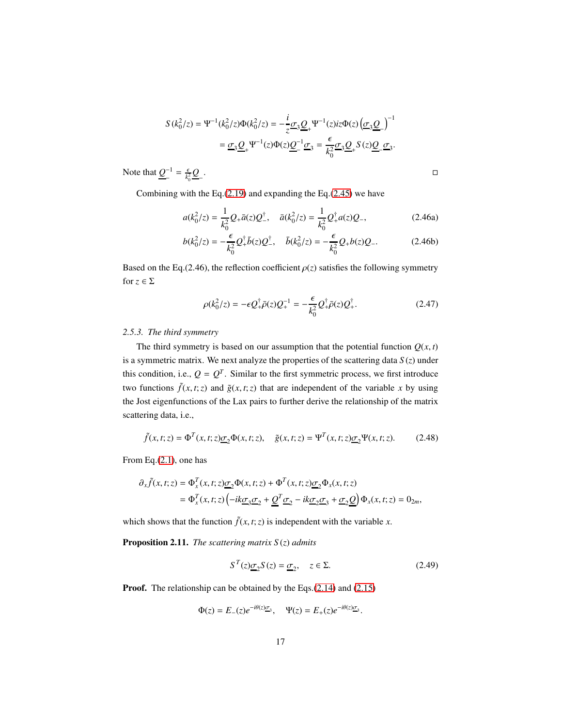$$
S(k_0^2/z) = \Psi^{-1}(k_0^2/z)\Phi(k_0^2/z) = -\frac{i}{z}\underline{\sigma}_3 \underline{Q}_+ \Psi^{-1}(z)iz\Phi(z)\left(\underline{\sigma}_3 \underline{Q}_-\right)^{-1}
$$

$$
= \underline{\sigma}_3 \underline{Q}_+ \Psi^{-1}(z)\Phi(z)\underline{Q}^{-1}\underline{\sigma}_3 = \frac{\epsilon}{k_0^2}\underline{\sigma}_3 \underline{Q}_+ S(z)\underline{Q}_-\underline{\sigma}_3.
$$

Note that  $Q^{-1}$  $\frac{-1}{k_0} = \frac{e}{k_0}$  $\frac{\epsilon}{k_0^2}$ Q−

.<br>1980 - Paul Barbara, política estadounidense de la propia de la propia de la propia de la propia de la propia<br>1980 - Paul Barbara, política estadounidense de la propia de la propia de la propia de la propia de la propia

Combining with the Eq.[\(2.19\)](#page-8-1) and expanding the Eq.[\(2.45\)](#page-15-1) we have

$$
a(k_0^2/z) = \frac{1}{k_0^2} Q_+ \bar{a}(z) Q_-^{\dagger}, \quad \bar{a}(k_0^2/z) = \frac{1}{k_0^2} Q_+^{\dagger} a(z) Q_-, \tag{2.46a}
$$

$$
b(k_0^2/z) = -\frac{\epsilon}{k_0^2} Q_+^{\dagger} \bar{b}(z) Q_-^{\dagger}, \quad \bar{b}(k_0^2/z) = -\frac{\epsilon}{k_0^2} Q_+ b(z) Q_-.
$$
 (2.46b)

Based on the Eq.(2.46), the reflection coefficient  $\rho(z)$  satisfies the following symmetry for  $z \in \Sigma$ 

$$
\rho(k_0^2/z) = -\epsilon Q_+^{\dagger} \bar{\rho}(z) Q_+^{-1} = -\frac{\epsilon}{k_0^2} Q_+^{\dagger} \bar{\rho}(z) Q_+^{\dagger}.
$$
 (2.47)

# <span id="page-16-0"></span>*2.5.3. The third symmetry*

The third symmetry is based on our assumption that the potential function  $Q(x, t)$ is a symmetric matrix. We next analyze the properties of the scattering data *S* (*z*) under this condition, i.e.,  $Q = Q<sup>T</sup>$ . Similar to the first symmetric process, we first introduce two functions  $\tilde{f}(x, t; z)$  and  $\tilde{g}(x, t; z)$  that are independent of the variable *x* by using the Jost eigenfunctions of the Lax pairs to further derive the relationship of the matrix scattering data, i.e.,

$$
\tilde{f}(x,t;z) = \Phi^T(x,t;z)\underline{\sigma}_2\Phi(x,t;z), \quad \tilde{g}(x,t;z) = \Psi^T(x,t;z)\underline{\sigma}_2\Psi(x,t;z). \tag{2.48}
$$

From Eq.[\(2.1\)](#page-4-1), one has

$$
\partial_x \tilde{f}(x,t;z) = \Phi_x^T(x,t;z) \underline{\sigma}_2 \Phi(x,t;z) + \Phi^T(x,t;z) \underline{\sigma}_2 \Phi_x(x,t;z)
$$
  
= 
$$
\Phi_x^T(x,t;z) \left( -ik \underline{\sigma}_3 \underline{\sigma}_2 + \underline{\mathcal{Q}}^T \underline{\sigma}_2 - ik \underline{\sigma}_2 \underline{\sigma}_3 + \underline{\sigma}_2 \underline{\mathcal{Q}} \right) \Phi_x(x,t;z) = 0_{2m},
$$

which shows that the function  $\tilde{f}(x, t; z)$  is independent with the variable *x*.

Proposition 2.11. *The scattering matrix S* (*z*) *admits*

<span id="page-16-1"></span>
$$
S^{T}(z)\underline{\sigma}_{2}S(z) = \underline{\sigma}_{2}, \quad z \in \Sigma.
$$
 (2.49)

Proof. The relationship can be obtained by the Eqs.[\(2.14\)](#page-7-1) and [\(2.15\)](#page-7-3)

$$
\Phi(z) = E_-(z)e^{-i\theta(z)}\overline{z}_3, \quad \Psi(z) = E_+(z)e^{-i\theta(z)}\overline{z}_3.
$$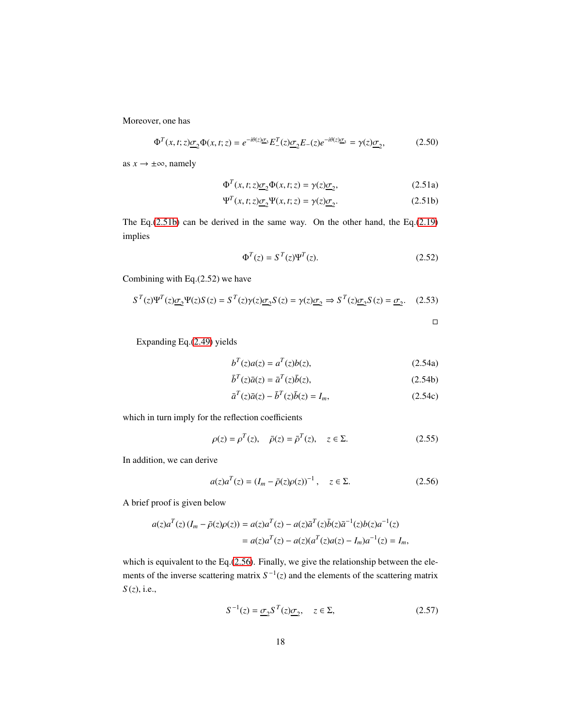Moreover, one has

$$
\Phi^T(x,t;z)\underline{\sigma}_2\Phi(x,t;z) = e^{-i\theta(z)}\Xi_3 E^T(z)\underline{\sigma}_2 E_-(z)e^{-i\theta(z)}\Xi_3 = \gamma(z)\underline{\sigma}_2,\tag{2.50}
$$

as  $x \rightarrow \pm \infty$ , namely

$$
\Phi^T(x, t; z)\underline{\sigma}_2 \Phi(x, t; z) = \gamma(z)\underline{\sigma}_2,\tag{2.51a}
$$

$$
\Psi^{T}(x,t;z)\underline{\sigma}_{2}\Psi(x,t;z) = \gamma(z)\underline{\sigma}_{2}.
$$
\n(2.51b)

The Eq.[\(2.51b\)](#page-17-0) can be derived in the same way. On the other hand, the Eq.[\(2.19\)](#page-8-1) implies

<span id="page-17-0"></span>*T*

$$
\Phi^T(z) = S^T(z)\Psi^T(z). \tag{2.52}
$$

Combining with Eq.(2.52) we have

$$
S^{T}(z)\Psi^{T}(z)\underline{\sigma}_{2}\Psi(z)S(z) = S^{T}(z)\gamma(z)\underline{\sigma}_{2}S(z) = \gamma(z)\underline{\sigma}_{2} \Rightarrow S^{T}(z)\underline{\sigma}_{2}S(z) = \underline{\sigma}_{2}.
$$
 (2.53)

Expanding Eq.[\(2.49\)](#page-16-1) yields

$$
b^{T}(z)a(z) = a^{T}(z)b(z),
$$
\n(2.54a)

$$
\bar{b}^T(z)\bar{a}(z) = \bar{a}^T(z)\bar{b}(z),\tag{2.54b}
$$

<span id="page-17-1"></span>
$$
\bar{a}^T(z)\bar{a}(z) - \bar{b}^T(z)\bar{b}(z) = I_m,\tag{2.54c}
$$

which in turn imply for the reflection coefficients

$$
\rho(z) = \rho^T(z), \quad \bar{\rho}(z) = \bar{\rho}^T(z), \quad z \in \Sigma.
$$
\n(2.55)

In addition, we can derive

$$
a(z)a^{T}(z) = (I_{m} - \bar{\rho}(z)\rho(z))^{-1}, \quad z \in \Sigma.
$$
 (2.56)

A brief proof is given below

$$
a(z)a^{T}(z)(I_{m} - \bar{\rho}(z)\rho(z)) = a(z)a^{T}(z) - a(z)\bar{a}^{T}(z)\bar{b}(z)\bar{a}^{-1}(z)b(z)a^{-1}(z) = a(z)a^{T}(z) - a(z)(a^{T}(z)a(z) - I_{m})a^{-1}(z) = I_{m},
$$

which is equivalent to the Eq.[\(2.56\)](#page-17-1). Finally, we give the relationship between the elements of the inverse scattering matrix  $S^{-1}(z)$  and the elements of the scattering matrix *S* (*z*), i.e.,

$$
S^{-1}(z) = \underline{\sigma}_2 S^T(z) \underline{\sigma}_2, \quad z \in \Sigma,
$$
\n(2.57)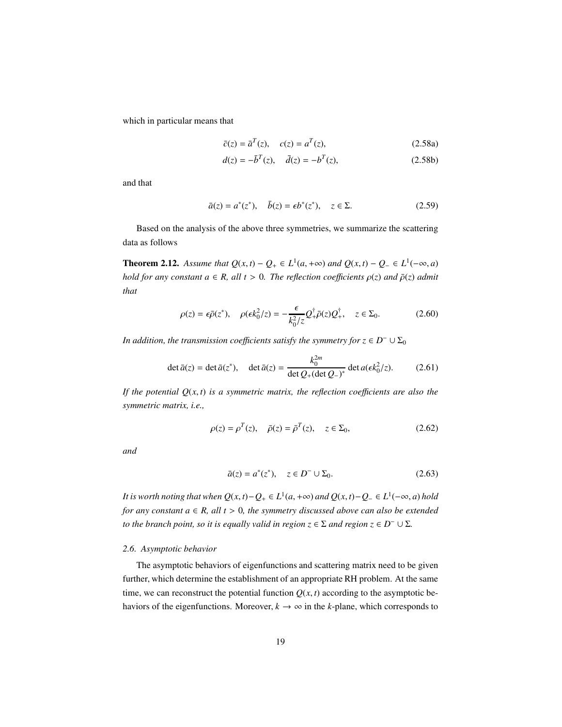which in particular means that

$$
\bar{c}(z) = \bar{a}^{T}(z), \quad c(z) = a^{T}(z), \tag{2.58a}
$$

$$
d(z) = -\bar{b}^T(z), \quad \bar{d}(z) = -b^T(z), \tag{2.58b}
$$

and that

$$
\bar{a}(z) = a^*(z^*), \quad \bar{b}(z) = \epsilon b^*(z^*), \quad z \in \Sigma.
$$
 (2.59)

Based on the analysis of the above three symmetries, we summarize the scattering data as follows

**Theorem 2.12.** *Assume that*  $Q(x, t) - Q_+ \in L^1(a, +\infty)$  *and*  $Q(x, t) - Q_- \in L^1(-\infty, a)$ *hold for any constant*  $a \in R$ *, all*  $t > 0$ *. The reflection coefficients*  $\rho(z)$  *and*  $\bar{\rho}(z)$  *admit that*

$$
\rho(z) = \epsilon \bar{\rho}(z^*), \quad \rho(\epsilon k_0^2/z) = -\frac{\epsilon}{k_0^2/z} Q_+^{\dagger} \bar{\rho}(z) Q_+^{\dagger}, \quad z \in \Sigma_0.
$$
 (2.60)

*In addition, the transmission coefficients satisfy the symmetry for*  $z \in D^- \cup \Sigma_0$ 

$$
\det \bar{a}(z) = \det \bar{a}(z^*), \quad \det \bar{a}(z) = \frac{k_0^{2m}}{\det Q_+(\det Q_-)^*} \det a(\epsilon k_0^2/z). \tag{2.61}
$$

*If the potential*  $Q(x, t)$  *is a symmetric matrix, the reflection coefficients are also the symmetric matrix, i.e.,*

$$
\rho(z) = \rho^{T}(z), \quad \bar{\rho}(z) = \bar{\rho}^{T}(z), \quad z \in \Sigma_{0}, \tag{2.62}
$$

*and*

$$
\bar{a}(z) = a^*(z^*), \quad z \in D^- \cup \Sigma_0.
$$
 (2.63)

*It is worth noting that when*  $Q(x, t) - Q_+ \in L^1(a, +\infty)$  *and*  $Q(x, t) - Q_- \in L^1(-\infty, a)$  *hold for any constant*  $a \in R$ *, all*  $t > 0$ *, the symmetry discussed above can also be extended to the branch point, so it is equally valid in region*  $z \in \Sigma$  *and region*  $z \in D^- \cup \Sigma$ *.* 

#### <span id="page-18-0"></span>*2.6. Asymptotic behavior*

The asymptotic behaviors of eigenfunctions and scattering matrix need to be given further, which determine the establishment of an appropriate RH problem. At the same time, we can reconstruct the potential function  $Q(x, t)$  according to the asymptotic behaviors of the eigenfunctions. Moreover,  $k \to \infty$  in the *k*-plane, which corresponds to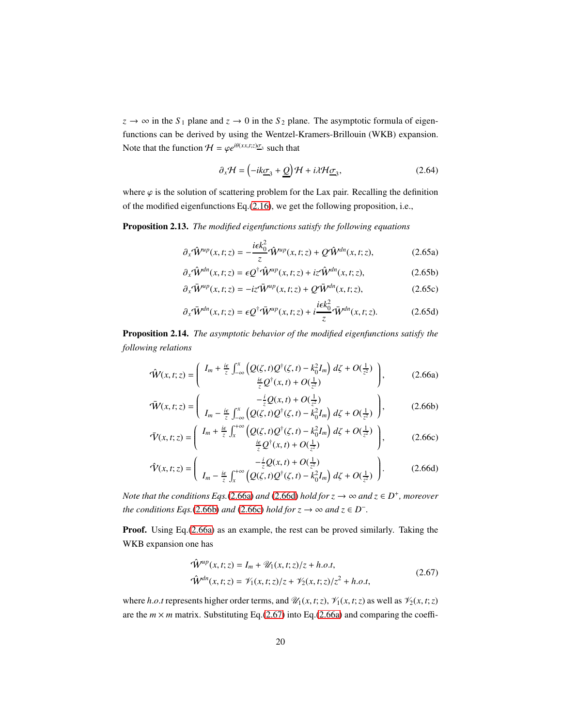$z \rightarrow \infty$  in the  $S_1$  plane and  $z \rightarrow 0$  in the  $S_2$  plane. The asymptotic formula of eigenfunctions can be derived by using the Wentzel-Kramers-Brillouin (WKB) expansion. Note that the function  $\mathcal{H} = \varphi e^{i\theta(xx,t;z)}\overline{\mathcal{Q}}_3$  such that

$$
\partial_x \mathcal{H} = \left(-ik\underline{\sigma}_3 + \underline{Q}\right)\mathcal{H} + i\lambda \mathcal{H}\underline{\sigma}_3,\tag{2.64}
$$

where  $\varphi$  is the solution of scattering problem for the Lax pair. Recalling the definition of the modified eigenfunctions Eq.[\(2.16\)](#page-7-2), we get the following proposition, i.e.,

Proposition 2.13. *The modified eigenfunctions satisfy the following equations*

$$
\partial_x \hat{W}^{up}(x,t;z) = -\frac{i\epsilon k_0^2}{z} \hat{W}^{up}(x,t;z) + Q \hat{W}^{dn}(x,t;z), \qquad (2.65a)
$$

$$
\partial_x \hat{W}^{dn}(x,t;z) = \epsilon Q^{\dagger} \hat{W}^{up}(x,t;z) + i z \hat{W}^{dn}(x,t;z), \qquad (2.65b)
$$

$$
\partial_x \bar{\mathbf{W}}^{up}(x, t; z) = -iz \bar{\mathbf{W}}^{up}(x, t; z) + \mathcal{Q} \bar{\mathbf{W}}^{dn}(x, t; z), \qquad (2.65c)
$$

$$
\partial_x \bar{\mathbf{W}}^{dn}(x,t;z) = \epsilon \mathcal{Q}^\dagger \bar{\mathbf{W}}^{up}(x,t;z) + i \frac{i\epsilon k_0^2}{z} \bar{\mathbf{W}}^{dn}(x,t;z). \tag{2.65d}
$$

<span id="page-19-0"></span>Proposition 2.14. *The asymptotic behavior of the modified eigenfunctions satisfy the following relations*

$$
\hat{\mathcal{W}}(x,t;z) = \left(\begin{array}{c} I_m + \frac{i\epsilon}{z} \int_{-\infty}^x \left( Q(\zeta,t) Q^\dagger(\zeta,t) - k_0^2 I_m \right) d\zeta + O(\frac{1}{z^2}) \\ \frac{i\epsilon}{z} Q^\dagger(x,t) + O(\frac{1}{z^2}) \end{array}\right),\tag{2.66a}
$$

$$
\bar{W}(x,t;z) = \left(\begin{array}{c} -\frac{i}{z}Q(x,t) + O(\frac{1}{z^2})\\ I_m - \frac{i\epsilon}{z} \int_{-\infty}^x \left(Q(\zeta,t)Q^{\dagger}(\zeta,t) - k_0^2 I_m\right) d\zeta + O(\frac{1}{z^2}) \end{array}\right),\tag{2.66b}
$$

$$
\bar{\mathcal{V}}(x,t;z) = \left(\begin{array}{c} I_m + \frac{i\epsilon}{z} \int_x^{+\infty} \left( Q(\zeta,t) Q^{\dagger}(\zeta,t) - k_0^2 I_m \right) d\zeta + O(\frac{1}{z^2}) \\ \frac{i\epsilon}{z} Q^{\dagger}(x,t) + O(\frac{1}{z^2}) \end{array}\right),\tag{2.66c}
$$

$$
\hat{\mathcal{V}}(x,t;z) = \left(\begin{array}{c} -\frac{i}{z}Q(x,t) + O(\frac{1}{z^2})\\ I_m - \frac{i\epsilon}{z}\int_x^{+\infty} \left(Q(\zeta,t)Q^{\dagger}(\zeta,t) - k_0^2I_m\right)d\zeta + O(\frac{1}{z^2}) \end{array}\right). \tag{2.66d}
$$

*Note that the conditions Eqs.*[\(2.66a\)](#page-19-0) *and* [\(2.66d\)](#page-19-0) *hold for*  $z \to \infty$  *and*  $z \in D^+$ *, moreover the conditions Eqs.*[\(2.66b\)](#page-19-0) *and* [\(2.66c\)](#page-19-0) *hold for*  $z \to \infty$  *and*  $z \in D^-$ *.* 

Proof. Using Eq.[\(2.66a\)](#page-19-0) as an example, the rest can be proved similarly. Taking the WKB expansion one has

<span id="page-19-1"></span>
$$
\hat{\mathbf{W}}^{up}(x,t;z) = I_m + \mathcal{U}_1(x,t;z)/z + h.o.t,
$$
  

$$
\hat{\mathbf{W}}^{dn}(x,t;z) = \mathcal{V}_1(x,t;z)/z + \mathcal{V}_2(x,t;z)/z^2 + h.o.t,
$$
 (2.67)

where *h.o.t* represents higher order terms, and  $\mathcal{U}_1(x, t; z)$ ,  $\mathcal{V}_1(x, t; z)$  as well as  $\mathcal{V}_2(x, t; z)$ are the  $m \times m$  matrix. Substituting Eq.[\(2.67\)](#page-19-1) into Eq.[\(2.66a\)](#page-19-0) and comparing the coeffi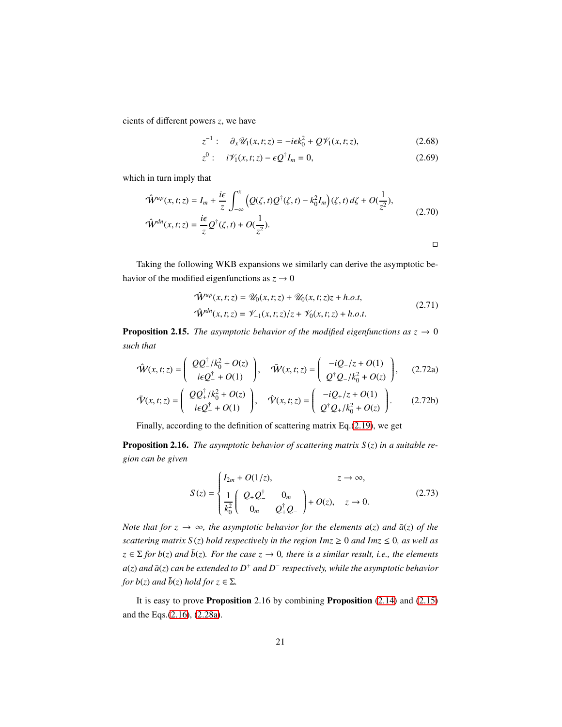cients of different powers *z*, we have

$$
z^{-1}: \quad \partial_x \mathscr{U}_1(x,t;z) = -i\epsilon k_0^2 + Q\mathscr{V}_1(x,t;z), \tag{2.68}
$$

$$
z^{0}: i\mathcal{V}_{1}(x,t;z)-\epsilon Q^{\dagger}I_{m}=0,
$$
\n(2.69)

which in turn imply that

$$
\hat{\mathbf{W}}^{up}(x,t;z) = I_m + \frac{i\epsilon}{z} \int_{-\infty}^x \left( Q(\zeta,t)Q^{\dagger}(\zeta,t) - k_0^2 I_m \right) (\zeta,t) d\zeta + O(\frac{1}{z^2}),
$$
\n
$$
\hat{\mathbf{W}}^{dn}(x,t;z) = \frac{i\epsilon}{z} Q^{\dagger}(\zeta,t) + O(\frac{1}{z^2}).
$$
\n
$$
\Box
$$

Taking the following WKB expansions we similarly can derive the asymptotic behavior of the modified eigenfunctions as  $z \to 0$ 

$$
\hat{\mathbf{W}}^{up}(x,t;z) = \mathcal{U}_0(x,t;z) + \mathcal{U}_0(x,t;z)z + h.o.t,
$$
  

$$
\hat{\mathbf{W}}^{dn}(x,t;z) = \mathcal{V}_{-1}(x,t;z)/z + \mathcal{V}_0(x,t;z) + h.o.t.
$$
 (2.71)

<span id="page-20-0"></span>**Proposition 2.15.** *The asymptotic behavior of the modified eigenfunctions as*  $z \rightarrow 0$ *such that*

$$
\hat{\mathbf{W}}(x,t;z) = \begin{pmatrix} QQ^{\dagger}_{-}/k_{0}^{2} + O(z) \\ i\epsilon Q^{\dagger}_{-} + O(1) \end{pmatrix}, \quad \bar{\mathbf{W}}(x,t;z) = \begin{pmatrix} -iQ_{-}/z + O(1) \\ Q^{\dagger}Q_{-}/k_{0}^{2} + O(z) \end{pmatrix}, \quad (2.72a)
$$

$$
\bar{\mathbf{\nabla}}(x,t;z) = \begin{pmatrix} QQ_{+}^{\dagger}/k_{0}^{2} + O(z) \\ i\epsilon Q_{+}^{\dagger} + O(1) \end{pmatrix}, \quad \hat{\mathbf{\nabla}}(x,t;z) = \begin{pmatrix} -iQ_{+}/z + O(1) \\ Q^{\dagger}Q_{+}/k_{0}^{2} + O(z) \end{pmatrix}.
$$
 (2.72b)

Finally, according to the definition of scattering matrix Eq.[\(2.19\)](#page-8-1), we get

Proposition 2.16. *The asymptotic behavior of scattering matrix S* (*z*) *in a suitable region can be given*

<span id="page-20-1"></span>
$$
S(z) = \begin{cases} I_{2m} + O(1/z), & z \to \infty, \\ \frac{1}{k_0^2} \begin{pmatrix} Q_+ Q_-^{\dagger} & 0_m \\ 0_m & Q_+^{\dagger} Q_- \end{pmatrix} + O(z), & z \to 0. \end{cases}
$$
(2.73)

*Note that for*  $z \to \infty$ *, the asymptotic behavior for the elements a(z) and*  $\bar{a}(z)$  *of the scattering matrix*  $S(z)$  *hold respectively in the region Imz*  $\geq 0$  *and Imz*  $\leq 0$ *, as well as*  $z \in \Sigma$  *for b*(*z*) *and*  $\bar{b}(z)$ *. For the case*  $z \to 0$ *, there is a similar result, i.e., the elements a*(*z*) *and*  $\bar{a}$ (*z*) *can be extended to*  $D^+$  *and*  $D^-$  *respectively, while the asymptotic behavior for b*(*z*) *and*  $\bar{b}(z)$  *hold for*  $z \in \Sigma$ *.* 

It is easy to prove Proposition 2.16 by combining Proposition  $(2.14)$  and  $(2.15)$ and the Eqs.[\(2.16\)](#page-7-2), [\(2.28a\)](#page-11-1).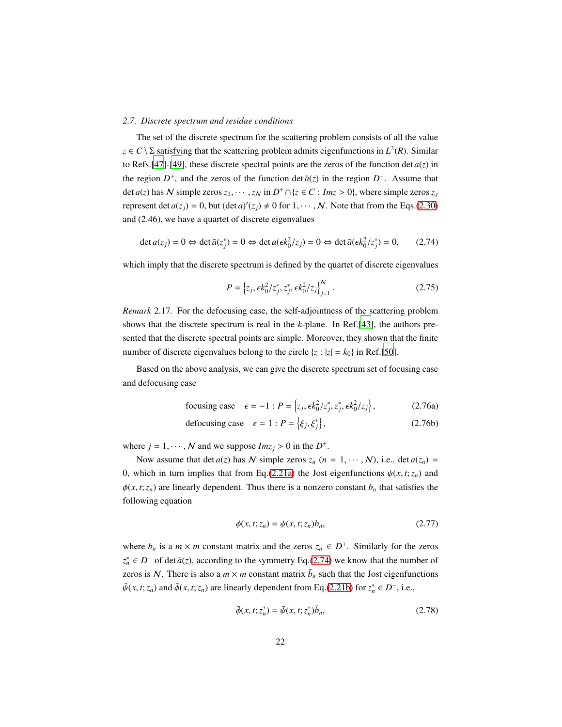#### <span id="page-21-0"></span>*2.7. Discrete spectrum and residue conditions*

The set of the discrete spectrum for the scattering problem consists of all the value  $z \in C \setminus \Sigma$  satisfying that the scattering problem admits eigenfunctions in  $L^2(R)$ . Similar to Refs. [\[47](#page-50-4)]-[\[49](#page-50-5)], these discrete spectral points are the zeros of the function det  $a(z)$  in the region  $D^+$ , and the zeros of the function det  $\bar{a}(z)$  in the region  $D^-$ . Assume that det *a*(*z*) has N simple zeros  $z_1, \dots, z_N$  in  $D^+ \cap \{z \in C : Imz > 0\}$ , where simple zeros  $z_j$ represent det  $a(z_j) = 0$ , but  $(\det a)'(z_j) \neq 0$  for  $1, \dots, N$ . Note that from the Eqs.[\(2.30\)](#page-12-0) and (2.46), we have a quartet of discrete eigenvalues

$$
\det a(z_j) = 0 \Leftrightarrow \det \bar{a}(z_j^*) = 0 \Leftrightarrow \det a(\epsilon k_0^2 / z_j) = 0 \Leftrightarrow \det \bar{a}(\epsilon k_0^2 / z_j^*) = 0,\tag{2.74}
$$

which imply that the discrete spectrum is defined by the quartet of discrete eigenvalues

<span id="page-21-4"></span><span id="page-21-1"></span>
$$
P = \left\{ z_j, \epsilon k_0^2 / z_j^*, z_j^*, \epsilon k_0^2 / z_j \right\}_{j=1}^N.
$$
 (2.75)

<span id="page-21-5"></span>*Remark* 2.17*.* For the defocusing case, the self-adjointness of the scattering problem shows that the discrete spectrum is real in the *k*-plane. In Ref.[\[43\]](#page-50-1), the authors presented that the discrete spectral points are simple. Moreover, they shown that the finite number of discrete eigenvalues belong to the circle  $\{z : |z| = k_0\}$  in Ref.[\[50\]](#page-50-6).

Based on the above analysis, we can give the discrete spectrum set of focusing case and defocusing case

focusing case 
$$
\epsilon = -1
$$
:  $P = \left\{ z_j, \epsilon k_0^2 / z_j^*, z_j^*, \epsilon k_0^2 / z_j \right\},$  (2.76a)

defocusing case 
$$
\epsilon = 1 : P = \{\xi_j, \xi_j^*\},
$$
 (2.76b)

where  $j = 1, \dots, N$  and we suppose  $Im z_j > 0$  in the  $D^+$ .

Now assume that det  $a(z)$  has N simple zeros  $z_n$  ( $n = 1, \dots, N$ ), i.e., det  $a(z_n)$  = 0, which in turn implies that from Eq.[\(2.21a\)](#page-9-1) the Jost eigenfunctions  $\psi(x, t; z_n)$  and  $\phi(x, t; z_n)$  are linearly dependent. Thus there is a nonzero constant  $b_n$  that satisfies the following equation

<span id="page-21-2"></span>
$$
\phi(x, t; z_n) = \psi(x, t; z_n) b_n,\tag{2.77}
$$

where  $b_n$  is a  $m \times m$  constant matrix and the zeros  $z_n \in D^+$ . Similarly for the zeros  $z_n^*$  ∈ *D*<sup>−</sup> of det  $\bar{a}(z)$ , according to the symmetry Eq.[\(2.74\)](#page-21-1) we know that the number of zeros is N. There is also a  $m \times m$  constant matrix  $\bar{b}_n$  such that the Jost eigenfunctions  $\bar{\psi}(x, t; z_n)$  and  $\bar{\phi}(x, t; z_n)$  are linearly dependent from Eq.[\(2.21b\)](#page-9-1) for  $z_n^* \in D^-$ , i.e.,

<span id="page-21-3"></span>
$$
\bar{\phi}(x, t; z_n^*) = \bar{\psi}(x, t; z_n^*) \bar{b}_n, \tag{2.78}
$$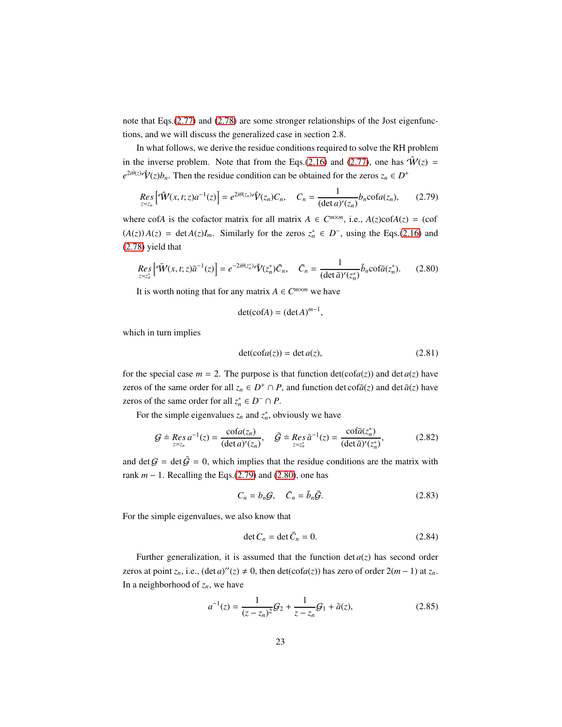note that Eqs.[\(2.77\)](#page-21-2) and [\(2.78\)](#page-21-3) are some stronger relationships of the Jost eigenfunctions, and we will discuss the generalized case in section 2.8.

In what follows, we derive the residue conditions required to solve the RH problem in the inverse problem. Note that from the Eqs.[\(2.16\)](#page-7-2) and [\(2.77\)](#page-21-2), one has  $\hat{W}(z)$  =  $e^{2i\theta(z)}\hat{V}(z)b_n$ . Then the residue condition can be obtained for the zeros  $z_n \in D^+$ 

$$
\underset{z=z_n}{\text{Res}}\left[\hat{\mathbf{W}}(x,t;z)a^{-1}(z)\right] = e^{2i\theta(z_n)}\hat{\mathbf{V}}(z_n)C_n, \quad C_n = \frac{1}{(\det a)'(z_n)}b_n \cot a(z_n), \tag{2.79}
$$

where cof*A* is the cofactor matrix for all matrix  $A \in C^{m \times m}$ , i.e.,  $A(z) \text{cof}A(z) = (\text{cof}A) \text{cof}A(z)$  $(A(z))A(z) = \det A(z)I_m$ . Similarly for the zeros  $z_n^* \in D^-$ , using the Eqs.[\(2.16\)](#page-7-2) and [\(2.78\)](#page-21-3) yield that

$$
Res_{z=z_n^*} \left[ \bar{W}(x,t;z)\bar{a}^{-1}(z) \right] = e^{-2i\theta(z_n^*)} \bar{V}(z_n^*) \bar{C}_n, \quad \bar{C}_n = \frac{1}{(\det \bar{a})'(z_n^*)} \bar{b}_n \cot \bar{a}(z_n^*). \tag{2.80}
$$

It is worth noting that for any matrix  $A \in C^{m \times m}$  we have

<span id="page-22-1"></span><span id="page-22-0"></span>
$$
\det(\operatorname{cof} A) = (\det A)^{m-1},
$$

which in turn implies

$$
\det(\operatorname{cofa}(z)) = \det a(z),\tag{2.81}
$$

for the special case  $m = 2$ . The purpose is that function  $det(cofa(z))$  and  $det a(z)$  have zeros of the same order for all  $z_n \in D^+ \cap P$ , and function det cof $\bar{a}(z)$  and det  $\bar{a}(z)$  have zeros of the same order for all  $z_n^* \in D^- \cap P$ .

For the simple eigenvalues  $z_n$  and  $z_n^*$ , obviously we have

$$
\mathcal{G} \doteq \mathop{Res}_{z=z_n} a^{-1}(z) = \frac{\text{cofa}(z_n)}{(\det a)'(z_n)}, \quad \bar{\mathcal{G}} \doteq \mathop{Res}_{z=z_n^*} \bar{a}^{-1}(z) = \frac{\text{cofa}(z_n^*)}{(\det \bar{a})'(z_n^*)},\tag{2.82}
$$

and det  $G = \det \bar{G} = 0$ , which implies that the residue conditions are the matrix with rank *m* − 1. Recalling the Eqs.[\(2.79\)](#page-22-0) and [\(2.80\)](#page-22-1), one has

$$
C_n = b_n \mathcal{G}, \quad \bar{C}_n = \bar{b}_n \bar{\mathcal{G}}.
$$
 (2.83)

For the simple eigenvalues, we also know that

$$
\det C_n = \det \bar{C}_n = 0. \tag{2.84}
$$

Further generalization, it is assumed that the function  $\det a(z)$  has second order zeros at point  $z_n$ , i.e.,  $(\det a)''(z) \neq 0$ , then  $\det(\cot(a(z)))$  has zero of order  $2(m-1)$  at  $z_n$ . In a neighborhood of  $z_n$ , we have

$$
a^{-1}(z) = \frac{1}{(z - z_n)^2} G_2 + \frac{1}{z - z_n} G_1 + \tilde{a}(z),
$$
 (2.85)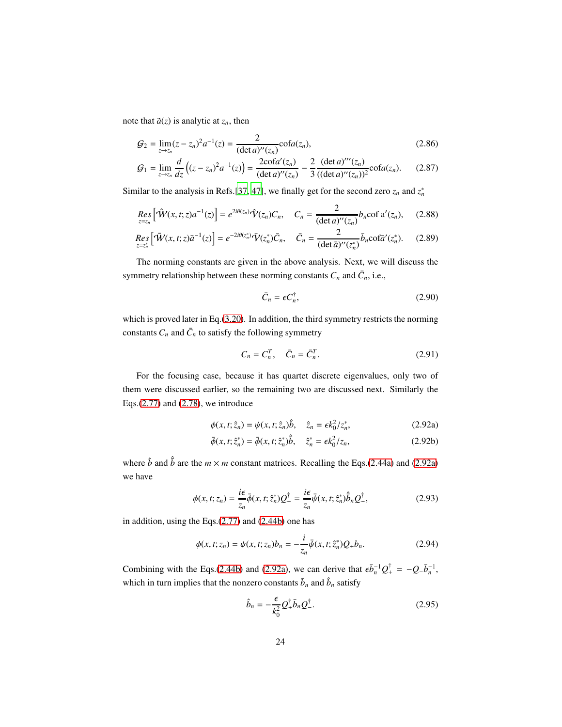note that  $\tilde{a}(z)$  is analytic at  $z_n$ , then

$$
G_2 = \lim_{z \to z_n} (z - z_n)^2 a^{-1}(z) = \frac{2}{(\det a)''(z_n)} \operatorname{cofa}(z_n),\tag{2.86}
$$

$$
G_1 = \lim_{z \to z_n} \frac{d}{dz} \left( (z - z_n)^2 a^{-1}(z) \right) = \frac{2 \cot^2(z_n)}{(\det a)''(z_n)} - \frac{2}{3} \frac{(\det a)''(z_n)}{((\det a)''(z_n))^2} \cot^2(a z_n). \tag{2.87}
$$

Similar to the analysis in Refs.[\[37,](#page-49-6) [47](#page-50-4)], we finally get for the second zero  $z_n$  and  $z_n^*$ 

$$
Res_{z=z_n} [\hat{W}(x,t;z)a^{-1}(z)] = e^{2i\theta(z_n)} \hat{V}(z_n) C_n, \quad C_n = \frac{2}{(\det a)''(z_n)} b_n \text{cof } a'(z_n), \quad (2.88)
$$

$$
\underset{z=z_n^*}{\text{Res}}\Big[\tilde{\mathbf{W}}(x,t;z)\bar{a}^{-1}(z)\Big] = e^{-2i\theta(z_n^*)}\bar{\mathbf{V}}(z_n^*)\bar{C}_n, \quad \bar{C}_n = \frac{2}{(\det \bar{a})''(z_n^*)}\bar{b}_n \text{cof}\bar{a}'(z_n^*). \tag{2.89}
$$

The norming constants are given in the above analysis. Next, we will discuss the symmetry relationship between these norming constants  $C_n$  and  $\bar{C}_n$ , i.e.,

<span id="page-23-0"></span>
$$
\bar{C}_n = \epsilon C_n^{\dagger},\tag{2.90}
$$

which is proved later in Eq.[\(3.20\)](#page-30-1). In addition, the third symmetry restricts the norming constants  $C_n$  and  $\bar{C}_n$  to satisfy the following symmetry

$$
C_n = C_n^T, \quad \bar{C}_n = \bar{C}_n^T. \tag{2.91}
$$

For the focusing case, because it has quartet discrete eigenvalues, only two of them were discussed earlier, so the remaining two are discussed next. Similarly the Eqs.[\(2.77\)](#page-21-2) and [\(2.78\)](#page-21-3), we introduce

$$
\phi(x, t; \hat{z}_n) = \psi(x, t; \hat{z}_n)\hat{b}, \quad \hat{z}_n = \epsilon k_0^2 / z_n^*,
$$
 (2.92a)

$$
\bar{\phi}(x, t; \hat{z}_n^*) = \bar{\phi}(x, t; \hat{z}_n^*)\hat{b}, \quad \hat{z}_n^* = \epsilon k_0^2 / z_n,
$$
 (2.92b)

where  $\hat{b}$  and  $\hat{\bar{b}}$  are the  $m \times m$  constant matrices. Recalling the Eqs.[\(2.44a\)](#page-15-0) and [\(2.92a\)](#page-23-0) we have

$$
\phi(x,t;z_n) = \frac{i\epsilon}{z_n}\bar{\phi}(x,t;\hat{z}_n^*)Q_{-}^{\dagger} = \frac{i\epsilon}{z_n}\bar{\psi}(x,t;\hat{z}_n^*)\hat{b}_nQ_{-}^{\dagger},\tag{2.93}
$$

in addition, using the Eqs.[\(2.77\)](#page-21-2) and [\(2.44b\)](#page-15-0) one has

$$
\phi(x, t; z_n) = \psi(x, t; z_n) b_n = -\frac{i}{z_n} \bar{\psi}(x, t; \hat{z}_n^*) Q_+ b_n.
$$
 (2.94)

Combining with the Eqs.[\(2.44b\)](#page-15-0) and [\(2.92a\)](#page-23-0), we can derive that  $\epsilon \bar{b}_n^{-1} Q_+^{\dagger} = -Q_- \bar{b}_n^{-1}$ , which in turn implies that the nonzero constants  $\bar{b}_n$  and  $\hat{b}_n$  satisfy

<span id="page-23-2"></span><span id="page-23-1"></span>
$$
\hat{b}_n = -\frac{\epsilon}{k_0^2} Q_+^{\dagger} \bar{b}_n Q_-^{\dagger}.
$$
\n(2.95)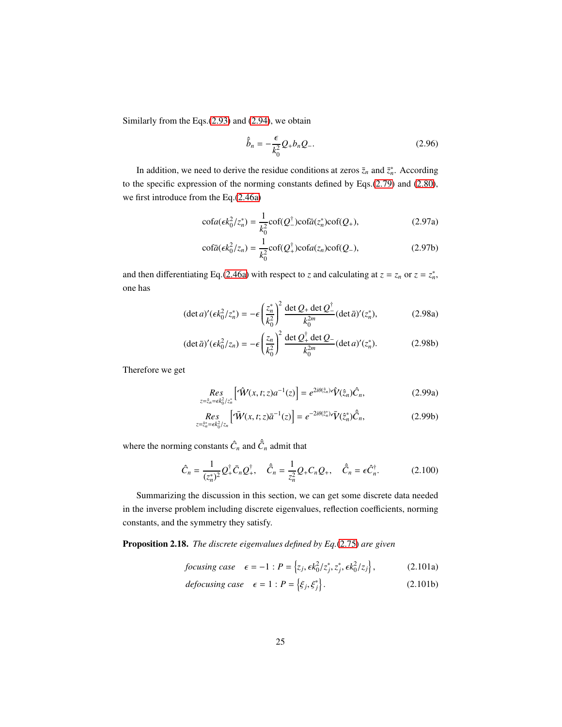Similarly from the Eqs.[\(2.93\)](#page-23-1) and [\(2.94\)](#page-23-2), we obtain

$$
\hat{b}_n = -\frac{\epsilon}{k_0^2} Q_+ b_n Q_-.
$$
\n(2.96)

In addition, we need to derive the residue conditions at zeros  $\bar{z}_n$  and  $\bar{z}_n^*$ . According to the specific expression of the norming constants defined by Eqs.[\(2.79\)](#page-22-0) and [\(2.80\)](#page-22-1), we first introduce from the Eq.[\(2.46a\)](#page-15-1)

$$
\operatorname{cofa}(\epsilon k_0^2 / z_n^*) = \frac{1}{k_0^2} \operatorname{cof}(Q_-^{\dagger}) \operatorname{cofa}(z_n^*) \operatorname{cof}(Q_+),\tag{2.97a}
$$

$$
\operatorname{cof\bar{a}}(\epsilon k_0^2/z_n) = \frac{1}{k_0^2} \operatorname{cof}(Q_+^{\dagger}) \operatorname{cof}a(z_n) \operatorname{cof}(Q_-),\tag{2.97b}
$$

and then differentiating Eq.[\(2.46a\)](#page-15-1) with respect to *z* and calculating at  $z = z_n$  or  $z = z_n^*$ , one has

$$
(\det a)'(\epsilon k_0^2 / z_n^*) = -\epsilon \left(\frac{z_n^*}{k_0^2}\right)^2 \frac{\det Q_+ \det Q_-^{\dagger}}{k_0^{2m}} (\det \bar{a})'(z_n^*),
$$
 (2.98a)

$$
(\det \bar{a})' (\epsilon k_0^2 / z_n) = -\epsilon \left(\frac{z_n}{k_0^2}\right)^2 \frac{\det Q_+^{\dagger} \det Q_-}{k_0^{2m}} (\det a)' (z_n^*).
$$
 (2.98b)

Therefore we get

<span id="page-24-1"></span>
$$
\underset{z=\hat{z}_n=\epsilon k_0^2/z_n^*}{\text{Res}}\left[\hat{W}(x,t;z)a^{-1}(z)\right] = e^{2i\theta(\hat{z}_n)}\hat{V}(\hat{z}_n)\hat{C}_n,\tag{2.99a}
$$

$$
\underset{z=\hat{z}_n^*=\epsilon k_0^2}{\text{Res}}\left[\tilde{W}(x,t;z)\bar{a}^{-1}(z)\right] = e^{-2i\theta(\hat{z}_n^*)}\bar{V}(\hat{z}_n^*)\hat{\bar{C}}_n,\tag{2.99b}
$$

where the norming constants  $\hat{C}_n$  and  $\hat{\bar{C}}_n$  admit that

$$
\hat{C}_n = \frac{1}{(z_n^*)^2} Q_+^{\dagger} \bar{C}_n Q_+^{\dagger}, \quad \hat{\bar{C}}_n = \frac{1}{z_n^2} Q_+ C_n Q_+, \quad \hat{\bar{C}}_n = \epsilon \hat{C}_n^{\dagger}.
$$
 (2.100)

Summarizing the discussion in this section, we can get some discrete data needed in the inverse problem including discrete eigenvalues, reflection coefficients, norming constants, and the symmetry they satisfy.

<span id="page-24-0"></span>Proposition 2.18. *The discrete eigenvalues defined by Eq.*[\(2.75\)](#page-21-4) *are given*

$$
focusing case \quad \epsilon = -1 : P = \left\{ z_j, \epsilon k_0^2 / z_j^*, z_j^*, \epsilon k_0^2 / z_j \right\},\tag{2.101a}
$$

$$
defocusing case \quad \epsilon = 1 : P = \left\{ \xi_j, \xi_j^* \right\}. \tag{2.101b}
$$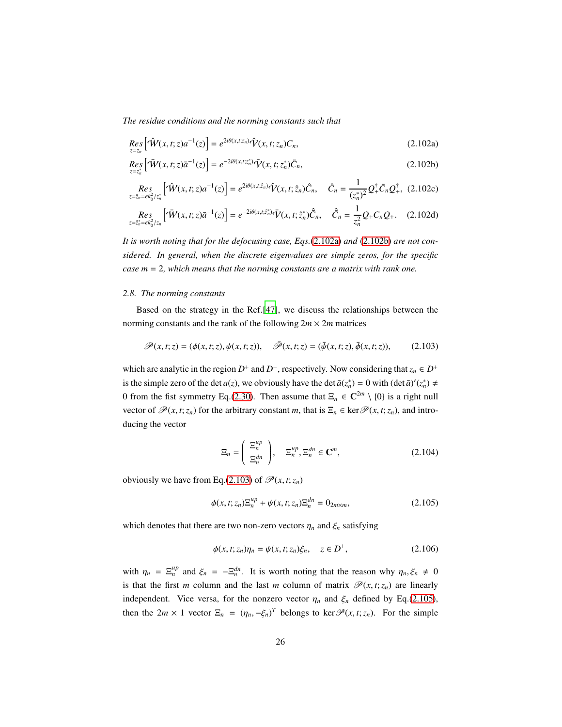*The residue conditions and the norming constants such that*

$$
\underset{z=z_n}{\text{Res}}\left[\hat{\mathbf{W}}(x,t;z)a^{-1}(z)\right] = e^{2i\theta(x,t;z_n)}\hat{\mathbf{V}}(x,t;z_n)C_n,\tag{2.102a}
$$

$$
\underset{z=z_n^*}{Res} \Big[ \bar{\mathbf{W}}(x, t; z) \bar{a}^{-1}(z) \Big] = e^{-2i\theta(x, t; z_n^*)} \bar{\mathbf{V}}(x, t; z_n^*) \bar{C}_n, \tag{2.102b}
$$

$$
\underset{z=z_n=\epsilon k_0^2/z_n^*}{\text{Res}}\left[\hat{\mathcal{W}}(x,t;z)a^{-1}(z)\right] = e^{2i\theta(x,t;\hat{z}_n)}\hat{\mathcal{V}}(x,t;\hat{z}_n)\hat{C}_n, \quad \hat{C}_n = \frac{1}{(z_n^*)^2}Q_+^{\dagger}\bar{C}_nQ_+^{\dagger}, \tag{2.102c}
$$

$$
\underset{z=\hat{z}_{n}^{*}=\epsilon k_{0}^{2}/z_{n}}{Res} \left[\tilde{\mathbf{W}}(x,t;z)\bar{a}^{-1}(z)\right] = e^{-2i\theta(x,t;\hat{z}_{n}^{*})}\bar{\mathbf{V}}(x,t;\hat{z}_{n}^{*})\hat{\bar{C}}_{n}, \quad \hat{\bar{C}}_{n} = \frac{1}{z_{n}^{2}}Q_{+}C_{n}Q_{+}.
$$
 (2.102d)

*It is worth noting that for the defocusing case, Eqs.*[\(2.102a\)](#page-24-0) *and* [\(2.102b\)](#page-24-0) *are not considered. In general, when the discrete eigenvalues are simple zeros, for the specific case m* = 2*, which means that the norming constants are a matrix with rank one.*

### <span id="page-25-0"></span>*2.8. The norming constants*

Based on the strategy in the Ref.[\[47\]](#page-50-4), we discuss the relationships between the norming constants and the rank of the following  $2m \times 2m$  matrices

$$
\mathscr{P}(x,t;z) = (\phi(x,t;z), \psi(x,t;z)), \quad \bar{\mathscr{P}}(x,t;z) = (\bar{\psi}(x,t;z), \bar{\phi}(x,t;z)), \tag{2.103}
$$

which are analytic in the region  $D^+$  and  $D^-$ , respectively. Now considering that  $z_n \in D^+$ is the simple zero of the det *a*(*z*), we obviously have the det  $\bar{a}(z_n^*) = 0$  with  $(\det \bar{a})'(z_n^*) \neq 0$ 0 from the fist symmetry Eq.[\(2.30\)](#page-12-0). Then assume that  $\Xi_n \in \mathbb{C}^{2m} \setminus \{0\}$  is a right null vector of  $\mathscr{P}(x, t; z_n)$  for the arbitrary constant *m*, that is  $\Xi_n \in \text{ker } \mathscr{P}(x, t; z_n)$ , and introducing the vector

<span id="page-25-2"></span><span id="page-25-1"></span>
$$
\Xi_n = \left(\begin{array}{c} \Xi_n^{up} \\ \Xi_n^{dn} \end{array}\right), \quad \Xi_n^{up}, \Xi_n^{dn} \in \mathbb{C}^m, \tag{2.104}
$$

obviously we have from Eq.[\(2.103\)](#page-25-1) of  $\mathcal{P}(x, t; z_n)$ 

$$
\phi(x, t; z_n) \Xi_n^{up} + \psi(x, t; z_n) \Xi_n^{dn} = 0_{2m \times m},
$$
\n(2.105)

which denotes that there are two non-zero vectors  $\eta_n$  and  $\xi_n$  satisfying

$$
\phi(x, t; z_n)\eta_n = \psi(x, t; z_n)\xi_n, \quad z \in D^+, \tag{2.106}
$$

with  $\eta_n = \Xi_n^{up}$  and  $\xi_n = -\Xi_n^{dn}$ . It is worth noting that the reason why  $\eta_n, \xi_n \neq 0$ is that the first *m* column and the last *m* column of matrix  $\mathcal{P}(x, t; z_n)$  are linearly independent. Vice versa, for the nonzero vector  $\eta_n$  and  $\xi_n$  defined by Eq.[\(2.105\)](#page-25-2), then the  $2m \times 1$  vector  $\Xi_n = (\eta_n, -\xi_n)^T$  belongs to ker $\mathcal{P}(x, t; z_n)$ . For the simple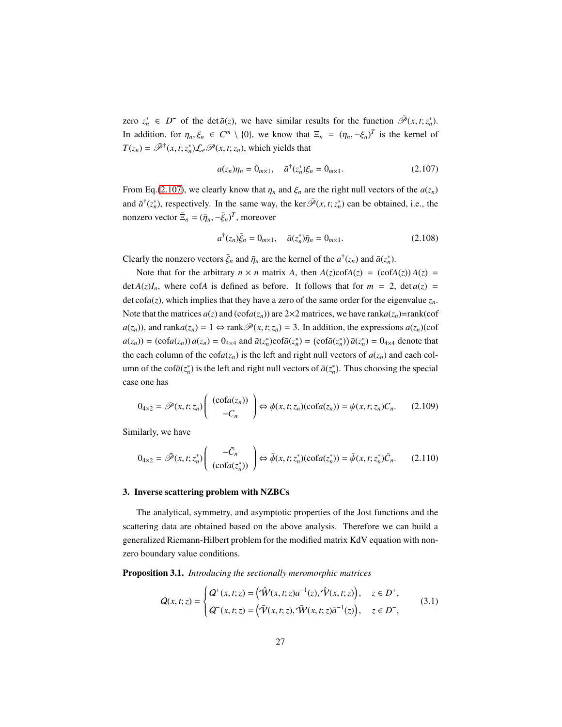zero  $z_n^* \in D^-$  of the det  $\bar{a}(z)$ , we have similar results for the function  $\bar{\mathcal{P}}(x, t; z_n^*)$ . In addition, for  $\eta_n, \xi_n \in C^m \setminus \{0\}$ , we know that  $\Xi_n = (\eta_n, -\xi_n)^T$  is the kernel of  $T(z_n) = \overline{\mathscr{P}}^{\dagger}(x, t; z_n) \mathcal{L}_{\epsilon} \mathscr{P}(x, t; z_n)$ , which yields that

<span id="page-26-1"></span>
$$
a(z_n)\eta_n = 0_{m \times 1}, \quad \bar{a}^\dagger(z_n^*)\xi_n = 0_{m \times 1}.
$$
 (2.107)

From Eq.[\(2.107\)](#page-26-1), we clearly know that  $\eta_n$  and  $\xi_n$  are the right null vectors of the  $a(z_n)$ and  $\bar{a}^{\dagger}(z_n^*)$ , respectively. In the same way, the ker $\bar{\mathcal{P}}(x, t; z_n^*)$  can be obtained, i.e., the nonzero vector  $\bar{\Xi}_n = (\bar{\eta}_n, -\bar{\xi}_n)^T$ , moreover

$$
a^{\dagger}(z_n)\bar{\xi}_n = 0_{m \times 1}, \quad \bar{a}(z_n^*)\bar{\eta}_n = 0_{m \times 1}.
$$
 (2.108)

Clearly the nonzero vectors  $\bar{\xi}_n$  and  $\bar{\eta}_n$  are the kernel of the  $a^{\dagger}(z_n)$  and  $\bar{a}(z_n^*)$ .

Note that for the arbitrary  $n \times n$  matrix *A*, then  $A(z) \text{cof}A(z) = (\text{cof}A(z))A(z) =$  $\det A(z)I_n$ , where cof*A* is defined as before. It follows that for  $m = 2$ ,  $\det a(z) =$  $\det \text{cofa}(z)$ , which implies that they have a zero of the same order for the eigenvalue  $z_n$ . Note that the matrices  $a(z)$  and  $(\text{cofa}(z_n))$  are  $2 \times 2$  matrices, we have rank $a(z_n)$ =rank(cof *a*(*z*<sub>*n*</sub>)), and rank*a*(*z*<sub>*n*</sub>) = 1 ⇔ rank $\mathcal{P}(x, t; z_n) = 3$ . In addition, the expressions *a*(*z*<sub>*n*</sub>)(cof  $a(z_n)) = (\cot a(z_n)) a(z_n) = 0_{4\times 4}$  and  $\bar{a}(z_n^*)\cot \bar{a}(z_n^*) = (\cot \bar{a}(z_n^*)) \bar{a}(z_n^*) = 0_{4\times 4}$  denote that the each column of the  $\text{cofa}(z_n)$  is the left and right null vectors of  $a(z_n)$  and each column of the cof $\bar{a}(z_n^*)$  is the left and right null vectors of  $\bar{a}(z_n^*)$ . Thus choosing the special case one has

$$
0_{4\times 2} = \mathscr{P}(x, t; z_n) \begin{pmatrix} (\cot(a(z_n)) \\ -C_n \end{pmatrix} \Leftrightarrow \phi(x, t; z_n) (\cot(a(z_n)) = \psi(x, t; z_n) C_n. \tag{2.109}
$$

Similarly, we have

$$
0_{4\times 2} = \bar{\mathscr{P}}(x, t; z_n^*) \begin{pmatrix} -\bar{C}_n \\ (\text{cofa}(z_n^*)) \end{pmatrix} \Leftrightarrow \bar{\phi}(x, t; z_n^*)(\text{cofa}(z_n^*)) = \bar{\psi}(x, t; z_n^*) \bar{C}_n.
$$
 (2.110)

#### <span id="page-26-0"></span>3. Inverse scattering problem with NZBCs

The analytical, symmetry, and asymptotic properties of the Jost functions and the scattering data are obtained based on the above analysis. Therefore we can build a generalized Riemann-Hilbert problem for the modified matrix KdV equation with nonzero boundary value conditions.

Proposition 3.1. *Introducing the sectionally meromorphic matrices*

<span id="page-26-2"></span>
$$
Q(x,t;z) = \begin{cases} Q^{+}(x,t;z) = (\hat{W}(x,t;z)a^{-1}(z), \hat{V}(x,t;z)), & z \in D^{+}, \\ Q^{-}(x,t;z) = (\bar{V}(x,t;z), \bar{W}(x,t;z)\bar{a}^{-1}(z)), & z \in D^{-}, \end{cases}
$$
(3.1)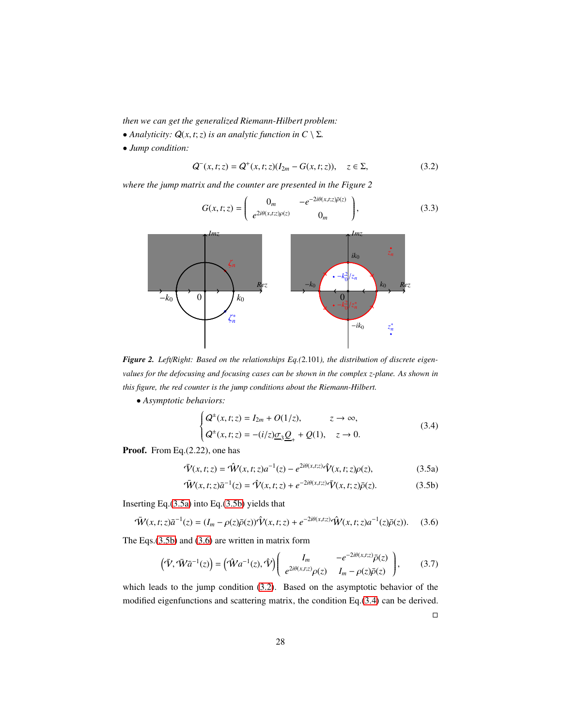*then we can get the generalized Riemann-Hilbert problem:*

- *Analyticity:*  $Q(x, t; z)$  *is an analytic function in*  $C \setminus \Sigma$ *.*
- *Jump condition:*

$$
Q^{-}(x,t;z) = Q^{+}(x,t;z)(I_{2m} - G(x,t;z)), \quad z \in \Sigma,
$$
\n(3.2)

*where the jump matrix and the counter are presented in the Figure 2*

<span id="page-27-3"></span><span id="page-27-2"></span>
$$
G(x,t;z) = \begin{pmatrix} 0_m & -e^{-2i\theta(x,t;z)\bar{\rho}(z)} \\ e^{2i\theta(x,t;z)\rho(z)} & 0_m \end{pmatrix},
$$
(3.3)



*Figure 2. Left*/*Right: Based on the relationships Eq.(*2.101*), the distribution of discrete eigenvalues for the defocusing and focusing cases can be shown in the complex z-plane. As shown in this figure, the red counter is the jump conditions about the Riemann-Hilbert.*

• *Asymptotic behaviors:*

$$
\begin{cases} \mathbf{Q}^{\pm}(x,t;z) = I_{2m} + O(1/z), & z \to \infty, \\ \mathbf{Q}^{\pm}(x,t;z) = -(i/z)\underline{\sigma}_3 \underline{\mathbf{Q}}_+ + \mathbf{Q}(1), & z \to 0. \end{cases}
$$
 (3.4)

Proof. From Eq.(2.22), one has

$$
\overline{\hat{V}}(x,t;z) = \hat{W}(x,t;z)a^{-1}(z) - e^{2i\theta(x,t;z)}\hat{V}(x,t;z)\rho(z),
$$
\n(3.5a)

$$
\overline{\hat{W}}(x,t;z)\overline{a}^{-1}(z) = \hat{V}(x,t;z) + e^{-2i\theta(x,t;z)}\overline{V}(x,t;z)\overline{\rho}(z).
$$
 (3.5b)

Inserting Eq.[\(3.5a\)](#page-27-0) into Eq.[\(3.5b\)](#page-27-0) yields that

$$
\bar{W}(x,t;z)\bar{a}^{-1}(z) = (I_m - \rho(z)\bar{\rho}(z))\hat{V}(x,t;z) + e^{-2i\theta(x,t;z)}\hat{W}(x,t;z)a^{-1}(z)\bar{\rho}(z)).
$$
 (3.6)

The Eqs.[\(3.5b\)](#page-27-0) and [\(3.6\)](#page-27-1) are written in matrix form

$$
\left(\bar{\mathbf{V}}, \bar{\mathbf{W}}\bar{a}^{-1}(z)\right) = \left(\hat{\mathbf{W}}a^{-1}(z), \hat{\mathbf{V}}\right) \left(\begin{array}{cc} I_m & -e^{-2i\theta(x,t;z)}\bar{\rho}(z) \\ e^{2i\theta(x,t;z)}\rho(z) & I_m - \rho(z)\bar{\rho}(z) \end{array}\right),\tag{3.7}
$$

which leads to the jump condition [\(3.2\)](#page-27-2). Based on the asymptotic behavior of the modified eigenfunctions and scattering matrix, the condition Eq.[\(3.4\)](#page-27-0) can be derived.

<span id="page-27-1"></span><span id="page-27-0"></span> $\Box$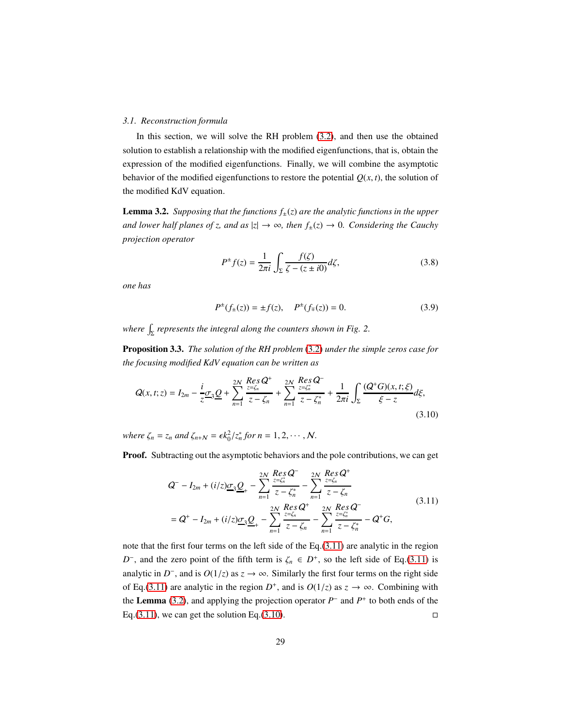#### <span id="page-28-0"></span>*3.1. Reconstruction formula*

In this section, we will solve the RH problem [\(3.2\)](#page-27-2), and then use the obtained solution to establish a relationship with the modified eigenfunctions, that is, obtain the expression of the modified eigenfunctions. Finally, we will combine the asymptotic behavior of the modified eigenfunctions to restore the potential  $Q(x, t)$ , the solution of the modified KdV equation.

<span id="page-28-2"></span>**Lemma 3.2.** *Supposing that the functions*  $f_{\pm}(z)$  *are the analytic functions in the upper and lower half planes of z, and as*  $|z| \to \infty$ , then  $f_{\pm}(z) \to 0$ *. Considering the Cauchy projection operator*

$$
P^{\pm}f(z) = \frac{1}{2\pi i} \int_{\Sigma} \frac{f(\zeta)}{\zeta - (z \pm i0)} d\zeta,
$$
 (3.8)

*one has*

<span id="page-28-3"></span>
$$
P^{\pm}(f_{\pm}(z)) = \pm f(z), \quad P^{\pm}(f_{\mp}(z)) = 0.
$$
 (3.9)

where  $\int_{\Sigma}$  represents the integral along the counters shown in Fig. 2.

Proposition 3.3. *The solution of the RH problem* [\(3.2\)](#page-27-2) *under the simple zeros case for the focusing modified KdV equation can be written as*

$$
Q(x,t;z) = I_{2m} - \frac{i}{z}\sigma_3 \underline{Q} + \sum_{n=1}^{2N} \frac{Res\ Q^+}{z - \zeta_n} + \sum_{n=1}^{2N} \frac{Res\ Q^-}{z - \zeta_n^*} + \frac{1}{2\pi i} \int_{\Sigma} \frac{(Q^+G)(x,t;\xi)}{\xi - z} d\xi,
$$
\n(3.10)

*where*  $\zeta_n = z_n$  *and*  $\zeta_{n+N} = \epsilon k_0^2/z_n^*$  *for*  $n = 1, 2, \dots, N$ .

**Proof.** Subtracting out the asymptotic behaviors and the pole contributions, we can get

<span id="page-28-1"></span>
$$
Q^{-} - I_{2m} + (i/z)\underline{\sigma}_{3}\underline{Q}_{+} - \sum_{n=1}^{2N} \frac{Res_{z=\zeta_{n}}Q^{-}}{z-\zeta_{n}^{*}} - \sum_{n=1}^{2N} \frac{Res_{z=\zeta_{n}}Q^{+}}{z-\zeta_{n}}
$$
  
=  $Q^{+} - I_{2m} + (i/z)\underline{\sigma}_{3}\underline{Q}_{+} - \sum_{n=1}^{2N} \frac{Res_{z=\zeta_{n}}Q^{+}}{z-\zeta_{n}} - \sum_{n=1}^{2N} \frac{Res_{z=\zeta_{n}^{*}}Q^{-}}{z-\zeta_{n}^{*}} - Q^{+}G,$  (3.11)

note that the first four terms on the left side of the Eq.[\(3.11\)](#page-28-1) are analytic in the region *D*<sup>-</sup>, and the zero point of the fifth term is  $\zeta_n \in D^+$ , so the left side of Eq.[\(3.11\)](#page-28-1) is analytic in *D*<sup>-</sup>, and is  $O(1/z)$  as  $z \to \infty$ . Similarly the first four terms on the right side of Eq.[\(3.11\)](#page-28-1) are analytic in the region  $D^+$ , and is  $O(1/z)$  as  $z \to \infty$ . Combining with the **Lemma** [\(3.2\)](#page-28-2), and applying the projection operator  $P^-$  and  $P^+$  to both ends of the Eq.[\(3.11\)](#page-28-1), we can get the solution Eq.[\(3.10\)](#page-28-3).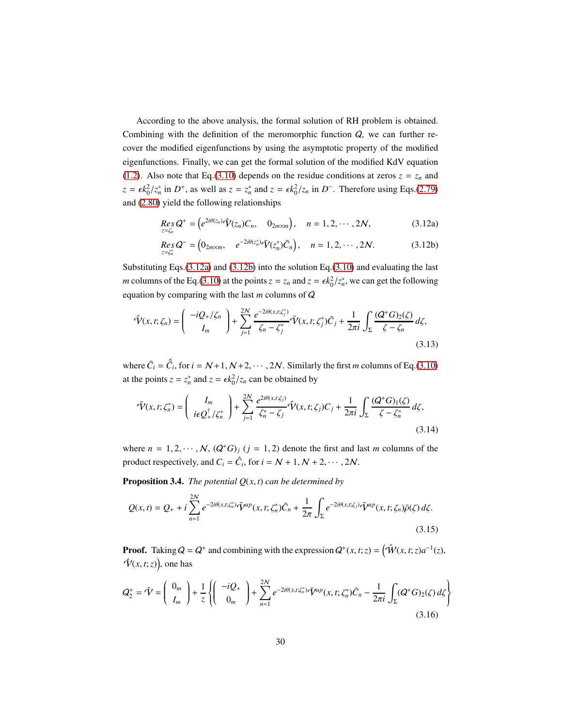According to the above analysis, the formal solution of RH problem is obtained. Combining with the definition of the meromorphic function  $Q$ , we can further recover the modified eigenfunctions by using the asymptotic property of the modified eigenfunctions. Finally, we can get the formal solution of the modified KdV equation [\(1.2\)](#page-2-0). Also note that Eq.[\(3.10\)](#page-28-3) depends on the residue conditions at zeros  $z = z_n$  and  $z = \epsilon k_0^2/z_n^*$  in *D*<sup>+</sup>, as well as  $z = z_n^*$  and  $z = \epsilon k_0^2/z_n$  in *D*<sup>-</sup>. Therefore using Eqs.[\(2.79\)](#page-22-0) and [\(2.80\)](#page-22-1) yield the following relationships

$$
Res_{z=\zeta_n} Q^+ = \left( e^{2i\theta(z_n)} \hat{\mathcal{V}}(z_n) C_n, \quad 0_{2m \times m} \right), \quad n = 1, 2, \cdots, 2N, \tag{3.12a}
$$

<span id="page-29-1"></span>
$$
Res_{z=\zeta_n^*} Q^- = \left(0_{2m \times m}, \quad e^{-2i\theta(z_n^*)} \bar{V}(z_n^*) \bar{C}_n \right), \quad n = 1, 2, \cdots, 2N. \tag{3.12b}
$$

Substituting Eqs.[\(3.12a\)](#page-28-1) and [\(3.12b\)](#page-28-1) into the solution Eq.[\(3.10\)](#page-28-3) and evaluating the last *m* columns of the Eq.[\(3.10\)](#page-28-3) at the points  $z = z_n$  and  $z = \epsilon k_0^2 / z_n^*$ , we can get the following equation by comparing with the last *m* columns of Q

$$
\hat{\mathbf{V}}(x,t;\zeta_n) = \begin{pmatrix} -iQ_+/\zeta_n \\ I_m \end{pmatrix} + \sum_{j=1}^{2N} \frac{e^{-2i\theta(x,t;\zeta_j^*)}}{\zeta_n - \zeta_j^*} \bar{\mathbf{V}}(x,t;\zeta_j^*) \bar{C}_j + \frac{1}{2\pi i} \int_{\Sigma} \frac{(Q^+G)_2(\zeta)}{\zeta - \zeta_n} d\zeta,
$$
\n(3.13)

where  $\bar{C}_i = \hat{C}_i$ , for  $i = N+1, N+2, \dots, 2N$ . Similarly the first *m* columns of Eq.[\(3.10\)](#page-28-3) at the points  $z = z_n^*$  and  $z = \epsilon k_0^2 / z_n$  can be obtained by

<span id="page-29-2"></span>
$$
\bar{\mathbf{V}}(x,t;\zeta_n^*) = \left(\begin{array}{c} I_m \\ i\epsilon Q_+^{\dagger}/\zeta_n^* \end{array}\right) + \sum_{j=1}^{2N} \frac{e^{2i\theta(x,t;\zeta_j)}}{\zeta_n^* - \zeta_j} \hat{\mathbf{V}}(x,t;\zeta_j) C_j + \frac{1}{2\pi i} \int_{\Sigma} \frac{(Q^+G)_1(\zeta)}{\zeta - \zeta_n^*} d\zeta,
$$
\n(3.14)

where  $n = 1, 2, \dots, N$ ,  $(Q^+G)_j$   $(j = 1, 2)$  denote the first and last *m* columns of the product respectively, and  $C_i = \hat{C}_i$ , for  $i = N + 1, N + 2, \dots, 2N$ .

**Proposition 3.4.** *The potential*  $Q(x, t)$  *can be determined by* 

<span id="page-29-0"></span>
$$
Q(x,t) = Q_{+} + i \sum_{n=1}^{2N} e^{-2i\theta(x,t;\zeta_{n}^{*})} \bar{\mathbf{V}}^{up}(x,t;\zeta_{n}^{*}) \bar{C}_{n} + \frac{1}{2\pi} \int_{\Sigma} e^{-2i\theta(x,t;\zeta_{j})} \bar{\mathbf{V}}^{up}(x,t;\zeta_{n}) \bar{\rho}(\zeta) d\zeta.
$$
\n(3.15)

**Proof.** Taking  $Q = Q^+$  and combining with the expression  $Q^+(x, t; z) = (\hat{W}(x, t; z)a^{-1}(z),$  $\hat{\mathcal{V}}(x,t;z)$ ), one has

$$
Q_2^+ = \hat{\mathbf{V}} = \begin{pmatrix} 0_m \\ I_m \end{pmatrix} + \frac{1}{z} \left\{ \begin{pmatrix} -iQ_+ \\ 0_m \end{pmatrix} + \sum_{n=1}^{2N} e^{-2i\theta(x, t; \zeta_n^*)} \bar{\mathbf{V}}^{up}(x, t; \zeta_n^*) \bar{C}_n - \frac{1}{2\pi i} \int_{\Sigma} (Q^+G)_2(\zeta) d\zeta \right\}
$$
(3.16)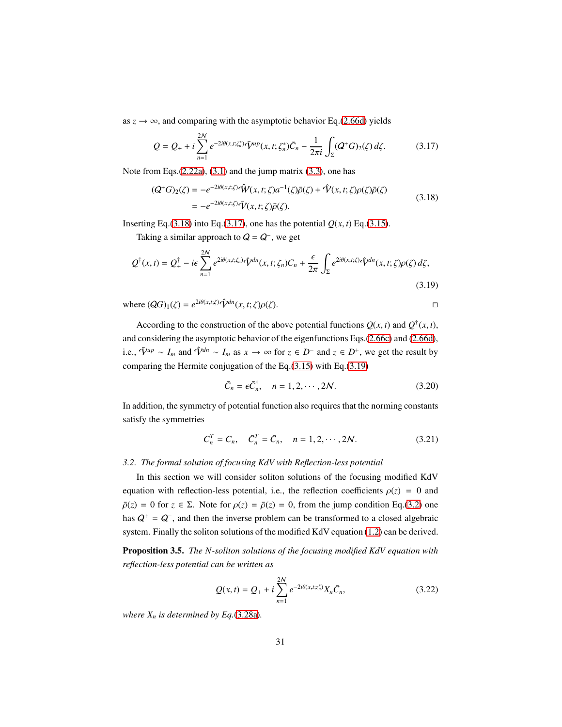as  $z \rightarrow \infty$ , and comparing with the asymptotic behavior Eq.[\(2.66d\)](#page-19-0) yields

<span id="page-30-3"></span>
$$
Q = Q_{+} + i \sum_{n=1}^{2N} e^{-2i\theta(x,t;\zeta_{n}^{*})} \bar{V}^{up}(x,t;\zeta_{n}^{*}) \bar{C}_{n} - \frac{1}{2\pi i} \int_{\Sigma} (Q^{+}G)_{2}(\zeta) d\zeta.
$$
 (3.17)

Note from Eqs.[\(2.22a\)](#page-9-3), [\(3.1\)](#page-26-2) and the jump matrix [\(3.3\)](#page-27-3), one has

<span id="page-30-2"></span>
$$
(Q^+G)_2(\zeta) = -e^{-2i\theta(x,t;\zeta)}\hat{\mathcal{W}}(x,t;\zeta)a^{-1}(\zeta)\bar{\rho}(\zeta) + \hat{\mathcal{V}}(x,t;\zeta)\rho(\zeta)\bar{\rho}(\zeta)
$$
  
= 
$$
-e^{-2i\theta(x,t;\zeta)}\bar{\mathcal{V}}(x,t;\zeta)\bar{\rho}(\zeta).
$$
 (3.18)

Inserting Eq.[\(3.18\)](#page-30-2) into Eq.[\(3.17\)](#page-30-3), one has the potential  $Q(x, t)$  Eq.[\(3.15\)](#page-29-0).

Taking a similar approach to  $Q = Q^-$ , we get

$$
Q^{\dagger}(x,t) = Q_{+}^{\dagger} - i\epsilon \sum_{n=1}^{2N} e^{2i\theta(x,t;\zeta_n)} \hat{\mathbf{V}}^{dn}(x,t;\zeta_n) C_n + \frac{\epsilon}{2\pi} \int_{\Sigma} e^{2i\theta(x,t;\zeta)} \hat{\mathbf{V}}^{dn}(x,t;\zeta) \rho(\zeta) d\zeta,
$$
\n(3.19)

where  $(QG)_1(\zeta) = e^{2i\theta(x,t;\zeta)}\hat{\mathbf{V}}^{dn}(x,t;\zeta)\rho(\zeta)$ .

According to the construction of the above potential functions  $Q(x, t)$  and  $Q^{\dagger}(x, t)$ , and considering the asymptotic behavior of the eigenfunctions Eqs.[\(2.66c\)](#page-19-0) and [\(2.66d\)](#page-19-0), i.e.,  $\bar{V}^{up} \sim I_m$  and  $\hat{V}^{dn} \sim I_m$  as  $x \to \infty$  for  $z \in D^-$  and  $z \in D^+$ , we get the result by comparing the Hermite conjugation of the Eq.[\(3.15\)](#page-29-0) with Eq.[\(3.19\)](#page-30-4)

<span id="page-30-4"></span><span id="page-30-1"></span>
$$
\bar{C}_n = \epsilon \bar{C}_n^{\dagger}, \quad n = 1, 2, \cdots, 2N. \tag{3.20}
$$

In addition, the symmetry of potential function also requires that the norming constants satisfy the symmetries

$$
C_n^T = C_n, \quad \bar{C}_n^T = \bar{C}_n, \quad n = 1, 2, \cdots, 2N. \tag{3.21}
$$

#### <span id="page-30-0"></span>*3.2. The formal solution of focusing KdV with Reflection-less potential*

In this section we will consider soliton solutions of the focusing modified KdV equation with reflection-less potential, i.e., the reflection coefficients  $\rho(z) = 0$  and  $\bar{\rho}(z) = 0$  for  $z \in \Sigma$ . Note for  $\rho(z) = \bar{\rho}(z) = 0$ , from the jump condition Eq.[\(3.2\)](#page-27-2) one has  $Q^+ = Q^-$ , and then the inverse problem can be transformed to a closed algebraic system. Finally the soliton solutions of the modified KdV equation [\(1.2\)](#page-2-0) can be derived.

Proposition 3.5. *The N-soliton solutions of the focusing modified KdV equation with reflection-less potential can be written as*

<span id="page-30-5"></span>
$$
Q(x,t) = Q_{+} + i \sum_{n=1}^{2N} e^{-2i\theta(x,t;z_{n}^{*})} X_{n} \bar{C}_{n},
$$
\n(3.22)

*where*  $X_n$  *is determined by Eq.*[\(3.28a\)](#page-31-0)*.*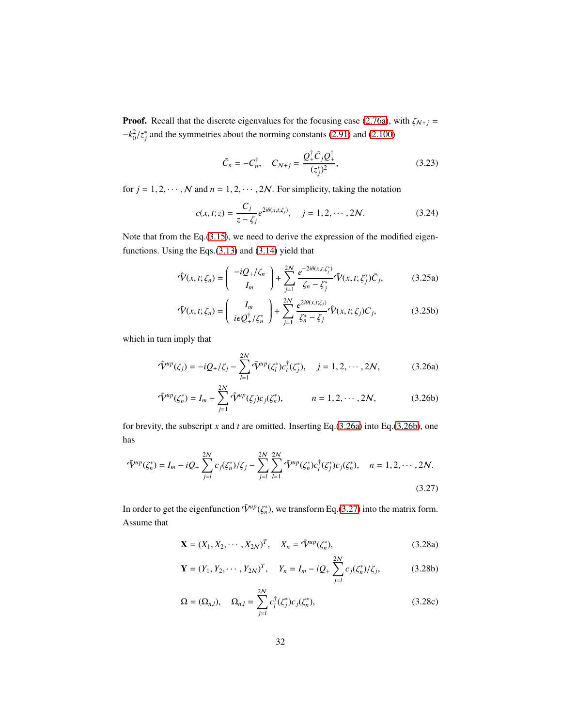**Proof.** Recall that the discrete eigenvalues for the focusing case [\(2.76a\)](#page-21-5), with  $\zeta_{N+j}$  =  $-k_0^2/z_j^*$  and the symmetries about the norming constants [\(2.91\)](#page-23-0) and [\(2.100\)](#page-24-1)

<span id="page-31-1"></span>
$$
\bar{C}_n = -C_n^{\dagger}, \quad C_{N+j} = \frac{Q_+^{\dagger} \bar{C}_j Q_+^{\dagger}}{(z_j^*)^2}, \tag{3.23}
$$

for  $j = 1, 2, \dots, N$  and  $n = 1, 2, \dots, 2N$ . For simplicity, taking the notation

$$
c(x, t; z) = \frac{C_j}{z - \zeta_j} e^{2i\theta(x, t; \zeta_j)}, \quad j = 1, 2, \cdots, 2N.
$$
 (3.24)

Note that from the Eq.[\(3.15\)](#page-29-0), we need to derive the expression of the modified eigenfunctions. Using the Eqs.[\(3.13\)](#page-29-1) and [\(3.14\)](#page-29-2) yield that

$$
\hat{\mathbf{\hat{V}}}(x,t;\zeta_n) = \begin{pmatrix} -iQ_+/\zeta_n \\ I_m \end{pmatrix} + \sum_{j=1}^{2N} \frac{e^{-2i\theta(x,t;\zeta_j^*)}}{\zeta_n - \zeta_j^*} \bar{\mathbf{\hat{V}}}(x,t;\zeta_j^*) \bar{C}_j,
$$
(3.25a)

$$
\bar{\mathbf{V}}(x,t;\zeta_n) = \left(\begin{array}{c} I_m\\ i\epsilon Q_+^\dagger/\zeta_n^* \end{array}\right) + \sum_{j=1}^{2N} \frac{e^{2i\theta(x,t;\zeta_j)}}{\zeta_n^* - \zeta_j} \hat{\mathbf{V}}(x,t;\zeta_j) C_j,\tag{3.25b}
$$

which in turn imply that

$$
\hat{\mathbf{V}}^{up}(\zeta_j) = -iQ_+/\zeta_j - \sum_{l=1}^{2N} \bar{\mathbf{V}}^{up}(\zeta_l^*) c_l^{\dagger}(\zeta_j^*), \quad j = 1, 2, \cdots, 2N,
$$
\n(3.26a)

$$
\bar{\mathbf{V}}^{up}(\zeta_n^*) = I_m + \sum_{j=1}^{2N} \hat{\mathbf{V}}^{up}(\zeta_j) c_j(\zeta_n^*), \qquad n = 1, 2, \cdots, 2N,
$$
 (3.26b)

for brevity, the subscript *x* and *t* are omitted. Inserting Eq.[\(3.26a\)](#page-31-1) into Eq.[\(3.26b\)](#page-31-1), one has

$$
\bar{\mathbf{V}}^{up}(\zeta_n^*) = I_m - iQ_+ \sum_{j=l}^{2N} c_j(\zeta_n^*) / \zeta_j - \sum_{j=l}^{2N} \sum_{l=1}^{2N} \bar{\mathbf{V}}^{up}(\zeta_n^*) c_l^{\dagger}(\zeta_j^*) c_j(\zeta_n^*), \quad n = 1, 2, \cdots, 2N. \tag{3.27}
$$

In order to get the eigenfunction  $\bar{V}^{\mu p}(\zeta_n^*)$ , we transform Eq.[\(3.27\)](#page-31-0) into the matrix form. Assume that

<span id="page-31-0"></span>
$$
\mathbf{X} = (X_1, X_2, \cdots, X_{2N})^T, \quad X_n = \bar{\mathbf{V}}^{up}(\zeta_n^*),
$$
\n(3.28a)

$$
\mathbf{Y} = (Y_1, Y_2, \cdots, Y_{2N})^T, \quad Y_n = I_m - iQ_+ \sum_{j=1}^{2N} c_j(\zeta_n^*)/\zeta_j,
$$
 (3.28b)

$$
\Omega = (\Omega_{n,l}), \quad \Omega_{n,l} = \sum_{j=l}^{2N} c_l^{\dagger}(\zeta_j^*) c_j(\zeta_n^*), \tag{3.28c}
$$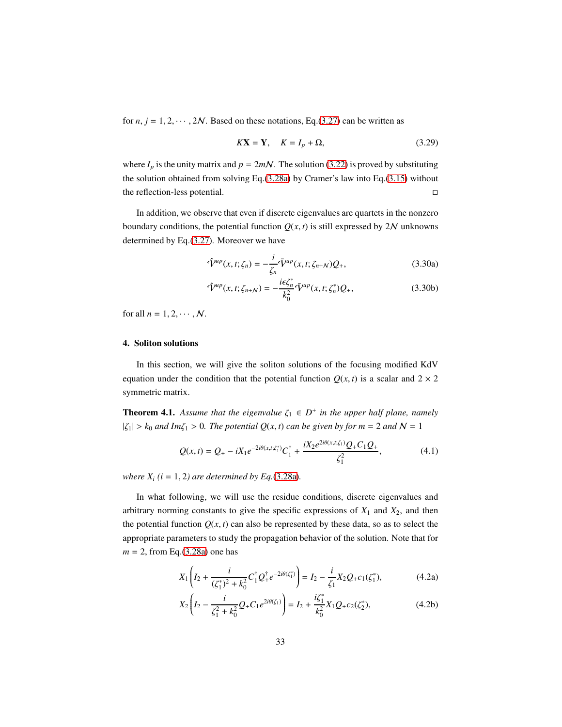for  $n, j = 1, 2, \dots, 2N$ . Based on these notations, Eq.[\(3.27\)](#page-31-0) can be written as

$$
K\mathbf{X} = \mathbf{Y}, \quad K = I_p + \Omega,\tag{3.29}
$$

where  $I_p$  is the unity matrix and  $p = 2mN$ . The solution [\(3.22\)](#page-30-5) is proved by substituting the solution obtained from solving Eq.[\(3.28a\)](#page-31-0) by Cramer's law into Eq.[\(3.15\)](#page-29-0) without the reflection-less potential.

In addition, we observe that even if discrete eigenvalues are quartets in the nonzero boundary conditions, the potential function  $Q(x, t)$  is still expressed by  $2N$  unknowns determined by Eq.[\(3.27\)](#page-31-0). Moreover we have

$$
\hat{\mathbf{V}}^{up}(x,t;\zeta_n) = -\frac{i}{\zeta_n} \bar{\mathbf{V}}^{up}(x,t;\zeta_{n+N}) Q_+, \qquad (3.30a)
$$

$$
\hat{\mathbf{V}}^{up}(x,t;\zeta_{n+N}) = -\frac{i\epsilon\zeta_n^*}{k_0^2}\bar{\mathbf{V}}^{up}(x,t;\zeta_n^*)Q_+, \tag{3.30b}
$$

<span id="page-32-0"></span>for all  $n = 1, 2, \cdots, N$ .

## 4. Soliton solutions

In this section, we will give the soliton solutions of the focusing modified KdV equation under the condition that the potential function  $Q(x, t)$  is a scalar and  $2 \times 2$ symmetric matrix.

**Theorem 4.1.** Assume that the eigenvalue  $\zeta_1 \in D^+$  in the upper half plane, namely  $|\zeta_1| > k_0$  *and Im* $\zeta_1 > 0$ *. The potential Q(x, t) can be given by for m* = 2 *and* N = 1

<span id="page-32-1"></span>
$$
Q(x,t) = Q_{+} - iX_{1}e^{-2i\theta(x,t;\zeta_{1}^{*})}C_{1}^{\dagger} + \frac{iX_{2}e^{2i\theta(x,t;\zeta_{1})}Q_{+}C_{1}Q_{+}}{\zeta_{1}^{2}},
$$
\n(4.1)

*where*  $X_i$  ( $i = 1, 2$ ) are determined by Eq.[\(3.28a\)](#page-31-0).

In what following, we will use the residue conditions, discrete eigenvalues and arbitrary norming constants to give the specific expressions of  $X_1$  and  $X_2$ , and then the potential function  $Q(x, t)$  can also be represented by these data, so as to select the appropriate parameters to study the propagation behavior of the solution. Note that for *m* = 2, from Eq.[\(3.28a\)](#page-31-0) one has

$$
X_1 \left( I_2 + \frac{i}{(\zeta_1^*)^2 + k_0^2} C_1^{\dagger} Q_+^{\dagger} e^{-2i\theta(\zeta_1^*)} \right) = I_2 - \frac{i}{\zeta_1} X_2 Q_+ c_1(\zeta_1^*), \tag{4.2a}
$$

$$
X_2\left(I_2 - \frac{i}{\zeta_1^2 + k_0^2}Q_+C_1e^{2i\theta(\zeta_1)}\right) = I_2 + \frac{i\zeta_1^*}{k_0^2}X_1Q_+c_2(\zeta_2^*),\tag{4.2b}
$$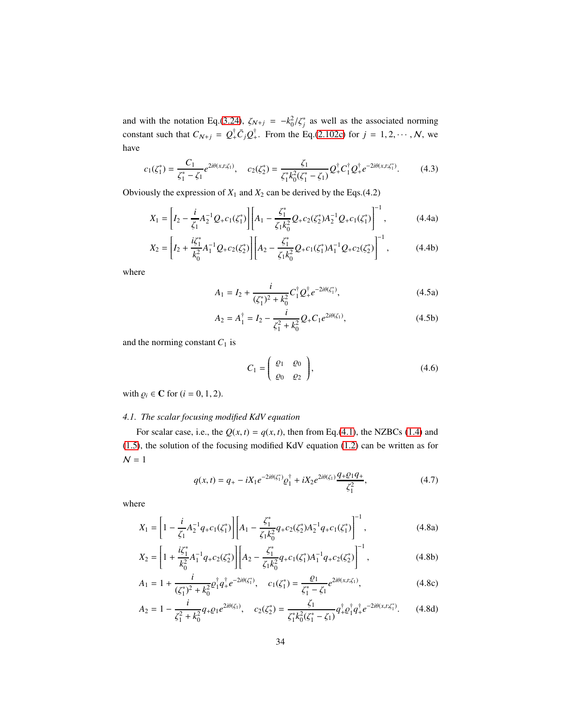and with the notation Eq.[\(3.24\)](#page-31-1),  $\zeta_{N+j} = -k_0^2/\zeta_j^*$  as well as the associated norming constant such that  $C_{N+j} = Q^{\dagger}_+ \bar{C}_j Q^{\dagger}_+$ . From the Eq.[\(2.102c\)](#page-24-0) for  $j = 1, 2, \dots, N$ , we have

$$
c_1(\zeta_1^*) = \frac{C_1}{\zeta_1^* - \zeta_1} e^{2i\theta(x, t; \zeta_1)}, \quad c_2(\zeta_2^*) = \frac{\zeta_1}{\zeta_1^* k_0^2(\zeta_1^* - \zeta_1)} Q_+^\dagger C_1^\dagger Q_+^\dagger e^{-2i\theta(x, t; \zeta_1^*)}.\tag{4.3}
$$

Obviously the expression of  $X_1$  and  $X_2$  can be derived by the Eqs.(4.2)

$$
X_1 = \left[ I_2 - \frac{i}{\zeta_1} A_2^{-1} Q_+ c_1(\zeta_1^*) \right] \left[ A_1 - \frac{\zeta_1^*}{\zeta_1 k_0^2} Q_+ c_2(\zeta_2^*) A_2^{-1} Q_+ c_1(\zeta_1^*) \right]^{-1},\tag{4.4a}
$$

$$
X_2 = \left[ I_2 + \frac{i\zeta_1^*}{k_0^2} A_1^{-1} Q_+ c_2(\zeta_2^*) \right] \left[ A_2 - \frac{\zeta_1^*}{\zeta_1 k_0^2} Q_+ c_1(\zeta_1^*) A_1^{-1} Q_+ c_2(\zeta_2^*) \right]^{-1},\tag{4.4b}
$$

where

<span id="page-33-1"></span>
$$
A_1 = I_2 + \frac{i}{(\zeta_1^*)^2 + k_0^2} C_1^{\dagger} Q_+^{\dagger} e^{-2i\theta(\zeta_1^*)},
$$
\n(4.5a)

$$
A_2 = A_1^{\dagger} = I_2 - \frac{i}{\zeta_1^2 + k_0^2} Q_+ C_1 e^{2i\theta(\zeta_1)},
$$
\n(4.5b)

and the norming constant  $C_1$  is

$$
C_1 = \begin{pmatrix} \varrho_1 & \varrho_0 \\ \varrho_0 & \varrho_2 \end{pmatrix}, \tag{4.6}
$$

<span id="page-33-0"></span>with  $\varrho_i \in \mathbb{C}$  for  $(i = 0, 1, 2)$ .

### *4.1. The scalar focusing modified KdV equation*

For scalar case, i.e., the  $Q(x, t) = q(x, t)$ , then from Eq.[\(4.1\)](#page-32-1), the NZBCs [\(1.4\)](#page-3-3) and [\(1.5\)](#page-3-2), the solution of the focusing modified KdV equation [\(1.2\)](#page-2-0) can be written as for  $\mathcal{N}=1$ 

$$
q(x,t) = q_+ - iX_1 e^{-2i\theta(\zeta_1^*)} \varrho_1^{\dagger} + iX_2 e^{2i\theta(\zeta_1)} \frac{q_+ \varrho_1 q_+}{\zeta_1^2},\tag{4.7}
$$

where

$$
X_1 = \left[1 - \frac{i}{\zeta_1} A_2^{-1} q_+ c_1(\zeta_1^*)\right] \left[A_1 - \frac{\zeta_1^*}{\zeta_1 k_0^2} q_+ c_2(\zeta_2^*) A_2^{-1} q_+ c_1(\zeta_1^*)\right]^{-1},\tag{4.8a}
$$

$$
X_2 = \left[1 + \frac{i\zeta_1^*}{k_0^2} A_1^{-1} q_+ c_2(\zeta_2^*)\right] \left[A_2 - \frac{\zeta_1^*}{\zeta_1 k_0^2} q_+ c_1(\zeta_1^*) A_1^{-1} q_+ c_2(\zeta_2^*)\right]^{-1},\tag{4.8b}
$$

$$
A_1 = 1 + \frac{i}{(\zeta_1^*)^2 + k_0^2} \varrho_1^{\dagger} q_+^{\dagger} e^{-2i\theta(\zeta_1^*)}, \quad c_1(\zeta_1^*) = \frac{\varrho_1}{\zeta_1^* - \zeta_1} e^{2i\theta(x, t; \zeta_1)}, \tag{4.8c}
$$

$$
A_2 = 1 - \frac{i}{\zeta_1^2 + k_0^2} q_+ \varrho_1 e^{2i\theta(\zeta_1)}, \quad c_2(\zeta_2^*) = \frac{\zeta_1}{\zeta_1^* k_0^2 (\zeta_1^* - \zeta_1)} q_+^{\dagger} \varrho_1^{\dagger} q_+^{\dagger} e^{-2i\theta(x, t; \zeta_1^*)}.
$$
 (4.8d)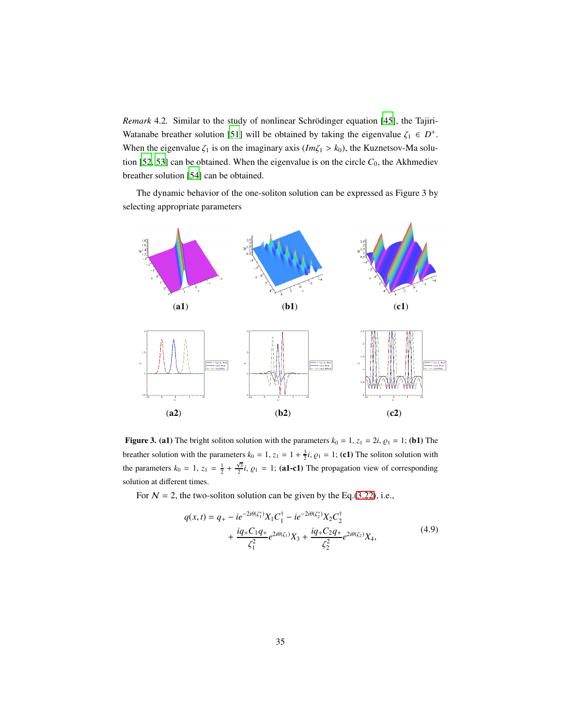*Remark* 4.2. Similar to the study of nonlinear Schrödinger equation [\[45](#page-50-2)], the Tajiri-Watanabe breather solution [\[51\]](#page-50-7) will be obtained by taking the eigenvalue  $\zeta_1 \in D^+$ . When the eigenvalue  $\zeta_1$  is on the imaginary axis ( $Im \zeta_1 > k_0$ ), the Kuznetsov-Ma solu-tion [\[52](#page-51-0), [53](#page-51-1)] can be obtained. When the eigenvalue is on the circle  $C_0$ , the Akhmediev breather solution [\[54\]](#page-51-2) can be obtained.

The dynamic behavior of the one-soliton solution can be expressed as Figure 3 by selecting appropriate parameters



Figure 3. (a1) The bright soliton solution with the parameters  $k_0 = 1$ ,  $z_1 = 2i$ ,  $\varrho_1 = 1$ ; (b1) The breather solution with the parameters  $k_0 = 1$ ,  $z_1 = 1 + \frac{3}{2}i$ ,  $\varrho_1 = 1$ ; (c1) The soliton solution with the parameters  $k_0 = 1$ ,  $z_1 = \frac{1}{2} + \frac{\sqrt{3}}{2}i$ ,  $\varrho_1 = 1$ ; (a1-c1) The propagation view of corresponding solution at different times.

For  $N = 2$ , the two-soliton solution can be given by the Eq.[\(3.22\)](#page-30-5), i.e.,

<span id="page-34-0"></span>
$$
q(x,t) = q_{+} - ie^{-2i\theta(\zeta_{1}^{*})} X_{1} C_{1}^{\dagger} - ie^{-2i\theta(\zeta_{2}^{*})} X_{2} C_{2}^{\dagger} + \frac{iq_{+}C_{1} q_{+}}{\zeta_{1}^{2}} e^{2i\theta(\zeta_{1})} X_{3} + \frac{iq_{+}C_{2} q_{+}}{\zeta_{2}^{2}} e^{2i\theta(\zeta_{2})} X_{4},
$$
(4.9)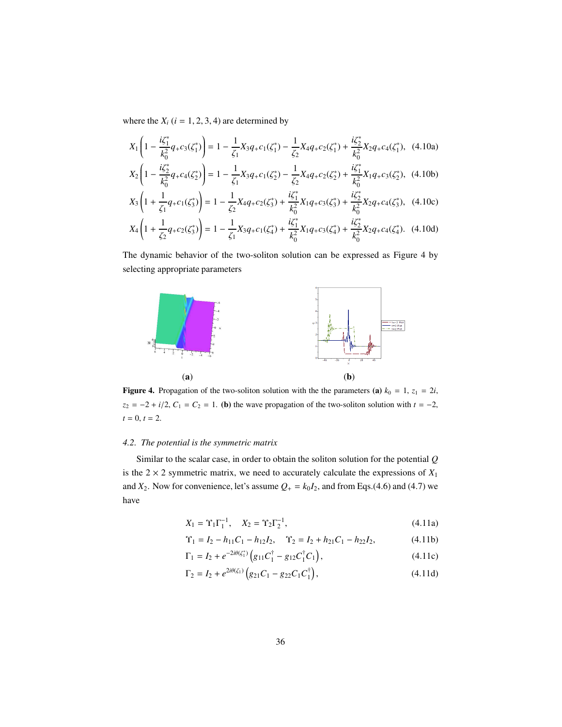where the  $X_i$  ( $i = 1, 2, 3, 4$ ) are determined by

$$
X_{1}\left(1-\frac{i\zeta_{1}^{*}}{k_{0}^{2}}q_{+}c_{3}(\zeta_{1}^{*})\right)=1-\frac{1}{\zeta_{1}}X_{3}q_{+}c_{1}(\zeta_{1}^{*})-\frac{1}{\zeta_{2}}X_{4}q_{+}c_{2}(\zeta_{1}^{*})+\frac{i\zeta_{2}^{*}}{k_{0}^{2}}X_{2}q_{+}c_{4}(\zeta_{1}^{*}),
$$
 (4.10a)  
\n
$$
X_{2}\left(1-\frac{i\zeta_{2}^{*}}{k_{0}^{2}}q_{+}c_{4}(\zeta_{2}^{*})\right)=1-\frac{1}{\zeta_{1}}X_{3}q_{+}c_{1}(\zeta_{2}^{*})-\frac{1}{\zeta_{2}}X_{4}q_{+}c_{2}(\zeta_{2}^{*})+\frac{i\zeta_{1}^{*}}{k_{0}^{2}}X_{1}q_{+}c_{3}(\zeta_{2}^{*}),
$$
 (4.10b)  
\n
$$
X_{3}\left(1+\frac{1}{\zeta_{1}}q_{+}c_{1}(\zeta_{3}^{*})\right)=1-\frac{1}{\zeta_{2}}X_{4}q_{+}c_{2}(\zeta_{3}^{*})+\frac{i\zeta_{1}^{*}}{k_{0}^{2}}X_{1}q_{+}c_{3}(\zeta_{3}^{*})+\frac{i\zeta_{2}^{*}}{k_{0}^{2}}X_{2}q_{+}c_{4}(\zeta_{3}^{*}),
$$
 (4.10c)  
\n
$$
X_{4}\left(1+\frac{1}{\zeta_{2}}q_{+}c_{2}(\zeta_{3}^{*})\right)=1-\frac{1}{\zeta_{1}}X_{3}q_{+}c_{1}(\zeta_{4}^{*})+\frac{i\zeta_{1}^{*}}{k_{0}^{2}}X_{1}q_{+}c_{3}(\zeta_{4}^{*})+\frac{i\zeta_{2}^{*}}{k_{0}^{2}}X_{2}q_{+}c_{4}(\zeta_{4}^{*}).
$$
 (4.10d)

The dynamic behavior of the two-soliton solution can be expressed as Figure 4 by selecting appropriate parameters



**Figure 4.** Propagation of the two-soliton solution with the the parameters (a)  $k_0 = 1$ ,  $z_1 = 2i$ ,  $z_2 = -2 + i/2$ ,  $C_1 = C_2 = 1$ . (b) the wave propagation of the two-soliton solution with  $t = -2$ ,  $t = 0, t = 2.$ 

### <span id="page-35-0"></span>*4.2. The potential is the symmetric matrix*

Similar to the scalar case, in order to obtain the soliton solution for the potential *Q* is the  $2 \times 2$  symmetric matrix, we need to accurately calculate the expressions of  $X_1$ and  $X_2$ . Now for convenience, let's assume  $Q_+ = k_0 I_2$ , and from Eqs.(4.6) and (4.7) we have

$$
X_1 = \Upsilon_1 \Gamma_1^{-1}, \quad X_2 = \Upsilon_2 \Gamma_2^{-1}, \tag{4.11a}
$$

$$
\Upsilon_1 = I_2 - h_{11}C_1 - h_{12}I_2, \quad \Upsilon_2 = I_2 + h_{21}C_1 - h_{22}I_2,\tag{4.11b}
$$

$$
\Gamma_1 = I_2 + e^{-2i\theta(\zeta_1^*)} \left( g_{11} C_1^\dagger - g_{12} C_1^\dagger C_1 \right),\tag{4.11c}
$$

$$
\Gamma_2 = I_2 + e^{2i\theta(\zeta_1)} \left( g_{21} C_1 - g_{22} C_1 C_1^{\dagger} \right),\tag{4.11d}
$$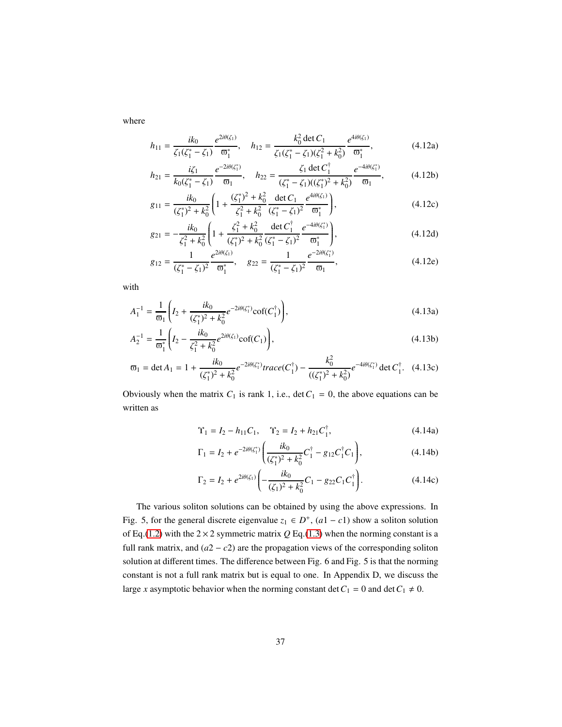where

$$
h_{11} = \frac{ik_0}{\zeta_1(\zeta_1^* - \zeta_1)} \frac{e^{2i\theta(\zeta_1)}}{\varpi_1^*}, \quad h_{12} = \frac{k_0^2 \det C_1}{\zeta_1(\zeta_1^* - \zeta_1)(\zeta_1^2 + k_0^2)} \frac{e^{4i\theta(\zeta_1)}}{\varpi_1^*},
$$
(4.12a)

$$
h_{21} = \frac{i\zeta_1}{k_0(\zeta_1^* - \zeta_1)} \frac{e^{-2i\theta(\zeta_1^*)}}{\varpi_1}, \quad h_{22} = \frac{\zeta_1 \det C_1^{\dagger}}{(\zeta_1^* - \zeta_1)((\zeta_1^*)^2 + k_0^2)} \frac{e^{-4i\theta(\zeta_1^*)}}{\varpi_1}, \tag{4.12b}
$$

$$
g_{11} = \frac{ik_0}{(\zeta_1^*)^2 + k_0^2} \left( 1 + \frac{(\zeta_1^*)^2 + k_0^2}{\zeta_1^2 + k_0^2} \frac{\det C_1}{(\zeta_1^* - \zeta_1)^2} \frac{e^{4i\theta(\zeta_1)}}{\sigma_1^*} \right),
$$
(4.12c)

$$
g_{21} = -\frac{ik_0}{\zeta_1^2 + k_0^2} \left( 1 + \frac{\zeta_1^2 + k_0^2}{(\zeta_1^*)^2 + k_0^2} \frac{\det C_1^{\dagger}}{(\zeta_1^* - \zeta_1)^2} \frac{e^{-4i\theta(\zeta_1^*)}}{\sigma_1^*} \right),
$$
(4.12d)

$$
g_{12} = \frac{1}{(\zeta_1^* - \zeta_1)^2} \frac{e^{2i\theta(\zeta_1)}}{\varpi_1^*}, \quad g_{22} = \frac{1}{(\zeta_1^* - \zeta_1)^2} \frac{e^{-2i\theta(\zeta_1^*)}}{\varpi_1},\tag{4.12e}
$$

with

$$
A_1^{-1} = \frac{1}{\varpi_1} \left( I_2 + \frac{ik_0}{(\zeta_1^*)^2 + k_0^2} e^{-2i\theta(\zeta_1^*)} \text{cof}(C_1^{\dagger}) \right),\tag{4.13a}
$$

$$
A_2^{-1} = \frac{1}{\sigma_1^*} \left( I_2 - \frac{ik_0}{\zeta_1^2 + k_0^2} e^{2i\theta(\zeta_1)} \cot(C_1) \right),\tag{4.13b}
$$

$$
\varpi_1 = \det A_1 = 1 + \frac{ik_0}{(\zeta_1^*)^2 + k_0^2} e^{-2i\theta(\zeta_1^*)} \operatorname{trace}(C_1^{\dagger}) - \frac{k_0^2}{((\zeta_1^*)^2 + k_0^2)} e^{-4i\theta(\zeta_1^*)} \det C_1^{\dagger}.
$$
 (4.13c)

Obviously when the matrix  $C_1$  is rank 1, i.e.,  $\det C_1 = 0$ , the above equations can be written as

$$
\Upsilon_1 = I_2 - h_{11}C_1, \quad \Upsilon_2 = I_2 + h_{21}C_1^{\dagger}, \tag{4.14a}
$$

$$
\Gamma_1 = I_2 + e^{-2i\theta(\zeta_1^*)} \bigg( \frac{ik_0}{(\zeta_1^*)^2 + k_0^2} C_1^{\dagger} - g_{12} C_1^{\dagger} C_1 \bigg), \tag{4.14b}
$$

$$
\Gamma_2 = I_2 + e^{2i\theta(\zeta_1)} \left( -\frac{ik_0}{(\zeta_1)^2 + k_0^2} C_1 - g_{22} C_1 C_1^{\dagger} \right). \tag{4.14c}
$$

The various soliton solutions can be obtained by using the above expressions. In Fig. 5, for the general discrete eigenvalue  $z_1 \in D^+$ ,  $(a1 - c1)$  show a soliton solution of Eq.[\(1.2\)](#page-2-0) with the  $2 \times 2$  symmetric matrix  $Q$  Eq.[\(1.3\)](#page-2-1) when the norming constant is a full rank matrix, and  $(a2 - c2)$  are the propagation views of the corresponding soliton solution at different times. The difference between Fig. 6 and Fig. 5 is that the norming constant is not a full rank matrix but is equal to one. In Appendix D, we discuss the large *x* asymptotic behavior when the norming constant det  $C_1 = 0$  and det  $C_1 \neq 0$ .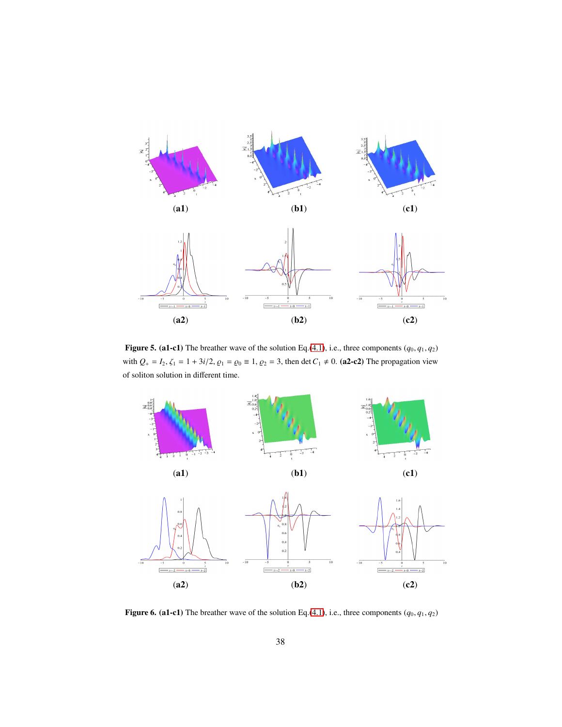

Figure 5. (a1-c1) The breather wave of the solution Eq.[\(4.1\)](#page-32-1), i.e., three components  $(q_0, q_1, q_2)$ with  $Q_+ = I_2$ ,  $\zeta_1 = 1 + 3i/2$ ,  $\varrho_1 = \varrho_0 \equiv 1$ ,  $\varrho_2 = 3$ , then det  $C_1 \neq 0$ . (a2-c2) The propagation view of soliton solution in different time.



Figure 6. (a1-c1) The breather wave of the solution Eq.[\(4.1\)](#page-32-1), i.e., three components  $(q_0, q_1, q_2)$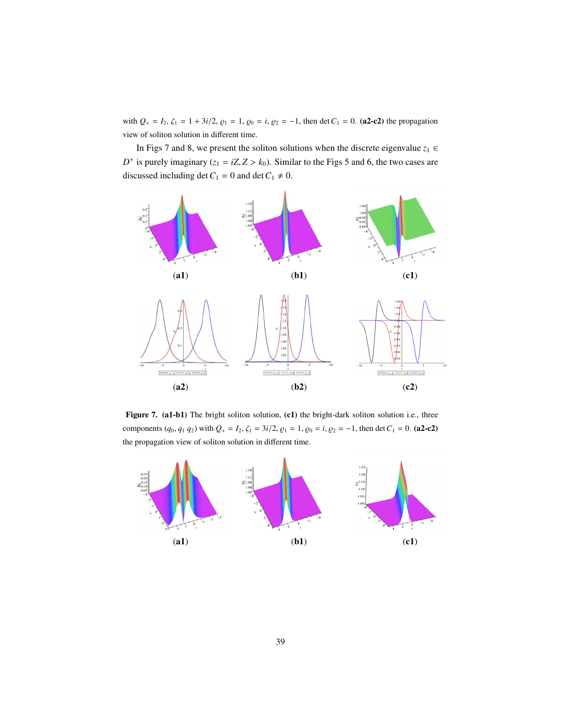with  $Q_+ = I_2$ ,  $\zeta_1 = 1 + 3i/2$ ,  $\varrho_1 = 1$ ,  $\varrho_0 = i$ ,  $\varrho_2 = -1$ , then det  $C_1 = 0$ . (a2-c2) the propagation view of soliton solution in different time.

In Figs 7 and 8, we present the soliton solutions when the discrete eigenvalue  $z_1 \in$  $D^+$  is purely imaginary ( $z_1 = iZ$ ,  $Z > k_0$ ). Similar to the Figs 5 and 6, the two cases are discussed including det  $C_1 = 0$  and det  $C_1 \neq 0$ .



Figure 7. (a1-b1) The bright soliton solution, (c1) the bright-dark soliton solution i.e., three components  $(q_0, q_1 q_2)$  with  $Q_+ = I_2$ ,  $\zeta_1 = 3i/2$ ,  $\zeta_1 = 1$ ,  $\zeta_0 = i$ ,  $\zeta_2 = -1$ , then det  $C_1 = 0$ . (a2-c2) the propagation view of soliton solution in different time.

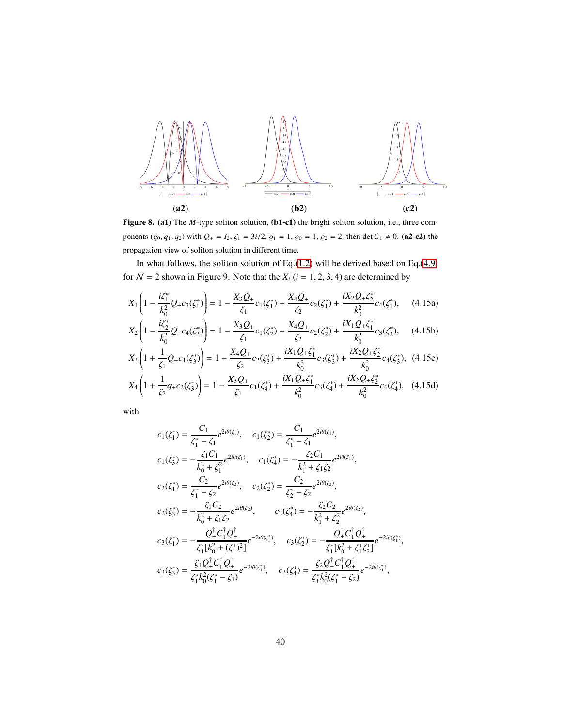

Figure 8. (a1) The *M*-type soliton solution, (b1-c1) the bright soliton solution, i.e., three components  $(q_0, q_1, q_2)$  with  $Q_+ = I_2$ ,  $\zeta_1 = 3i/2$ ,  $\zeta_1 = 1$ ,  $\zeta_0 = 1$ ,  $\zeta_2 = 2$ , then det  $C_1 \neq 0$ . (a2-c2) the propagation view of soliton solution in different time.

In what follows, the soliton solution of Eq.[\(1.2\)](#page-2-0) will be derived based on Eq.[\(4.9\)](#page-34-0) for  $N = 2$  shown in Figure 9. Note that the  $X_i$  ( $i = 1, 2, 3, 4$ ) are determined by

$$
X_{1}\left(1-\frac{i\zeta_{1}^{*}}{k_{0}^{2}}Q_{+}c_{3}(\zeta_{1}^{*})\right)=1-\frac{X_{3}Q_{+}}{\zeta_{1}}c_{1}(\zeta_{1}^{*})-\frac{X_{4}Q_{+}}{\zeta_{2}}c_{2}(\zeta_{1}^{*})+\frac{iX_{2}Q_{+}\zeta_{2}^{*}}{k_{0}^{2}}c_{4}(\zeta_{1}^{*}),
$$
 (4.15a)  
\n
$$
X_{2}\left(1-\frac{i\zeta_{2}^{*}}{k_{0}^{2}}Q_{+}c_{4}(\zeta_{2}^{*})\right)=1-\frac{X_{3}Q_{+}}{\zeta_{1}}c_{1}(\zeta_{2}^{*})-\frac{X_{4}Q_{+}}{\zeta_{2}}c_{2}(\zeta_{2}^{*})+\frac{iX_{1}Q_{+}\zeta_{1}^{*}}{k_{0}^{2}}c_{3}(\zeta_{2}^{*}),
$$
 (4.15b)  
\n
$$
X_{3}\left(1+\frac{1}{\zeta_{1}}Q_{+}c_{1}(\zeta_{3}^{*})\right)=1-\frac{X_{4}Q_{+}}{\zeta_{2}}c_{2}(\zeta_{3}^{*})+\frac{iX_{1}Q_{+}\zeta_{1}^{*}}{k_{0}^{2}}c_{3}(\zeta_{3}^{*})+\frac{iX_{2}Q_{+}\zeta_{2}^{*}}{k_{0}^{2}}c_{4}(\zeta_{3}^{*}),
$$
 (4.15c)  
\n
$$
X_{4}\left(1+\frac{1}{\zeta_{2}}q_{+}c_{2}(\zeta_{3}^{*})\right)=1-\frac{X_{3}Q_{+}}{\zeta_{1}}c_{1}(\zeta_{4}^{*})+\frac{iX_{1}Q_{+}\zeta_{1}^{*}}{k_{0}^{2}}c_{3}(\zeta_{4}^{*})+\frac{iX_{2}Q_{+}\zeta_{2}^{*}}{k_{0}^{2}}c_{4}(\zeta_{4}^{*}).
$$
 (4.15d)

with

$$
c_1(\zeta_1^*) = \frac{C_1}{\zeta_1^* - \zeta_1} e^{2i\theta(\zeta_1)}, \quad c_1(\zeta_2^*) = \frac{C_1}{\zeta_1^* - \zeta_1} e^{2i\theta(\zeta_1)},
$$
  
\n
$$
c_1(\zeta_3^*) = -\frac{\zeta_1 C_1}{k_0^2 + \zeta_1^2} e^{2i\theta(\zeta_1)}, \quad c_1(\zeta_4^*) = -\frac{\zeta_2 C_1}{k_1^2 + \zeta_1 \zeta_2} e^{2i\theta(\zeta_1)},
$$
  
\n
$$
c_2(\zeta_1^*) = \frac{C_2}{\zeta_1^* - \zeta_2} e^{2i\theta(\zeta_2)}, \quad c_2(\zeta_2^*) = \frac{C_2}{\zeta_2^* - \zeta_2} e^{2i\theta(\zeta_2)},
$$
  
\n
$$
c_2(\zeta_3^*) = -\frac{\zeta_1 C_2}{k_0^2 + \zeta_1 \zeta_2} e^{2i\theta(\zeta_2)}, \quad c_2(\zeta_4^*) = -\frac{\zeta_2 C_2}{k_1^2 + \zeta_2^2} e^{2i\theta(\zeta_2)},
$$
  
\n
$$
c_3(\zeta_1^*) = -\frac{Q_+^{\dagger} C_1^{\dagger} Q_+^{\dagger}}{\zeta_1^* [k_0^2 + (\zeta_1^*)^2]} e^{-2i\theta(\zeta_1^*)}, \quad c_3(\zeta_2^*) = -\frac{Q_+^{\dagger} C_1^{\dagger} Q_+^{\dagger}}{\zeta_1^* [k_0^2 + \zeta_1^* \zeta_2^*]} e^{-2i\theta(\zeta_1^*)},
$$
  
\n
$$
c_3(\zeta_3^*) = \frac{\zeta_1 Q_+^{\dagger} C_1^{\dagger} Q_+^{\dagger}}{\zeta_1^* k_0^2 (\zeta_1^* - \zeta_1)} e^{-2i\theta(\zeta_1^*)}, \quad c_3(\zeta_4^*) = \frac{\zeta_2 Q_+^{\dagger} C_1^{\dagger} Q_+^{\dagger}}{\zeta_1^* k_0^2 (\zeta_1^* - \zeta_2)}
$$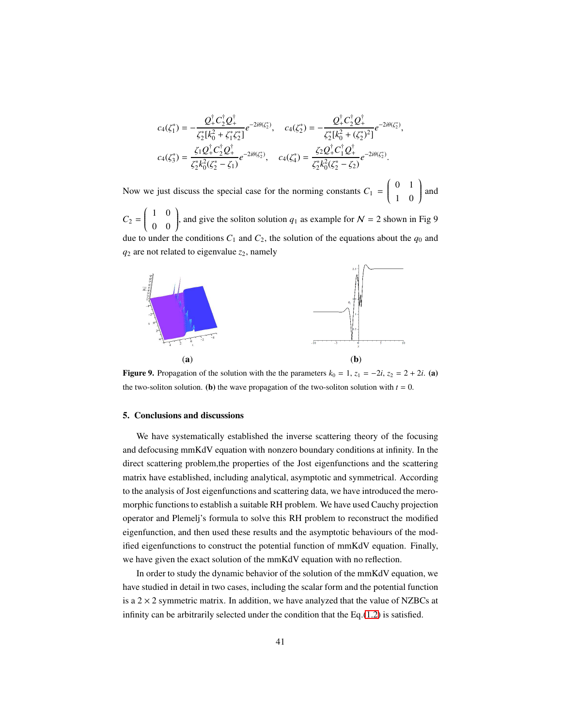$$
c_4(\zeta_1^*) = -\frac{Q_+^{\dagger} C_2^{\dagger} Q_+^{\dagger}}{\zeta_2^* [k_0^2 + \zeta_1^* \zeta_2^*]} e^{-2i\theta(\zeta_2^*)}, \quad c_4(\zeta_2^*) = -\frac{Q_+^{\dagger} C_2^{\dagger} Q_+^{\dagger}}{\zeta_2^* [k_0^2 + (\zeta_2^*)^2]} e^{-2i\theta(\zeta_2^*)},
$$
  

$$
c_4(\zeta_3^*) = \frac{\zeta_1 Q_+^{\dagger} C_2^{\dagger} Q_+^{\dagger}}{\zeta_2^* k_0^2 (\zeta_2^* - \zeta_1)} e^{-2i\theta(\zeta_2^*)}, \quad c_4(\zeta_4^*) = \frac{\zeta_2 Q_+^{\dagger} C_1^{\dagger} Q_+^{\dagger}}{\zeta_2^* k_0^2 (\zeta_2^* - \zeta_2)} e^{-2i\theta(\zeta_2^*)}.
$$

Now we just discuss the special case for the norming constants  $C_1$  =  $\begin{pmatrix} 0 & 1 \end{pmatrix}$  $\overline{\mathcal{C}}$ 1 0 Í  $\begin{array}{c} \end{array}$ and

 $C_2 = \begin{pmatrix} 1 & 0 \\ 0 & 0 \end{pmatrix}$  $\overline{\mathcal{C}}$ 0 0 ), and give the soliton solution  $q_1$  as example for  $N = 2$  shown in Fig 9  $\int$ due to under the conditions  $C_1$  and  $C_2$ , the solution of the equations about the  $q_0$  and  $q_2$  are not related to eigenvalue  $z_2$ , namely



Figure 9. Propagation of the solution with the the parameters  $k_0 = 1$ ,  $z_1 = -2i$ ,  $z_2 = 2 + 2i$ . (a) the two-soliton solution. (b) the wave propagation of the two-soliton solution with  $t = 0$ .

#### <span id="page-40-0"></span>5. Conclusions and discussions

We have systematically established the inverse scattering theory of the focusing and defocusing mmKdV equation with nonzero boundary conditions at infinity. In the direct scattering problem,the properties of the Jost eigenfunctions and the scattering matrix have established, including analytical, asymptotic and symmetrical. According to the analysis of Jost eigenfunctions and scattering data, we have introduced the meromorphic functions to establish a suitable RH problem. We have used Cauchy projection operator and Plemelj's formula to solve this RH problem to reconstruct the modified eigenfunction, and then used these results and the asymptotic behaviours of the modified eigenfunctions to construct the potential function of mmKdV equation. Finally, we have given the exact solution of the mmKdV equation with no reflection.

In order to study the dynamic behavior of the solution of the mmKdV equation, we have studied in detail in two cases, including the scalar form and the potential function is a  $2 \times 2$  symmetric matrix. In addition, we have analyzed that the value of NZBCs at infinity can be arbitrarily selected under the condition that the Eq.[\(1.2\)](#page-2-0) is satisfied.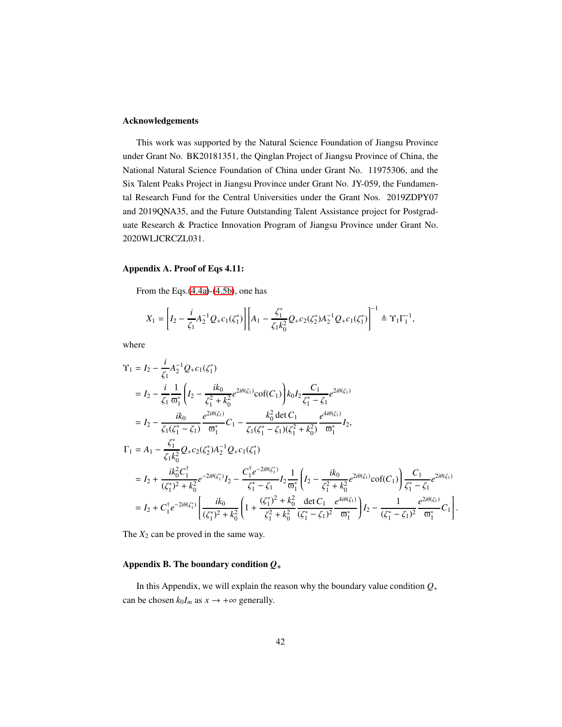## Acknowledgements

This work was supported by the Natural Science Foundation of Jiangsu Province under Grant No. BK20181351, the Qinglan Project of Jiangsu Province of China, the National Natural Science Foundation of China under Grant No. 11975306, and the Six Talent Peaks Project in Jiangsu Province under Grant No. JY-059, the Fundamental Research Fund for the Central Universities under the Grant Nos. 2019ZDPY07 and 2019QNA35, and the Future Outstanding Talent Assistance project for Postgraduate Research & Practice Innovation Program of Jiangsu Province under Grant No. 2020WLJCRCZL031.

#### Appendix A. Proof of Eqs 4.11:

From the Eqs.[\(4.4a\)](#page-33-1)-[\(4.5b\)](#page-33-1), one has

$$
X_1 = \left[I_2 - \frac{i}{\zeta_1}A_2^{-1}Q_+c_1(\zeta_1^*)\right] \left[A_1 - \frac{\zeta_1^*}{\zeta_1 k_0^2}Q_+c_2(\zeta_2^*)A_2^{-1}Q_+c_1(\zeta_1^*)\right]^{-1} \triangleq \Upsilon_1 \Gamma_1^{-1},
$$

where

$$
\begin{split}\n\Upsilon_{1} &= I_{2} - \frac{i}{\zeta_{1}} A_{2}^{-1} Q_{+} c_{1}(\zeta_{1}^{*}) \\
&= I_{2} - \frac{i}{\zeta_{1}} \frac{1}{\varpi_{1}^{*}} \left( I_{2} - \frac{ik_{0}}{\zeta_{1}^{2} + k_{0}^{2}} e^{2i\theta(\zeta_{1})} \text{cof}(C_{1}) \right) k_{0} I_{2} \frac{C_{1}}{\zeta_{1}^{*} - \zeta_{1}} e^{2i\theta(\zeta_{1})} \\
&= I_{2} - \frac{ik_{0}}{\zeta_{1}(\zeta_{1}^{*} - \zeta_{1})} \frac{e^{2i\theta(\zeta_{1})}}{\varpi_{1}^{*}} C_{1} - \frac{k_{0}^{2} \det C_{1}}{\zeta_{1}(\zeta_{1}^{*} - \zeta_{1})(\zeta_{1}^{2} + k_{0}^{2})} \frac{e^{4i\theta(\zeta_{1})}}{\varpi_{1}^{*}} I_{2}, \\
\Gamma_{1} &= A_{1} - \frac{\zeta_{1}^{*}}{\zeta_{1} k_{0}^{2}} Q_{+} c_{2}(\zeta_{2}^{*}) A_{2}^{-1} Q_{+} c_{1}(\zeta_{1}^{*}) \\
&= I_{2} + \frac{ik_{0}^{2} C_{1}^{+}}{(\zeta_{1}^{*})^{2} + k_{0}^{2}} e^{-2i\theta(\zeta_{1}^{*})} I_{2} - \frac{C_{1}^{+} e^{-2i\theta(\zeta_{1}^{*})}}{\zeta_{1}^{*} - \zeta_{1}} I_{2} \frac{1}{\varpi_{1}^{*}} \left( I_{2} - \frac{ik_{0}}{\zeta_{1}^{2} + k_{0}^{2}} e^{2i\theta(\zeta_{1})} \text{cof}(C_{1}) \right) \frac{C_{1}}{\zeta_{1}^{*} - \zeta_{1}} e^{2i\theta(\zeta_{1})} \\
&= I_{2} + C_{1}^{+} e^{-2i\theta(\zeta_{1}^{*})} \left[ \frac{ik_{0}}{(\zeta_{1}^{*})^{2} + k_{0}^{2}} \left( 1 + \frac{(\zeta_{1}^{*})^{2} + k_{0}^{2}}{\zeta_{1}^{2} + k_{0}^{2}} \frac{\det C_{
$$

The  $X_2$  can be proved in the same way.

## Appendix B. The boundary condition *Q*<sup>+</sup>

In this Appendix, we will explain the reason why the boundary value condition  $Q_+$ can be chosen  $k_0I_m$  as  $x \to +\infty$  generally.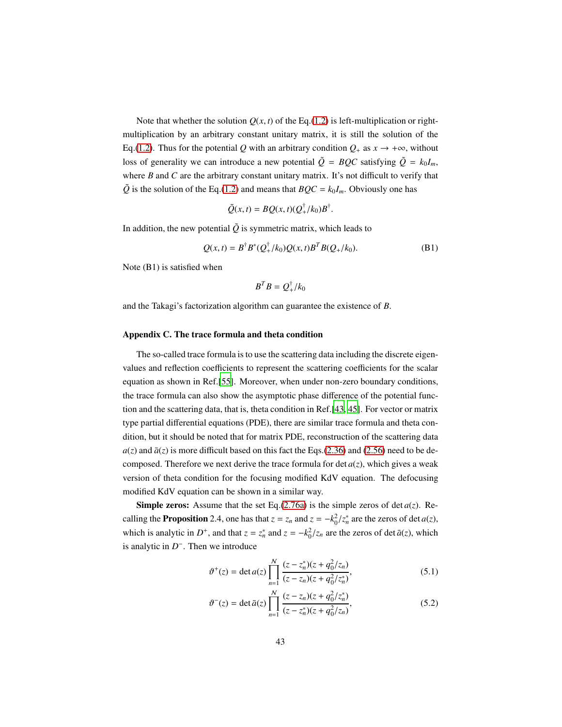Note that whether the solution  $Q(x, t)$  of the Eq.[\(1.2\)](#page-2-0) is left-multiplication or rightmultiplication by an arbitrary constant unitary matrix, it is still the solution of the Eq.[\(1.2\)](#page-2-0). Thus for the potential Q with an arbitrary condition  $Q_+$  as  $x \to +\infty$ , without loss of generality we can introduce a new potential  $\tilde{Q} = BQC$  satisfying  $\tilde{Q} = k_0 I_m$ , where *B* and *C* are the arbitrary constant unitary matrix. It's not difficult to verify that  $\tilde{Q}$  is the solution of the Eq.[\(1.2\)](#page-2-0) and means that  $BQC = k_0I_m$ . Obviously one has

$$
\tilde{Q}(x,t) = BQ(x,t)(Q_+^{\dagger}/k_0)B^{\dagger}
$$

In addition, the new potential  $\tilde{Q}$  is symmetric matrix, which leads to

$$
Q(x,t) = B^{\dagger} B^* (Q_+^{\dagger}/k_0) Q(x,t) B^T B(Q_+/k_0).
$$
 (B1)

.

Note (B1) is satisfied when

$$
B^T B = Q_+^{\dagger}/k_0
$$

and the Takagi's factorization algorithm can guarantee the existence of *B*.

#### Appendix C. The trace formula and theta condition

The so-called trace formula is to use the scattering data including the discrete eigenvalues and reflection coefficients to represent the scattering coefficients for the scalar equation as shown in Ref.[\[55](#page-51-3)]. Moreover, when under non-zero boundary conditions, the trace formula can also show the asymptotic phase difference of the potential function and the scattering data, that is, theta condition in Ref.[\[43,](#page-50-1) [45\]](#page-50-2). For vector or matrix type partial differential equations (PDE), there are similar trace formula and theta condition, but it should be noted that for matrix PDE, reconstruction of the scattering data  $a(z)$  and  $\bar{a}(z)$  is more difficult based on this fact the Eqs.[\(2.36\)](#page-13-1) and [\(2.56\)](#page-17-1) need to be decomposed. Therefore we next derive the trace formula for det  $a(z)$ , which gives a weak version of theta condition for the focusing modified KdV equation. The defocusing modified KdV equation can be shown in a similar way.

**Simple zeros:** Assume that the set Eq.[\(2.76a\)](#page-21-5) is the simple zeros of det  $a(z)$ . Recalling the **Proposition** 2.4, one has that  $z = z_n$  and  $z = -k_0^2/z_n^*$  are the zeros of det *a*(*z*), which is analytic in  $D^+$ , and that  $z = z_n^*$  and  $z = -k_0^2/z_n$  are the zeros of det  $\bar{a}(z)$ , which is analytic in  $D^-$ . Then we introduce

$$
\vartheta^{+}(z) = \det a(z) \prod_{n=1}^{N} \frac{(z - z_n^{*})(z + q_0^{2}/z_n)}{(z - z_n)(z + q_0^{2}/z_n^{*})},
$$
\n(5.1)

$$
\vartheta^{-}(z) = \det \bar{a}(z) \prod_{n=1}^{N} \frac{(z - z_n)(z + q_0^2/z_n^*)}{(z - z_n^*)(z + q_0^2/z_n)},
$$
\n(5.2)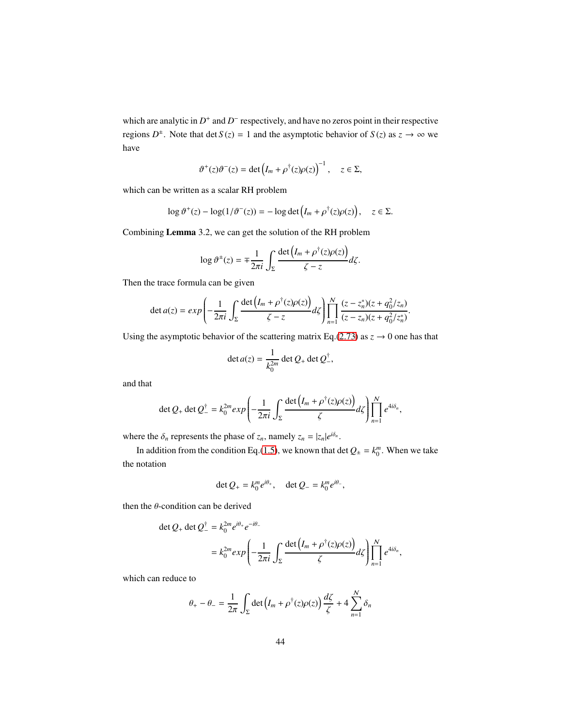which are analytic in  $D^+$  and  $D^-$  respectively, and have no zeros point in their respective regions  $D^{\pm}$ . Note that det *S*(*z*) = 1 and the asymptotic behavior of *S*(*z*) as  $z \to \infty$  we have

$$
\vartheta^+(z)\vartheta^-(z) = \det\left(I_m + \rho^{\dagger}(z)\rho(z)\right)^{-1}, \quad z \in \Sigma,
$$

which can be written as a scalar RH problem

$$
\log \vartheta^+(z) - \log(1/\vartheta^-(z)) = -\log \det \left(I_m + \rho^{\dagger}(z)\rho(z)\right), \quad z \in \Sigma.
$$

Combining Lemma 3.2, we can get the solution of the RH problem

$$
\log \vartheta^{\pm}(z) = \mp \frac{1}{2\pi i} \int_{\Sigma} \frac{\det (I_m + \rho^{\dagger}(z)\rho(z))}{\zeta - z} d\zeta.
$$

Then the trace formula can be given

$$
\det a(z) = exp\left(-\frac{1}{2\pi i} \int_{\Sigma} \frac{\det (I_m + \rho^{\dagger}(z)\rho(z))}{\zeta - z} d\zeta\right) \prod_{n=1}^{N} \frac{(z - z_n^*)(z + q_0^2/z_n)}{(z - z_n)(z + q_0^2/z_n^*)}
$$

.

Using the asymptotic behavior of the scattering matrix Eq.[\(2.73\)](#page-20-1) as  $z \to 0$  one has that

$$
\det a(z) = \frac{1}{k_0^{2m}} \det Q_+ \det Q_-^{\dagger},
$$

and that

$$
\det Q_+ \det Q_-^{\dagger} = k_0^{2m} exp \left( -\frac{1}{2\pi i} \int_{\Sigma} \frac{\det \left( I_m + \rho^{\dagger}(z) \rho(z) \right)}{\zeta} d\zeta \right) \prod_{n=1}^N e^{4i\delta_n},
$$

where the  $\delta_n$  represents the phase of  $z_n$ , namely  $z_n = |z_n|e^{i\delta_n}$ .

In addition from the condition Eq.[\(1.5\)](#page-3-2), we known that det  $Q_{\pm} = k_0^m$ . When we take the notation

$$
\det Q_+ = k_0^m e^{i\theta_+}, \quad \det Q_- = k_0^m e^{i\theta_-},
$$

then the  $\theta$ -condition can be derived

$$
\begin{aligned} \det Q_+ \det Q_-^\dagger &= k_0^{2m} e^{i\theta_+} e^{-i\theta_-} \\ &= k_0^{2m} \exp\left(-\frac{1}{2\pi i} \int_{\Sigma} \frac{\det\left(I_m + \rho^\dagger(z)\rho(z)\right)}{\zeta} d\zeta\right) \prod_{n=1}^N e^{4i\delta_n}, \end{aligned}
$$

which can reduce to

$$
\theta_+ - \theta_- = \frac{1}{2\pi} \int_{\Sigma} \det \left( I_m + \rho^{\dagger}(z) \rho(z) \right) \frac{d\zeta}{\zeta} + 4 \sum_{n=1}^N \delta_n
$$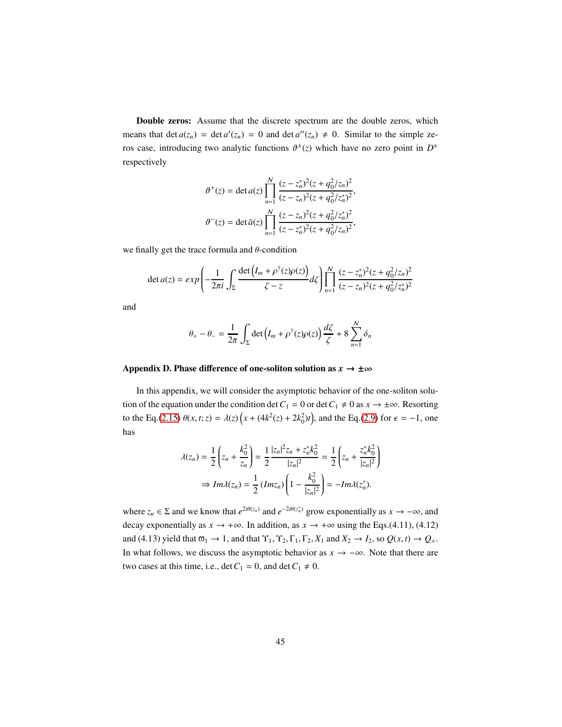Double zeros: Assume that the discrete spectrum are the double zeros, which means that det  $a(z_n) = \det a'(z_n) = 0$  and  $\det a''(z_n) \neq 0$ . Similar to the simple zeros case, introducing two analytic functions  $\vartheta^{\pm}(z)$  which have no zero point in  $D^{\pm}$ respectively

$$
\vartheta^{+}(z) = \det a(z) \prod_{n=1}^{N} \frac{(z - z_n^*)^2 (z + q_0^2 / z_n)^2}{(z - z_n)^2 (z + q_0^2 / z_n^*)^2},
$$

$$
\vartheta^{-}(z) = \det \bar{a}(z) \prod_{n=1}^{N} \frac{(z - z_n)^2 (z + q_0^2 / z_n^*)^2}{(z - z_n^*)^2 (z + q_0^2 / z_n)^2},
$$

we finally get the trace formula and  $\theta$ -condition

$$
\det a(z) = exp\left(-\frac{1}{2\pi i} \int_{\Sigma} \frac{\det (I_m + \rho^{\dagger}(z)\rho(z))}{\zeta - z} d\zeta\right) \prod_{n=1}^{N} \frac{(z - z_n^*)^2 (z + q_0^2 / z_n)^2}{(z - z_n)^2 (z + q_0^2 / z_n^*)^2}
$$

and

$$
\theta_+ - \theta_- = \frac{1}{2\pi} \int_{\Sigma} \det \left( I_m + \rho^{\dagger}(z) \rho(z) \right) \frac{d\zeta}{\zeta} + 8 \sum_{n=1}^N \delta_n
$$

# Appendix D. Phase difference of one-soliton solution as  $x \to \pm \infty$

In this appendix, we will consider the asymptotic behavior of the one-soliton solution of the equation under the condition det  $C_1 = 0$  or det  $C_1 \neq 0$  as  $x \to \pm \infty$ . Resorting to the Eq.[\(2.15\)](#page-7-3)  $\theta(x, t; z) = \lambda(z) (x + (4k^2(z) + 2k_0^2)t)$ , and the Eq.[\(2.9\)](#page-5-2) for  $\epsilon = -1$ , one has

$$
\lambda(z_n) = \frac{1}{2} \left( z_n + \frac{k_0^2}{z_n} \right) = \frac{1}{2} \frac{|z_n|^2 z_n + z_n^* k_0^2}{|z_n|^2} = \frac{1}{2} \left( z_n + \frac{z_n^* k_0^2}{|z_n|^2} \right)
$$

$$
\Rightarrow Im \lambda(z_n) = \frac{1}{2} \left( Im z_n \right) \left( 1 - \frac{k_0^2}{|z_n|^2} \right) = -Im \lambda(z_n^*).
$$

where  $z_n \in \Sigma$  and we know that  $e^{2i\theta(z_n)}$  and  $e^{-2i\theta(z_n^*)}$  grow exponentially as  $x \to -\infty$ , and decay exponentially as  $x \to +\infty$ . In addition, as  $x \to +\infty$  using the Eqs.(4.11), (4.12) and (4.13) yield that  $\overline{\omega}_1 \to 1$ , and that  $\Upsilon_1, \Upsilon_2, \Gamma_1, \Gamma_2, X_1$  and  $X_2 \to I_2$ , so  $Q(x, t) \to Q_+$ . In what follows, we discuss the asymptotic behavior as  $x \to -\infty$ . Note that there are two cases at this time, i.e.,  $\det C_1 = 0$ , and  $\det C_1 \neq 0$ .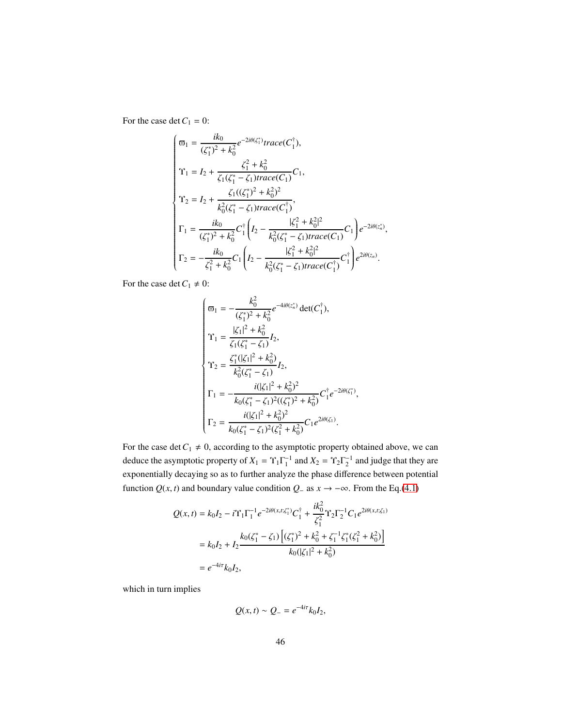For the case det  $C_1 = 0$ :

$$
\begin{cases}\n\varpi_1 = \frac{ik_0}{(\zeta_1^*)^2 + k_0^2} e^{-2i\theta(\zeta_1^*)} trace(C_1^{\dagger}),\n\Upsilon_1 = I_2 + \frac{\zeta_1^2 + k_0^2}{\zeta_1(\zeta_1^* - \zeta_1)trace(C_1)} C_1,\n\Upsilon_2 = I_2 + \frac{\zeta_1((\zeta_1^*)^2 + k_0^2)^2}{k_0^2(\zeta_1^* - \zeta_1)trace(C_1^{\dagger})},\n\Gamma_1 = \frac{ik_0}{(\zeta_1^*)^2 + k_0^2} C_1^{\dagger} \left(I_2 - \frac{|\zeta_1^2 + k_0^2|^2}{k_0^2(\zeta_1^* - \zeta_1)trace(C_1)} C_1\right) e^{-2i\theta(z_n)},\n\Gamma_2 = -\frac{ik_0}{\zeta_1^2 + k_0^2} C_1 \left(I_2 - \frac{|\zeta_1^2 + k_0^2|^2}{k_0^2(\zeta_1^* - \zeta_1)trace(C_1^{\dagger})} C_1^{\dagger}\right) e^{2i\theta(z_n)}. \n\end{cases}
$$

For the case det  $C_1 \neq 0$ :

$$
\begin{cases}\n\varpi_1 = -\frac{k_0^2}{(\zeta_1^*)^2 + k_0^2} e^{-4i\theta(z_n^*)} \det(C_1^{\dagger}), \\
\Upsilon_1 = \frac{|\zeta_1|^2 + k_0^2}{\zeta_1(\zeta_1^* - \zeta_1)} I_2, \\
\Upsilon_2 = \frac{\zeta_1^* (|\zeta_1|^2 + k_0^2)}{k_0^2(\zeta_1^* - \zeta_1)} I_2, \\
\Gamma_1 = -\frac{i(|\zeta_1|^2 + k_0^2)^2}{k_0(\zeta_1^* - \zeta_1)^2((\zeta_1^*)^2 + k_0^2)} C_1^{\dagger} e^{-2i\theta(\zeta_1^*)}, \\
\Gamma_2 = \frac{i(|\zeta_1|^2 + k_0^2)^2}{k_0(\zeta_1^* - \zeta_1)^2(\zeta_1^2 + k_0^2)} C_1 e^{2i\theta(\zeta_1)}.\n\end{cases}
$$

For the case det  $C_1 \neq 0$ , according to the asymptotic property obtained above, we can deduce the asymptotic property of  $X_1 = \Upsilon_1 \Gamma_1^{-1}$  and  $X_2 = \Upsilon_2 \Gamma_2^{-1}$  and judge that they are exponentially decaying so as to further analyze the phase difference between potential function  $Q(x, t)$  and boundary value condition  $Q$ − as  $x \to -\infty$ . From the Eq.[\(4.1\)](#page-32-1)

$$
Q(x,t) = k_0 I_2 - i \Upsilon_1 \Gamma_1^{-1} e^{-2i\theta(x,t;\zeta_1^*)} C_1^{\dagger} + \frac{ik_0^2}{\zeta_1^2} \Upsilon_2 \Gamma_2^{-1} C_1 e^{2i\theta(x,t;\zeta_1)}
$$
  
=  $k_0 I_2 + I_2 \frac{k_0(\zeta_1^* - \zeta_1) \left[ (\zeta_1^*)^2 + k_0^2 + \zeta_1^{-1} \zeta_1^* (\zeta_1^2 + k_0^2) \right]}{k_0(|\zeta_1|^2 + k_0^2)}$   
=  $e^{-4i\tau} k_0 I_2$ ,

which in turn implies

$$
Q(x,t) \sim Q_{-} = e^{-4i\tau} k_0 I_2,
$$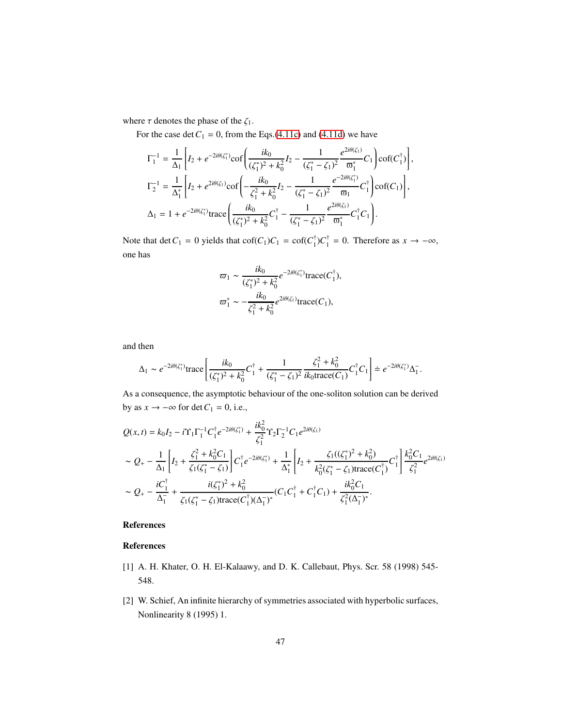where  $\tau$  denotes the phase of the  $\zeta_1$ .

For the case det  $C_1 = 0$ , from the Eqs.[\(4.11c\)](#page-35-0) and [\(4.11d\)](#page-35-0) we have

$$
\Gamma_1^{-1} = \frac{1}{\Delta_1} \left[ I_2 + e^{-2i\theta(\zeta_1^*)} \text{cof} \left( \frac{ik_0}{(\zeta_1^*)^2 + k_0^2} I_2 - \frac{1}{(\zeta_1^* - \zeta_1)^2} \frac{e^{2i\theta(\zeta_1)}}{\omega_1^*} C_1 \right) \text{cof}(C_1^{\dagger}) \right],
$$
\n
$$
\Gamma_2^{-1} = \frac{1}{\Delta_1^*} \left[ I_2 + e^{2i\theta(\zeta_1)} \text{cof} \left( -\frac{ik_0}{\zeta_1^2 + k_0^2} I_2 - \frac{1}{(\zeta_1^* - \zeta_1)^2} \frac{e^{-2i\theta(\zeta_1^*)}}{\omega_1} C_1^{\dagger} \right) \text{cof}(C_1) \right],
$$
\n
$$
\Delta_1 = 1 + e^{-2i\theta(\zeta_1^*)} \text{trace} \left( \frac{ik_0}{(\zeta_1^*)^2 + k_0^2} C_1^{\dagger} - \frac{1}{(\zeta_1^* - \zeta_1)^2} \frac{e^{2i\theta(\zeta_1)}}{\omega_1^*} C_1^{\dagger} C_1 \right).
$$

Note that det  $C_1 = 0$  yields that  $\text{cof}(C_1)C_1 = \text{cof}(C_1^{\dagger})C_1^{\dagger} = 0$ . Therefore as  $x \to -\infty$ , one has

$$
\varpi_1 \sim \frac{ik_0}{(\zeta_1^*)^2 + k_0^2} e^{-2i\theta(\zeta_1^*)} \text{trace}(C_1^{\dagger}),
$$
  

$$
\varpi_1^* \sim -\frac{ik_0}{\zeta_1^2 + k_0^2} e^{2i\theta(\zeta_1)} \text{trace}(C_1),
$$

and then

$$
\Delta_1 \sim e^{-2i\theta(\zeta_1^*)} \text{trace}\left[\frac{ik_0}{(\zeta_1^*)^2 + k_0^2} C_1^{\dagger} + \frac{1}{(\zeta_1^* - \zeta_1)^2} \frac{\zeta_1^2 + k_0^2}{ik_0 \text{trace}(C_1)} C_1^{\dagger} C_1\right] = e^{-2i\theta(\zeta_1^*)} \Delta_1^-.
$$

As a consequence, the asymptotic behaviour of the one-soliton solution can be derived by as  $x \to -\infty$  for det  $C_1 = 0$ , i.e.,

$$
\begin{split} &Q(x,t)=k_0I_2-i\Upsilon_1\Gamma_1^{-1}C_1^{\dagger}e^{-2i\theta(\zeta_1^*)}+\frac{ik_0^2}{\zeta_1^2}\Upsilon_2\Gamma_2^{-1}C_1e^{2i\theta(\zeta_1)}\\ &\sim Q_+-\frac{1}{\Delta_1}\left[I_2+\frac{\zeta_1^2+k_0^2C_1}{\zeta_1(\zeta_1^*-\zeta_1)}\right]C_1^{\dagger}e^{-2i\theta(\zeta_1^*)}+\frac{1}{\Delta_1^*}\left[I_2+\frac{\zeta_1((\zeta_1^*)^2+k_0^2)}{k_0^2(\zeta_1^*-\zeta_1)\text{trace}(C_1^{\dagger})}C_1^{\dagger}\right]\frac{k_0^2C_1}{\zeta_1^2}e^{2i\theta(\zeta_1)}\\ &\sim Q_+-\frac{iC_1^{\dagger}}{\Delta_1^-}+\frac{i(\zeta_1^*)^2+k_0^2}{\zeta_1(\zeta_1^*- \zeta_1)\text{trace}(C_1^{\dagger})(\Delta_1^-)^*}(C_1C_1^{\dagger}+C_1^{\dagger}C_1)+\frac{ik_0^2C_1}{\zeta_1^2(\Delta_1^-)^*}. \end{split}
$$

# References

# References

- <span id="page-46-0"></span>[1] A. H. Khater, O. H. El-Kalaawy, and D. K. Callebaut, Phys. Scr. 58 (1998) 545- 548.
- <span id="page-46-1"></span>[2] W. Schief, An infinite hierarchy of symmetries associated with hyperbolic surfaces, Nonlinearity 8 (1995) 1.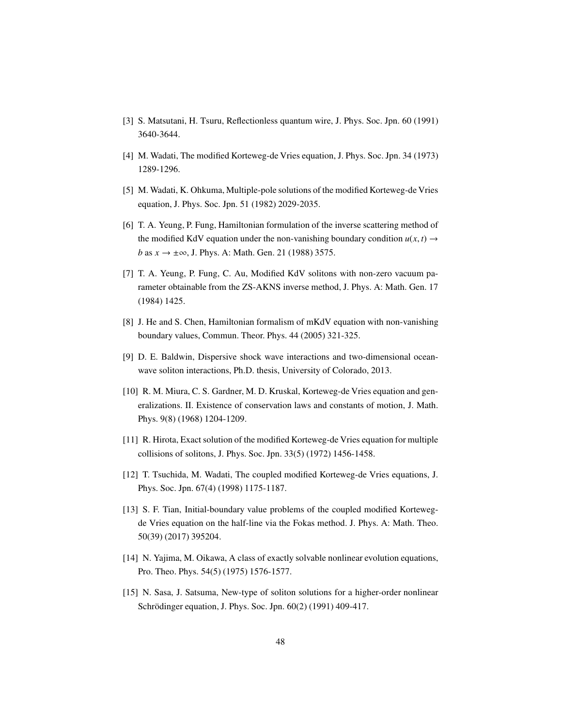- <span id="page-47-0"></span>[3] S. Matsutani, H. Tsuru, Reflectionless quantum wire, J. Phys. Soc. Jpn. 60 (1991) 3640-3644.
- <span id="page-47-1"></span>[4] M. Wadati, The modified Korteweg-de Vries equation, J. Phys. Soc. Jpn. 34 (1973) 1289-1296.
- [5] M. Wadati, K. Ohkuma, Multiple-pole solutions of the modified Korteweg-de Vries equation, J. Phys. Soc. Jpn. 51 (1982) 2029-2035.
- [6] T. A. Yeung, P. Fung, Hamiltonian formulation of the inverse scattering method of the modified KdV equation under the non-vanishing boundary condition  $u(x, t) \rightarrow$ *b* as *x* → ±∞, *J*. Phys. A: Math. Gen. 21 (1988) 3575.
- [7] T. A. Yeung, P. Fung, C. Au, Modified KdV solitons with non-zero vacuum parameter obtainable from the ZS-AKNS inverse method, J. Phys. A: Math. Gen. 17 (1984) 1425.
- [8] J. He and S. Chen, Hamiltonian formalism of mKdV equation with non-vanishing boundary values, Commun. Theor. Phys. 44 (2005) 321-325.
- [9] D. E. Baldwin, Dispersive shock wave interactions and two-dimensional oceanwave soliton interactions, Ph.D. thesis, University of Colorado, 2013.
- [10] R. M. Miura, C. S. Gardner, M. D. Kruskal, Korteweg-de Vries equation and generalizations. II. Existence of conservation laws and constants of motion, J. Math. Phys. 9(8) (1968) 1204-1209.
- [11] R. Hirota, Exact solution of the modified Korteweg-de Vries equation for multiple collisions of solitons, J. Phys. Soc. Jpn. 33(5) (1972) 1456-1458.
- <span id="page-47-2"></span>[12] T. Tsuchida, M. Wadati, The coupled modified Korteweg-de Vries equations, J. Phys. Soc. Jpn. 67(4) (1998) 1175-1187.
- <span id="page-47-3"></span>[13] S. F. Tian, Initial-boundary value problems of the coupled modified Kortewegde Vries equation on the half-line via the Fokas method. J. Phys. A: Math. Theo. 50(39) (2017) 395204.
- <span id="page-47-4"></span>[14] N. Yajima, M. Oikawa, A class of exactly solvable nonlinear evolution equations, Pro. Theo. Phys. 54(5) (1975) 1576-1577.
- <span id="page-47-5"></span>[15] N. Sasa, J. Satsuma, New-type of soliton solutions for a higher-order nonlinear Schrödinger equation, J. Phys. Soc. Jpn. 60(2) (1991) 409-417.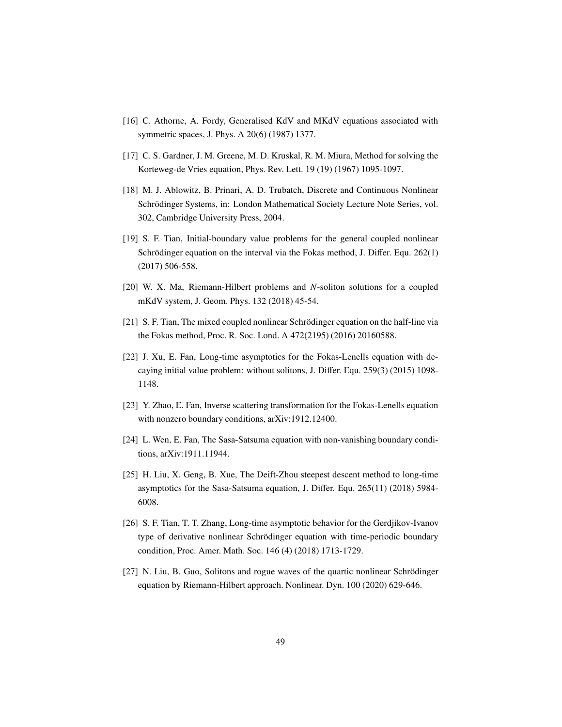- <span id="page-48-0"></span>[16] C. Athorne, A. Fordy, Generalised KdV and MKdV equations associated with symmetric spaces, J. Phys. A 20(6) (1987) 1377.
- <span id="page-48-1"></span>[17] C. S. Gardner, J. M. Greene, M. D. Kruskal, R. M. Miura, Method for solving the Korteweg-de Vries equation, Phys. Rev. Lett. 19 (19) (1967) 1095-1097.
- <span id="page-48-2"></span>[18] M. J. Ablowitz, B. Prinari, A. D. Trubatch, Discrete and Continuous Nonlinear Schrödinger Systems, in: London Mathematical Society Lecture Note Series, vol. 302, Cambridge University Press, 2004.
- <span id="page-48-3"></span>[19] S. F. Tian, Initial-boundary value problems for the general coupled nonlinear Schrödinger equation on the interval via the Fokas method, J. Differ. Equ. 262(1) (2017) 506-558.
- <span id="page-48-4"></span>[20] W. X. Ma, Riemann-Hilbert problems and *N*-soliton solutions for a coupled mKdV system, J. Geom. Phys. 132 (2018) 45-54.
- <span id="page-48-5"></span>[21] S. F. Tian, The mixed coupled nonlinear Schrödinger equation on the half-line via the Fokas method, Proc. R. Soc. Lond. A 472(2195) (2016) 20160588.
- <span id="page-48-6"></span>[22] J. Xu, E. Fan, Long-time asymptotics for the Fokas-Lenells equation with decaying initial value problem: without solitons, J. Differ. Equ. 259(3) (2015) 1098- 1148.
- <span id="page-48-7"></span>[23] Y. Zhao, E. Fan, Inverse scattering transformation for the Fokas-Lenells equation with nonzero boundary conditions, arXiv:1912.12400.
- <span id="page-48-8"></span>[24] L. Wen, E. Fan, The Sasa-Satsuma equation with non-vanishing boundary conditions, arXiv:1911.11944.
- <span id="page-48-9"></span>[25] H. Liu, X. Geng, B. Xue, The Deift-Zhou steepest descent method to long-time asymptotics for the Sasa-Satsuma equation, J. Differ. Equ. 265(11) (2018) 5984- 6008.
- <span id="page-48-10"></span>[26] S. F. Tian, T. T. Zhang, Long-time asymptotic behavior for the Gerdjikov-Ivanov type of derivative nonlinear Schrödinger equation with time-periodic boundary condition, Proc. Amer. Math. Soc. 146 (4) (2018) 1713-1729.
- <span id="page-48-11"></span> $[27]$  N. Liu, B. Guo, Solitons and rogue waves of the quartic nonlinear Schrödinger equation by Riemann-Hilbert approach. Nonlinear. Dyn. 100 (2020) 629-646.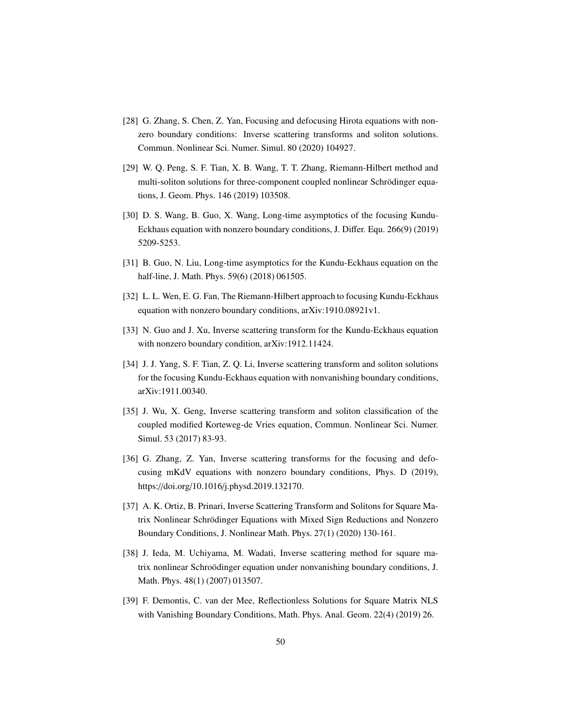- <span id="page-49-0"></span>[28] G. Zhang, S. Chen, Z. Yan, Focusing and defocusing Hirota equations with nonzero boundary conditions: Inverse scattering transforms and soliton solutions. Commun. Nonlinear Sci. Numer. Simul. 80 (2020) 104927.
- <span id="page-49-1"></span>[29] W. Q. Peng, S. F. Tian, X. B. Wang, T. T. Zhang, Riemann-Hilbert method and multi-soliton solutions for three-component coupled nonlinear Schrödinger equations, J. Geom. Phys. 146 (2019) 103508.
- <span id="page-49-2"></span>[30] D. S. Wang, B. Guo, X. Wang, Long-time asymptotics of the focusing Kundu-Eckhaus equation with nonzero boundary conditions, J. Differ. Equ. 266(9) (2019) 5209-5253.
- [31] B. Guo, N. Liu, Long-time asymptotics for the Kundu-Eckhaus equation on the half-line, J. Math. Phys. 59(6) (2018) 061505.
- [32] L. L. Wen, E. G. Fan, The Riemann-Hilbert approach to focusing Kundu-Eckhaus equation with nonzero boundary conditions, arXiv:1910.08921v1.
- [33] N. Guo and J. Xu, Inverse scattering transform for the Kundu-Eckhaus equation with nonzero boundary condition, arXiv:1912.11424.
- <span id="page-49-3"></span>[34] J. J. Yang, S. F. Tian, Z. Q. Li, Inverse scattering transform and soliton solutions for the focusing Kundu-Eckhaus equation with nonvanishing boundary conditions, arXiv:1911.00340.
- <span id="page-49-4"></span>[35] J. Wu, X. Geng, Inverse scattering transform and soliton classification of the coupled modified Korteweg-de Vries equation, Commun. Nonlinear Sci. Numer. Simul. 53 (2017) 83-93.
- <span id="page-49-5"></span>[36] G. Zhang, Z. Yan, Inverse scattering transforms for the focusing and defocusing mKdV equations with nonzero boundary conditions, Phys. D (2019), https://doi.org/10.1016/j.physd.2019.132170.
- <span id="page-49-6"></span>[37] A. K. Ortiz, B. Prinari, Inverse Scattering Transform and Solitons for Square Matrix Nonlinear Schrödinger Equations with Mixed Sign Reductions and Nonzero Boundary Conditions, J. Nonlinear Math. Phys. 27(1) (2020) 130-161.
- [38] J. Ieda, M. Uchiyama, M. Wadati, Inverse scattering method for square matrix nonlinear Schroödinger equation under nonvanishing boundary conditions, J. Math. Phys. 48(1) (2007) 013507.
- [39] F. Demontis, C. van der Mee, Reflectionless Solutions for Square Matrix NLS with Vanishing Boundary Conditions, Math. Phys. Anal. Geom. 22(4) (2019) 26.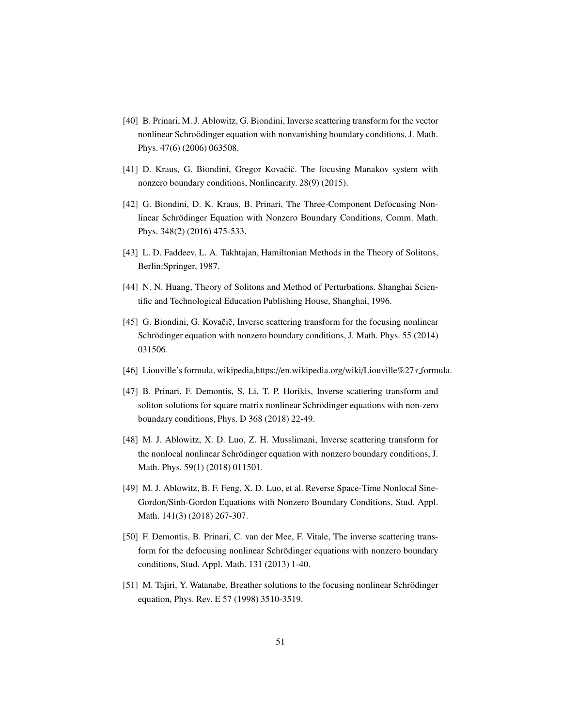- [40] B. Prinari, M. J. Ablowitz, G. Biondini, Inverse scattering transform for the vector nonlinear Schroödinger equation with nonvanishing boundary conditions, J. Math. Phys. 47(6) (2006) 063508.
- [41] D. Kraus, G. Biondini, Gregor Kovačič. The focusing Manakov system with nonzero boundary conditions, Nonlinearity. 28(9) (2015).
- <span id="page-50-0"></span>[42] G. Biondini, D. K. Kraus, B. Prinari, The Three-Component Defocusing Nonlinear Schrödinger Equation with Nonzero Boundary Conditions, Comm. Math. Phys. 348(2) (2016) 475-533.
- <span id="page-50-1"></span>[43] L. D. Faddeev, L. A. Takhtajan, Hamiltonian Methods in the Theory of Solitons, Berlin:Springer, 1987.
- [44] N. N. Huang, Theory of Solitons and Method of Perturbations. Shanghai Scientific and Technological Education Publishing House, Shanghai, 1996.
- <span id="page-50-2"></span>[45] G. Biondini, G. Kovačič, Inverse scattering transform for the focusing nonlinear Schrödinger equation with nonzero boundary conditions, J. Math. Phys. 55 (2014) 031506.
- <span id="page-50-3"></span>[46] Liouville's formula, wikipedia,https://en.wikipedia.org/wiki/Liouville%27*s* formula.
- <span id="page-50-4"></span>[47] B. Prinari, F. Demontis, S. Li, T. P. Horikis, Inverse scattering transform and soliton solutions for square matrix nonlinear Schrödinger equations with non-zero boundary conditions, Phys. D 368 (2018) 22-49.
- [48] M. J. Ablowitz, X. D. Luo, Z. H. Musslimani, Inverse scattering transform for the nonlocal nonlinear Schrödinger equation with nonzero boundary conditions, J. Math. Phys. 59(1) (2018) 011501.
- <span id="page-50-5"></span>[49] M. J. Ablowitz, B. F. Feng, X. D. Luo, et al. Reverse Space-Time Nonlocal Sine-Gordon/Sinh-Gordon Equations with Nonzero Boundary Conditions, Stud. Appl. Math. 141(3) (2018) 267-307.
- <span id="page-50-6"></span>[50] F. Demontis, B. Prinari, C. van der Mee, F. Vitale, The inverse scattering transform for the defocusing nonlinear Schrödinger equations with nonzero boundary conditions, Stud. Appl. Math. 131 (2013) 1-40.
- <span id="page-50-7"></span>[51] M. Tajiri, Y. Watanabe, Breather solutions to the focusing nonlinear Schrödinger equation, Phys. Rev. E 57 (1998) 3510-3519.